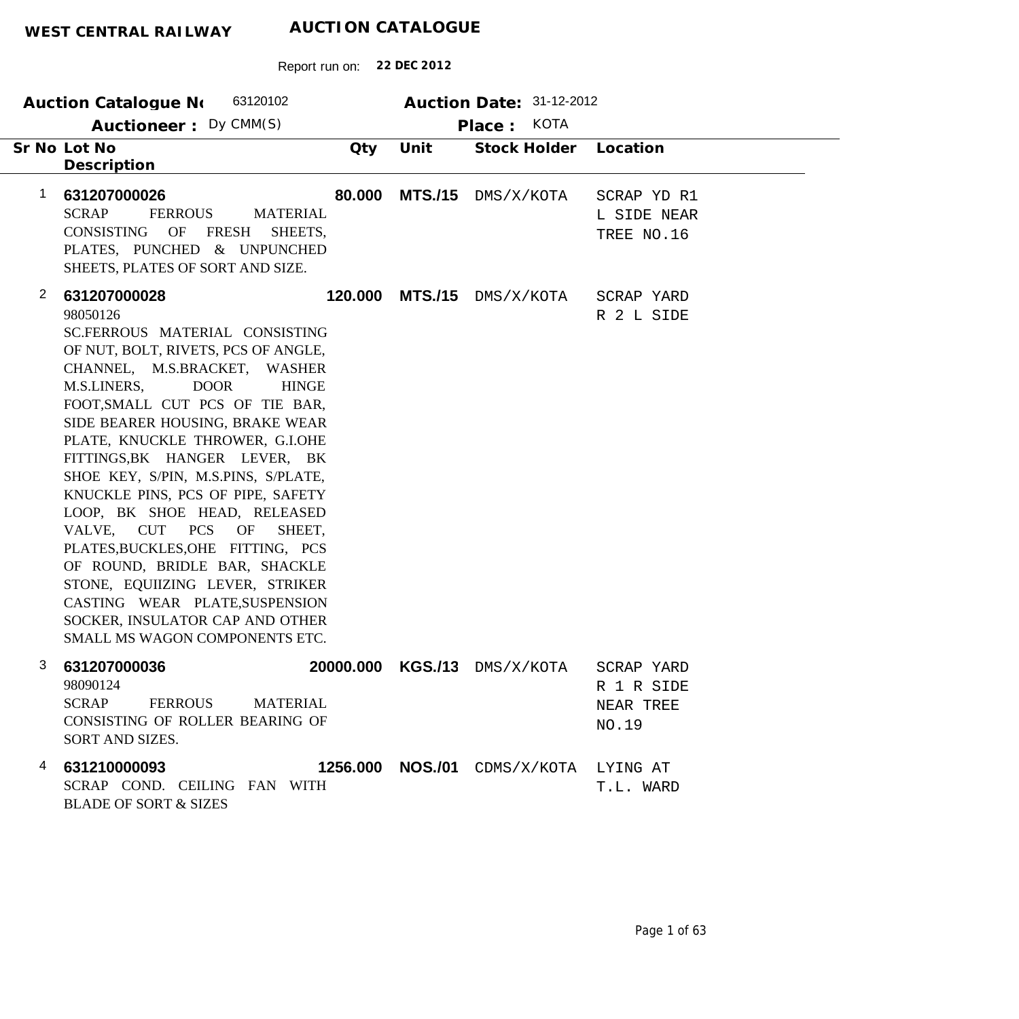| 63120102<br>Auction Catalogue No<br>Auctioneer: Dy CMM(S)                                                                                                                                                                                                                                                                                                                                                                                                                                                                                                                                                                                                                                               |         |                | Auction Date: 31-12-2012<br>Place: KOTA |                                                |  |
|---------------------------------------------------------------------------------------------------------------------------------------------------------------------------------------------------------------------------------------------------------------------------------------------------------------------------------------------------------------------------------------------------------------------------------------------------------------------------------------------------------------------------------------------------------------------------------------------------------------------------------------------------------------------------------------------------------|---------|----------------|-----------------------------------------|------------------------------------------------|--|
| Sr No Lot No<br>Description                                                                                                                                                                                                                                                                                                                                                                                                                                                                                                                                                                                                                                                                             | Qty     | Unit           | Stock Holder                            | Location                                       |  |
| 1<br>631207000026<br><b>SCRAP</b><br><b>FERROUS</b><br><b>MATERIAL</b><br>CONSISTING<br>OF<br>FRESH<br>SHEETS,<br>PLATES, PUNCHED & UNPUNCHED<br>SHEETS, PLATES OF SORT AND SIZE.                                                                                                                                                                                                                                                                                                                                                                                                                                                                                                                       | 80.000  | <b>MTS./15</b> | DMS/X/KOTA                              | SCRAP YD R1<br>L SIDE NEAR<br>TREE NO.16       |  |
| $\mathbf{2}$<br>631207000028<br>98050126<br>SC.FERROUS MATERIAL CONSISTING<br>OF NUT, BOLT, RIVETS, PCS OF ANGLE,<br>CHANNEL, M.S.BRACKET, WASHER<br><b>DOOR</b><br>M.S.LINERS,<br><b>HINGE</b><br>FOOT, SMALL CUT PCS OF TIE BAR,<br>SIDE BEARER HOUSING, BRAKE WEAR<br>PLATE, KNUCKLE THROWER, G.I.OHE<br>FITTINGS, BK HANGER LEVER, BK<br>SHOE KEY, S/PIN, M.S.PINS, S/PLATE,<br>KNUCKLE PINS, PCS OF PIPE, SAFETY<br>LOOP, BK SHOE HEAD, RELEASED<br>VALVE, CUT PCS<br>OF<br>SHEET,<br>PLATES, BUCKLES, OHE FITTING, PCS<br>OF ROUND, BRIDLE BAR, SHACKLE<br>STONE, EQUIIZING LEVER, STRIKER<br>CASTING WEAR PLATE, SUSPENSION<br>SOCKER, INSULATOR CAP AND OTHER<br>SMALL MS WAGON COMPONENTS ETC. | 120.000 | <b>MTS./15</b> | DMS/X/KOTA                              | SCRAP YARD<br>R 2 L SIDE                       |  |
| З<br>631207000036<br>98090124<br><b>SCRAP</b><br>FERROUS<br><b>MATERIAL</b><br>CONSISTING OF ROLLER BEARING OF<br>SORT AND SIZES.                                                                                                                                                                                                                                                                                                                                                                                                                                                                                                                                                                       |         |                | 20000.000 KGS./13 DMS/X/KOTA            | SCRAP YARD<br>R 1 R SIDE<br>NEAR TREE<br>NO.19 |  |
| 631210000093<br>4<br>SCRAP COND. CEILING FAN WITH<br><b>BLADE OF SORT &amp; SIZES</b>                                                                                                                                                                                                                                                                                                                                                                                                                                                                                                                                                                                                                   |         |                | 1256.000 NOS./01 CDMS/X/KOTA            | LYING AT<br>T.L. WARD                          |  |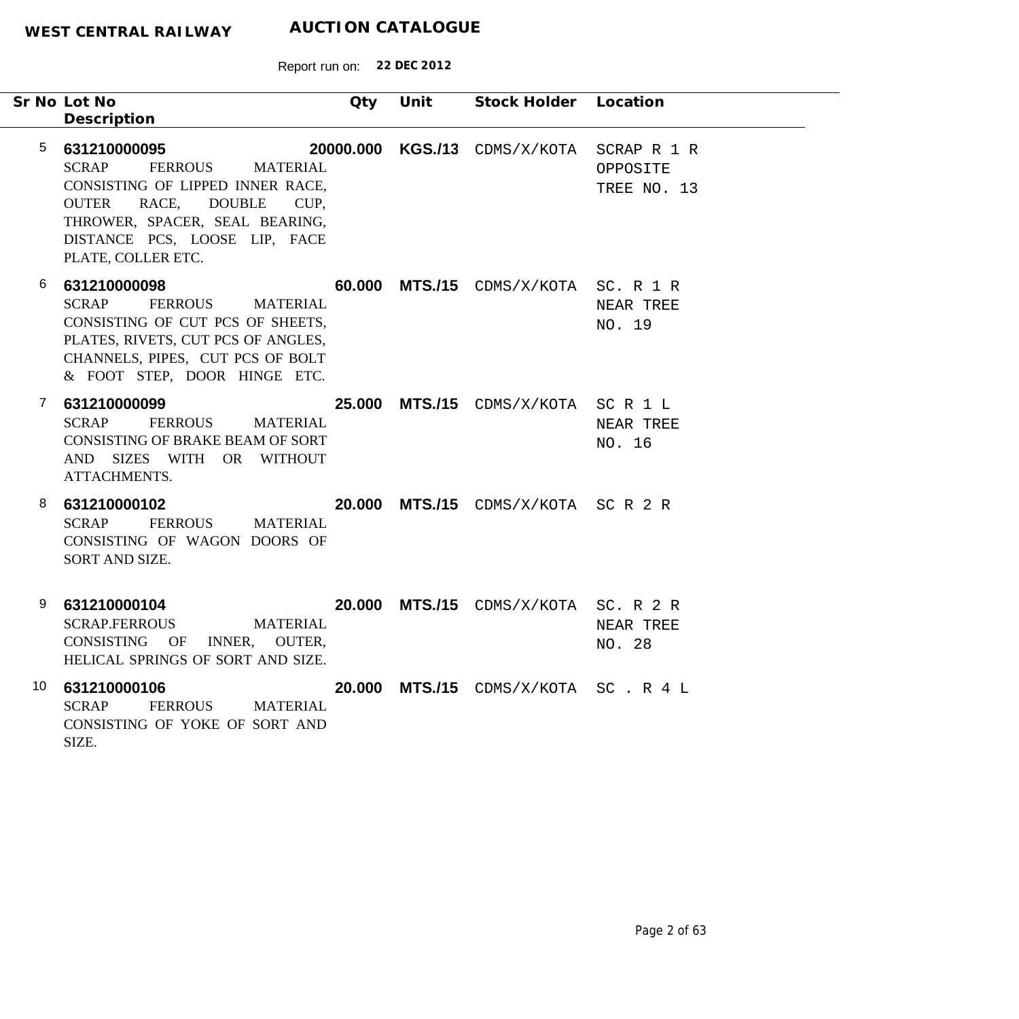|              | Sr No Lot No<br>Description                                                                                                                                                                                                            | Qty    | Unit | Stock Holder Location                |                                        |
|--------------|----------------------------------------------------------------------------------------------------------------------------------------------------------------------------------------------------------------------------------------|--------|------|--------------------------------------|----------------------------------------|
| 5            | 631210000095<br><b>SCRAP</b><br><b>FERROUS</b><br><b>MATERIAL</b><br>CONSISTING OF LIPPED INNER RACE,<br>RACE, DOUBLE<br><b>OUTER</b><br>CUP,<br>THROWER, SPACER, SEAL BEARING,<br>DISTANCE PCS, LOOSE LIP, FACE<br>PLATE, COLLER ETC. |        |      | 20000.000 KGS./13 CDMS/X/KOTA        | SCRAP R 1 R<br>OPPOSITE<br>TREE NO. 13 |
| 6            | 631210000098<br><b>SCRAP</b><br>FERROUS<br>MATERIAL<br>CONSISTING OF CUT PCS OF SHEETS,<br>PLATES, RIVETS, CUT PCS OF ANGLES,<br>CHANNELS, PIPES, CUT PCS OF BOLT<br>& FOOT STEP, DOOR HINGE ETC.                                      | 60.000 |      | MTS./15 CDMS/X/KOTA SC. R 1 R        | NEAR TREE<br>NO. 19                    |
| $\mathbf{7}$ | 631210000099<br><b>SCRAP</b><br><b>FERROUS</b><br><b>MATERIAL</b><br>CONSISTING OF BRAKE BEAM OF SORT<br>AND SIZES WITH OR WITHOUT<br>ATTACHMENTS.                                                                                     |        |      | 25.000 MTS./15 CDMS/X/KOTA SC R 1 L  | NEAR TREE<br>NO. 16                    |
| 8            | 631210000102<br><b>SCRAP</b><br><b>FERROUS</b><br><b>MATERIAL</b><br>CONSISTING OF WAGON DOORS OF<br>SORT AND SIZE.                                                                                                                    |        |      | 20.000 MTS./15 CDMS/X/KOTA SC R 2 R  |                                        |
| 9            | 631210000104<br><b>SCRAP.FERROUS</b><br><b>MATERIAL</b><br>CONSISTING OF INNER, OUTER,<br>HELICAL SPRINGS OF SORT AND SIZE.                                                                                                            |        |      | 20.000 MTS./15 CDMS/X/KOTA SC. R 2 R | NEAR TREE<br>NO. 28                    |
| 10           | 631210000106<br>FERROUS<br><b>SCRAP</b><br><b>MATERIAL</b><br>CONSISTING OF YOKE OF SORT AND<br>SIZE.                                                                                                                                  |        |      | 20.000 MTS./15 CDMS/X/KOTA SC. R 4 L |                                        |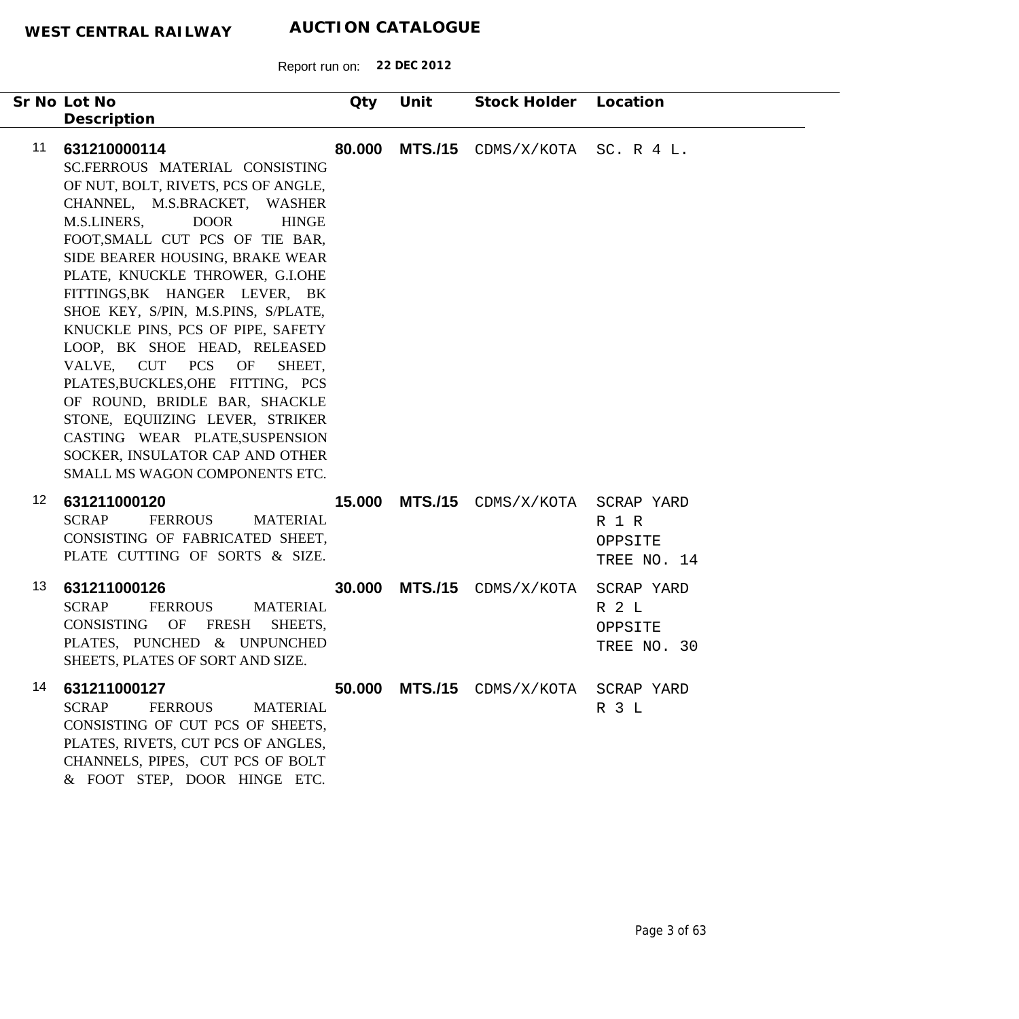| Sr No Lot No                                                                                                                                                                                                                                                                                                                                                                                                                                                                                                                                                                                                                                                                   | Qty    | Unit           | Stock Holder Location                 |                                               |
|--------------------------------------------------------------------------------------------------------------------------------------------------------------------------------------------------------------------------------------------------------------------------------------------------------------------------------------------------------------------------------------------------------------------------------------------------------------------------------------------------------------------------------------------------------------------------------------------------------------------------------------------------------------------------------|--------|----------------|---------------------------------------|-----------------------------------------------|
| Description                                                                                                                                                                                                                                                                                                                                                                                                                                                                                                                                                                                                                                                                    |        |                |                                       |                                               |
| 11<br>631210000114<br>SC.FERROUS MATERIAL CONSISTING<br>OF NUT, BOLT, RIVETS, PCS OF ANGLE,<br>CHANNEL, M.S.BRACKET, WASHER<br><b>DOOR</b><br>M.S.LINERS,<br><b>HINGE</b><br>FOOT, SMALL CUT PCS OF TIE BAR,<br>SIDE BEARER HOUSING, BRAKE WEAR<br>PLATE, KNUCKLE THROWER, G.I.OHE<br>FITTINGS, BK HANGER LEVER, BK<br>SHOE KEY, S/PIN, M.S.PINS, S/PLATE,<br>KNUCKLE PINS, PCS OF PIPE, SAFETY<br>LOOP, BK SHOE HEAD, RELEASED<br>VALVE, CUT PCS OF<br>SHEET,<br>PLATES, BUCKLES, OHE FITTING, PCS<br>OF ROUND, BRIDLE BAR, SHACKLE<br>STONE, EQUIIZING LEVER, STRIKER<br>CASTING WEAR PLATE, SUSPENSION<br>SOCKER, INSULATOR CAP AND OTHER<br>SMALL MS WAGON COMPONENTS ETC. | 80.000 | <b>MTS./15</b> | CDMS/X/KOTA                           | SC. R $4$ L.                                  |
| 12 <sub>2</sub><br>631211000120<br><b>SCRAP</b><br><b>FERROUS</b><br><b>MATERIAL</b><br>CONSISTING OF FABRICATED SHEET,<br>PLATE CUTTING OF SORTS & SIZE.                                                                                                                                                                                                                                                                                                                                                                                                                                                                                                                      |        |                | <b>15.000 MTS./15</b> CDMS/X/KOTA     | SCRAP YARD<br>R 1 R<br>OPPSITE<br>TREE NO. 14 |
| 13<br>631211000126<br><b>SCRAP</b><br><b>FERROUS</b><br><b>MATERIAL</b><br>CONSISTING OF<br><b>FRESH</b><br>SHEETS,<br>PLATES, PUNCHED & UNPUNCHED<br>SHEETS, PLATES OF SORT AND SIZE                                                                                                                                                                                                                                                                                                                                                                                                                                                                                          | 30.000 |                | <b>MTS./15</b> CDMS/X/KOTA            | SCRAP YARD<br>R 2 L<br>OPPSITE<br>TREE NO. 30 |
| 14<br>631211000127<br><b>SCRAP</b><br><b>FERROUS</b><br><b>MATERIAL</b><br>CONSISTING OF CUT PCS OF SHEETS,<br>PLATES, RIVETS, CUT PCS OF ANGLES,<br>CHANNELS, PIPES, CUT PCS OF BOLT<br>& FOOT STEP, DOOR HINGE ETC.                                                                                                                                                                                                                                                                                                                                                                                                                                                          |        |                | 50.000 MTS./15 CDMS/X/KOTA SCRAP YARD | R 3 L                                         |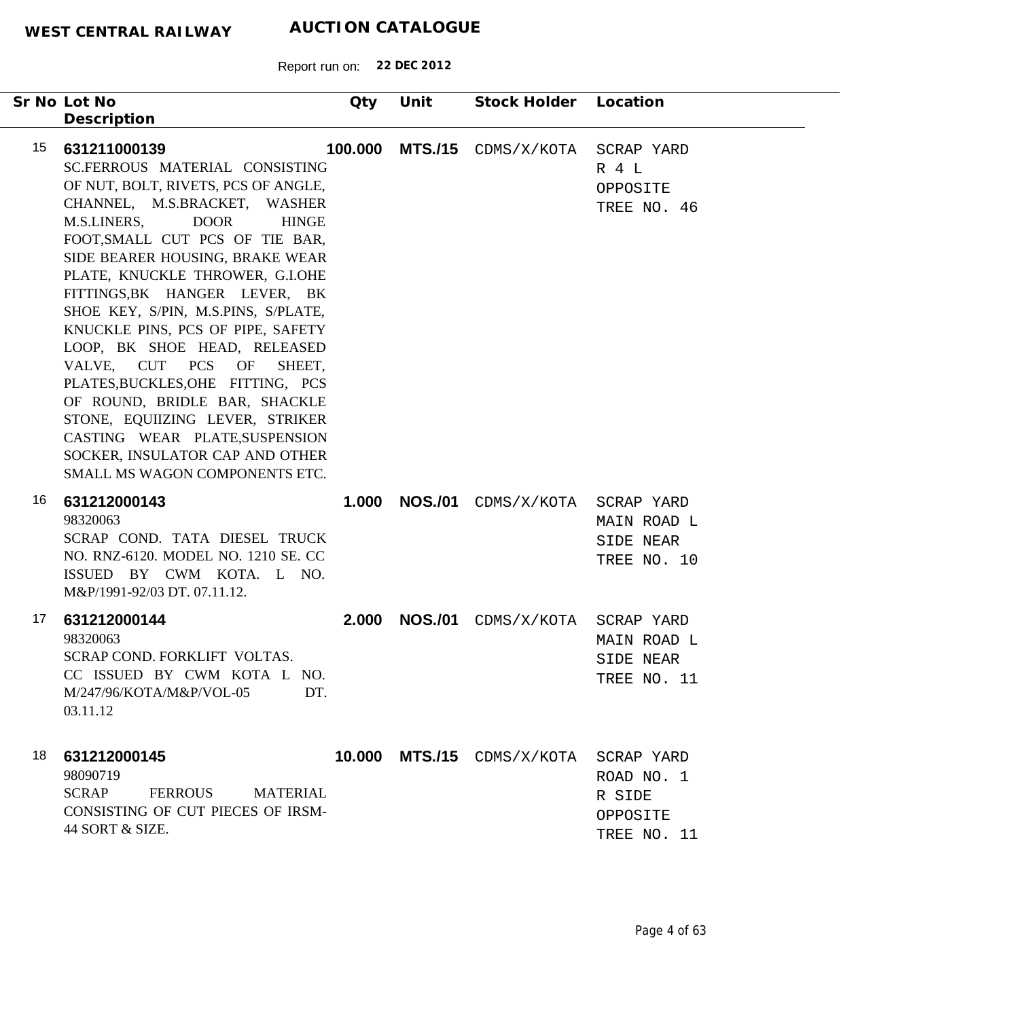Report run on: **22 DEC 2012**

| Sr No Lot No<br>Description                                                                                                                                                                                                                                                                                                                                                                                                                                                                                                                                                                                                                                                    | Qty     | Unit           | Stock Holder Location                 |                                                 |
|--------------------------------------------------------------------------------------------------------------------------------------------------------------------------------------------------------------------------------------------------------------------------------------------------------------------------------------------------------------------------------------------------------------------------------------------------------------------------------------------------------------------------------------------------------------------------------------------------------------------------------------------------------------------------------|---------|----------------|---------------------------------------|-------------------------------------------------|
| 15<br>631211000139<br>SC.FERROUS MATERIAL CONSISTING<br>OF NUT, BOLT, RIVETS, PCS OF ANGLE,<br>CHANNEL, M.S.BRACKET, WASHER<br><b>DOOR</b><br>M.S.LINERS,<br><b>HINGE</b><br>FOOT, SMALL CUT PCS OF TIE BAR,<br>SIDE BEARER HOUSING, BRAKE WEAR<br>PLATE, KNUCKLE THROWER, G.I.OHE<br>FITTINGS, BK HANGER LEVER, BK<br>SHOE KEY, S/PIN, M.S.PINS, S/PLATE,<br>KNUCKLE PINS, PCS OF PIPE, SAFETY<br>LOOP, BK SHOE HEAD, RELEASED<br>VALVE, CUT PCS OF<br>SHEET,<br>PLATES, BUCKLES, OHE FITTING, PCS<br>OF ROUND, BRIDLE BAR, SHACKLE<br>STONE, EQUIIZING LEVER, STRIKER<br>CASTING WEAR PLATE, SUSPENSION<br>SOCKER, INSULATOR CAP AND OTHER<br>SMALL MS WAGON COMPONENTS ETC. | 100.000 | <b>MTS./15</b> | CDMS/X/KOTA SCRAP YARD                | R 4 L<br>OPPOSITE<br>TREE NO. 46                |
| 16<br>631212000143<br>98320063<br>SCRAP COND. TATA DIESEL TRUCK<br>NO. RNZ-6120. MODEL NO. 1210 SE. CC<br>ISSUED BY CWM KOTA. L NO.<br>M&P/1991-92/03 DT. 07.11.12.                                                                                                                                                                                                                                                                                                                                                                                                                                                                                                            | 1.000   | <b>NOS./01</b> | CDMS/X/KOTA SCRAP YARD                | MAIN ROAD L<br>SIDE NEAR<br>TREE NO. 10         |
| 17<br>631212000144<br>98320063<br>SCRAP COND. FORKLIFT VOLTAS.<br>CC ISSUED BY CWM KOTA L NO.<br>M/247/96/KOTA/M&P/VOL-05<br>DT.<br>03.11.12                                                                                                                                                                                                                                                                                                                                                                                                                                                                                                                                   | 2.000   | <b>NOS./01</b> | CDMS/X/KOTA SCRAP YARD                | MAIN ROAD L<br>SIDE NEAR<br>TREE NO. 11         |
| 18<br>631212000145<br>98090719<br><b>SCRAP</b><br>FERROUS<br><b>MATERIAL</b><br>CONSISTING OF CUT PIECES OF IRSM-<br>44 SORT & SIZE.                                                                                                                                                                                                                                                                                                                                                                                                                                                                                                                                           |         |                | 10.000 MTS./15 CDMS/X/KOTA SCRAP YARD | ROAD NO. 1<br>R SIDE<br>OPPOSITE<br>TREE NO. 11 |

٠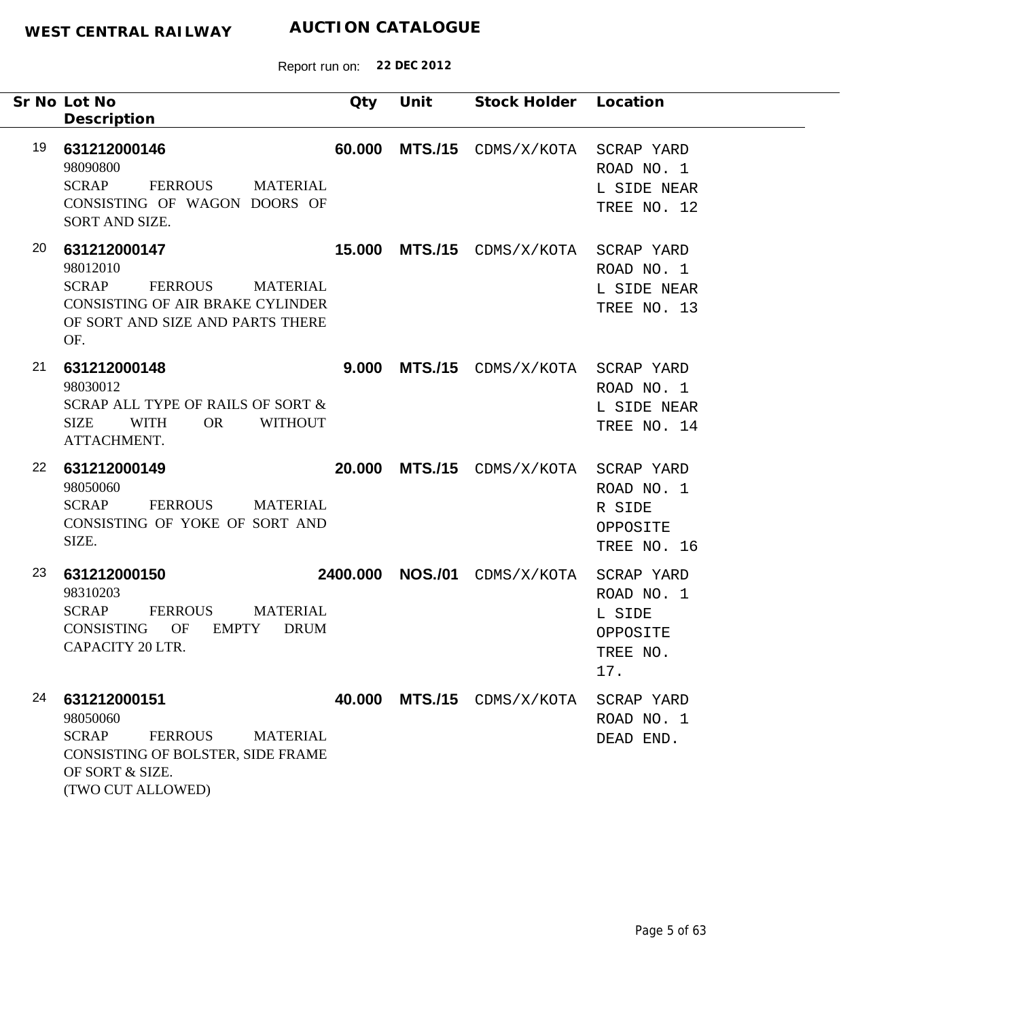| Sr No Lot No<br>Description                                                                                                                                      | Qty    | Unit             | Stock Holder Location                 |                                                     |
|------------------------------------------------------------------------------------------------------------------------------------------------------------------|--------|------------------|---------------------------------------|-----------------------------------------------------|
| 19<br>631212000146<br>98090800<br><b>SCRAP</b><br>FERROUS<br><b>MATERIAL</b><br>CONSISTING OF WAGON DOORS OF<br>SORT AND SIZE.                                   | 60.000 | <b>MTS./15</b>   | CDMS/X/KOTA SCRAP YARD                | ROAD NO. 1<br>L SIDE NEAR<br>TREE NO. 12            |
| 20<br>631212000147<br>98012010<br><b>SCRAP</b><br>FERROUS MATERIAL<br><b>CONSISTING OF AIR BRAKE CYLINDER</b><br>OF SORT AND SIZE AND PARTS THERE<br>OF.         |        |                  | 15.000 MTS./15 CDMS/X/KOTA SCRAP YARD | ROAD NO. 1<br>L SIDE NEAR<br>TREE NO. 13            |
| 21<br>631212000148<br>98030012<br>SCRAP ALL TYPE OF RAILS OF SORT &<br>SIZE<br>WITH<br><b>OR</b><br><b>WITHOUT</b><br>ATTACHMENT.                                |        | 9.000 MTS./15    | CDMS/X/KOTA SCRAP YARD                | ROAD NO. 1<br>L SIDE NEAR<br>TREE NO. 14            |
| 22<br>631212000149<br>98050060<br><b>SCRAP</b><br><b>FERROUS</b><br><b>MATERIAL</b><br>CONSISTING OF YOKE OF SORT AND<br>SIZE.                                   |        |                  | 20.000 MTS./15 CDMS/X/KOTA SCRAP YARD | ROAD NO. 1<br>R SIDE<br>OPPOSITE<br>TREE NO. 16     |
| 23<br>631212000150<br>98310203<br><b>SCRAP</b><br>FERROUS<br><b>MATERIAL</b><br>OF<br><b>EMPTY</b><br><b>CONSISTING</b><br><b>DRUM</b><br>CAPACITY 20 LTR.       |        | 2400.000 NOS./01 | CDMS/X/KOTA SCRAP YARD                | ROAD NO. 1<br>L SIDE<br>OPPOSITE<br>TREE NO.<br>17. |
| 24<br>631212000151<br>98050060<br><b>SCRAP</b><br><b>FERROUS</b><br><b>MATERIAL</b><br>CONSISTING OF BOLSTER, SIDE FRAME<br>OF SORT & SIZE.<br>(TWO CUT ALLOWED) | 40.000 | <b>MTS./15</b>   | CDMS/X/KOTA                           | SCRAP YARD<br>ROAD NO. 1<br>DEAD END.               |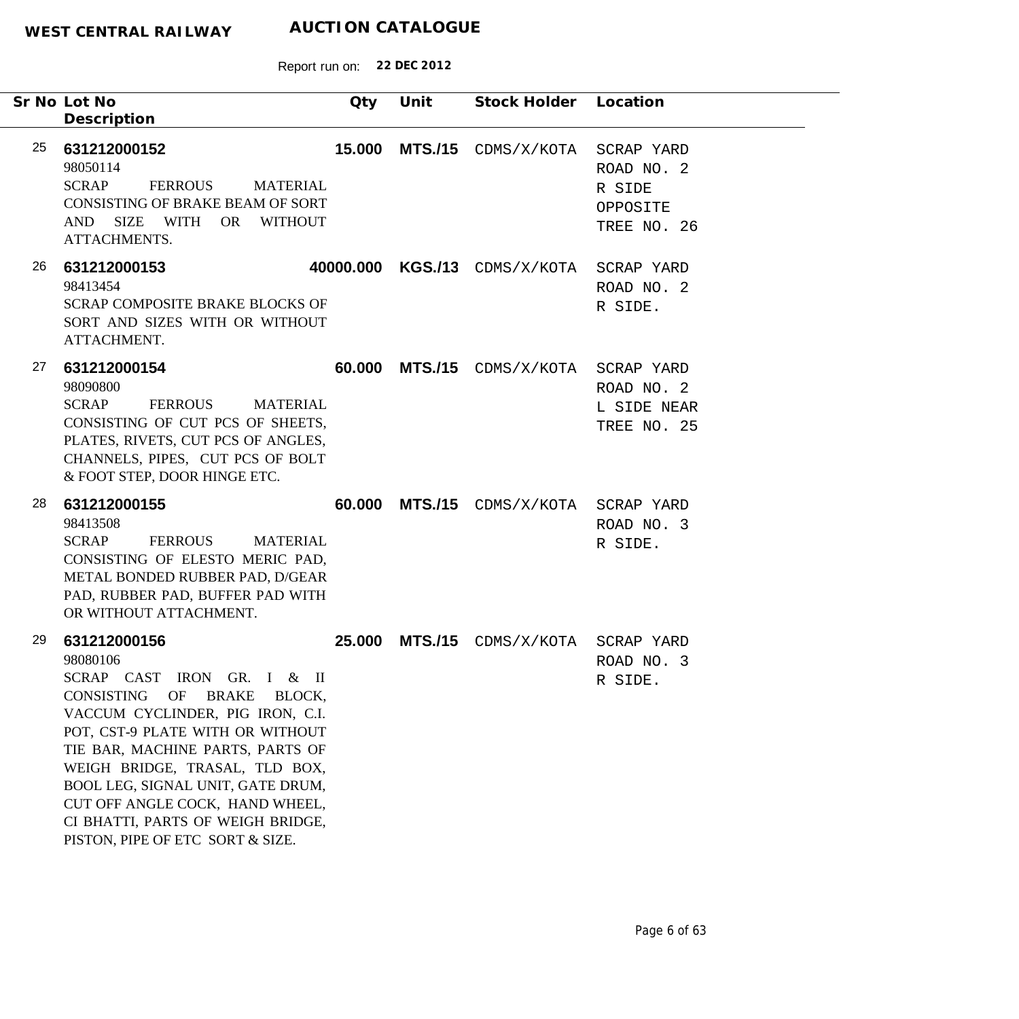| Sr No Lot No<br>Description                                    |                                                                                                                                                                                                                                                                                                                                                           | Qty    | Unit           | Stock Holder Location                    |                                                 |
|----------------------------------------------------------------|-----------------------------------------------------------------------------------------------------------------------------------------------------------------------------------------------------------------------------------------------------------------------------------------------------------------------------------------------------------|--------|----------------|------------------------------------------|-------------------------------------------------|
| 25<br>631212000152<br>98050114<br><b>SCRAP</b><br>ATTACHMENTS. | FERROUS<br><b>MATERIAL</b><br>CONSISTING OF BRAKE BEAM OF SORT<br>AND SIZE WITH<br>OR WITHOUT                                                                                                                                                                                                                                                             | 15.000 | <b>MTS./15</b> | CDMS/X/KOTA SCRAP YARD                   | ROAD NO. 2<br>R SIDE<br>OPPOSITE<br>TREE NO. 26 |
| 26<br>631212000153<br>98413454<br>ATTACHMENT.                  | SCRAP COMPOSITE BRAKE BLOCKS OF<br>SORT AND SIZES WITH OR WITHOUT                                                                                                                                                                                                                                                                                         |        |                | 40000.000 KGS./13 CDMS/X/KOTA SCRAP YARD | ROAD NO. 2<br>R SIDE.                           |
| 27<br>631212000154<br>98090800<br><b>SCRAP</b>                 | <b>FERROUS</b><br>MATERIAL<br>CONSISTING OF CUT PCS OF SHEETS,<br>PLATES, RIVETS, CUT PCS OF ANGLES,<br>CHANNELS, PIPES, CUT PCS OF BOLT<br>& FOOT STEP, DOOR HINGE ETC.                                                                                                                                                                                  |        | 60.000 MTS./15 | CDMS/X/KOTA SCRAP YARD                   | ROAD NO. 2<br>L SIDE NEAR<br>TREE NO. 25        |
| 28<br>631212000155<br>98413508<br><b>SCRAP</b>                 | FERROUS<br><b>MATERIAL</b><br>CONSISTING OF ELESTO MERIC PAD,<br>METAL BONDED RUBBER PAD, D/GEAR<br>PAD, RUBBER PAD, BUFFER PAD WITH<br>OR WITHOUT ATTACHMENT.                                                                                                                                                                                            | 60.000 | <b>MTS./15</b> | CDMS/X/KOTA SCRAP YARD                   | ROAD NO. 3<br>R SIDE.                           |
| 29<br>631212000156<br>98080106<br>CONSISTING                   | SCRAP CAST IRON GR. I & II<br>OF<br><b>BRAKE</b><br>BLOCK,<br>VACCUM CYCLINDER, PIG IRON, C.I.<br>POT, CST-9 PLATE WITH OR WITHOUT<br>TIE BAR, MACHINE PARTS, PARTS OF<br>WEIGH BRIDGE, TRASAL, TLD BOX,<br>BOOL LEG, SIGNAL UNIT, GATE DRUM,<br>CUT OFF ANGLE COCK, HAND WHEEL,<br>CI BHATTI, PARTS OF WEIGH BRIDGE,<br>PISTON, PIPE OF ETC SORT & SIZE. | 25,000 | <b>MTS./15</b> | CDMS/X/KOTA SCRAP YARD                   | ROAD NO. 3<br>R SIDE.                           |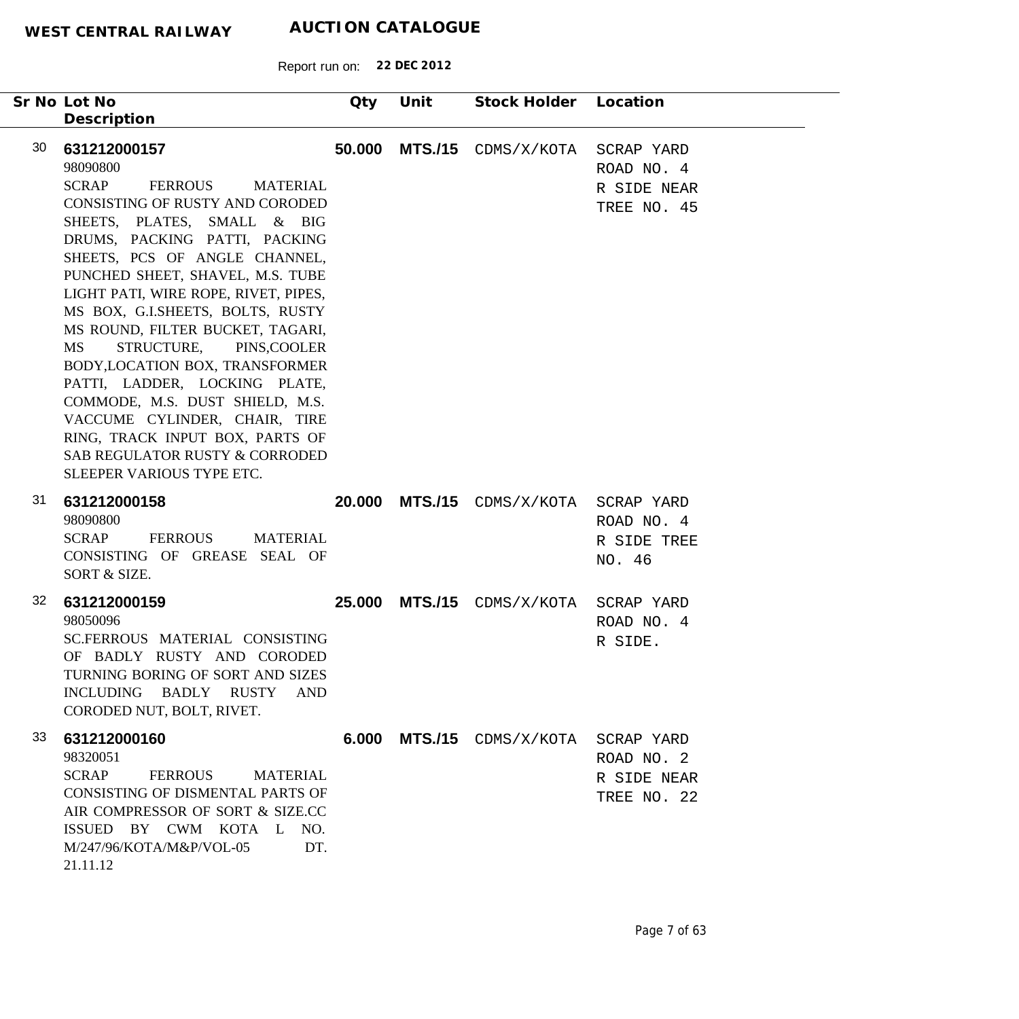|    | Sr No Lot No<br>Description                                                                                                                                                                                                                                                                                                                                                                                                                                                                                                                                                                                                                         | Qty    | Unit           | Stock Holder Location          |                                                        |
|----|-----------------------------------------------------------------------------------------------------------------------------------------------------------------------------------------------------------------------------------------------------------------------------------------------------------------------------------------------------------------------------------------------------------------------------------------------------------------------------------------------------------------------------------------------------------------------------------------------------------------------------------------------------|--------|----------------|--------------------------------|--------------------------------------------------------|
| 30 | 631212000157<br>98090800<br><b>SCRAP</b><br>FERROUS<br><b>MATERIAL</b><br>CONSISTING OF RUSTY AND CORODED<br>SHEETS, PLATES, SMALL & BIG<br>DRUMS, PACKING PATTI, PACKING<br>SHEETS, PCS OF ANGLE CHANNEL,<br>PUNCHED SHEET, SHAVEL, M.S. TUBE<br>LIGHT PATI, WIRE ROPE, RIVET, PIPES,<br>MS BOX, G.I.SHEETS, BOLTS, RUSTY<br>MS ROUND, FILTER BUCKET, TAGARI,<br>MS<br>STRUCTURE, PINS,COOLER<br>BODY, LOCATION BOX, TRANSFORMER<br>PATTI, LADDER, LOCKING PLATE,<br>COMMODE, M.S. DUST SHIELD, M.S.<br>VACCUME CYLINDER, CHAIR, TIRE<br>RING, TRACK INPUT BOX, PARTS OF<br><b>SAB REGULATOR RUSTY &amp; CORRODED</b><br>SLEEPER VARIOUS TYPE ETC. | 50.000 | <b>MTS./15</b> | CDMS/X/KOTA                    | SCRAP YARD<br>ROAD NO. 4<br>R SIDE NEAR<br>TREE NO. 45 |
| 31 | 631212000158<br>98090800<br><b>SCRAP</b><br><b>FERROUS</b><br><b>MATERIAL</b><br>CONSISTING OF GREASE SEAL OF<br>SORT & SIZE.                                                                                                                                                                                                                                                                                                                                                                                                                                                                                                                       | 20,000 |                | MTS./15 CDMS/X/KOTA SCRAP YARD | ROAD NO. 4<br>R SIDE TREE<br>NO. 46                    |
| 32 | 631212000159<br>98050096<br>SC.FERROUS MATERIAL CONSISTING<br>OF BADLY RUSTY AND CORODED<br>TURNING BORING OF SORT AND SIZES<br>INCLUDING BADLY RUSTY AND<br>CORODED NUT, BOLT, RIVET.                                                                                                                                                                                                                                                                                                                                                                                                                                                              |        |                | 25.000 MTS./15 CDMS/X/KOTA     | SCRAP YARD<br>ROAD NO. 4<br>R SIDE.                    |
| 33 | 631212000160<br>98320051<br><b>SCRAP</b><br><b>FERROUS</b><br><b>MATERIAL</b><br>CONSISTING OF DISMENTAL PARTS OF<br>AIR COMPRESSOR OF SORT & SIZE.CC<br>ISSUED BY CWM KOTA L NO.<br>M/247/96/KOTA/M&P/VOL-05<br>DT.<br>21.11.12                                                                                                                                                                                                                                                                                                                                                                                                                    | 6.000  |                | MTS./15 CDMS/X/KOTA            | SCRAP YARD<br>ROAD NO. 2<br>R SIDE NEAR<br>TREE NO. 22 |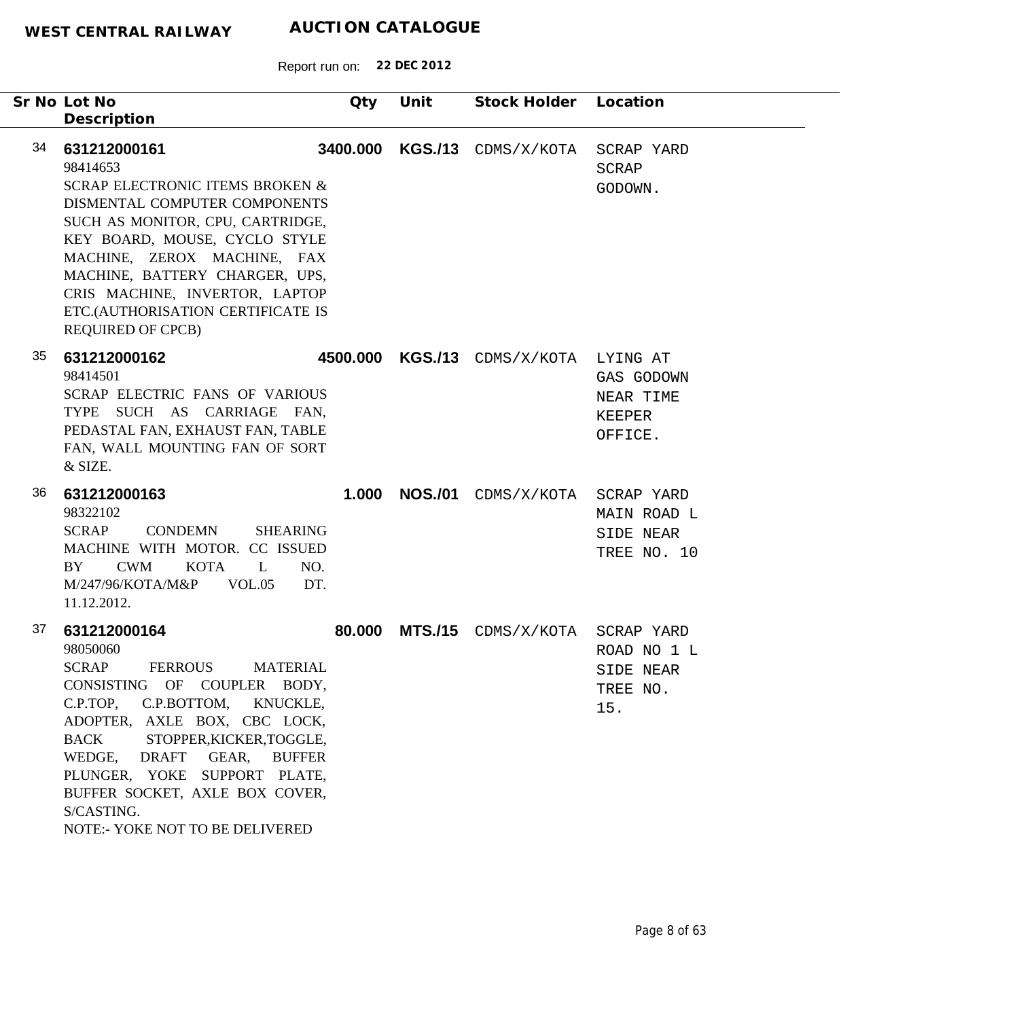|    | Sr No Lot No<br>Description                                                                                                                                                                                                                                                                                                                                                 | Qty      | Unit           | Stock Holder Location  |                                                           |
|----|-----------------------------------------------------------------------------------------------------------------------------------------------------------------------------------------------------------------------------------------------------------------------------------------------------------------------------------------------------------------------------|----------|----------------|------------------------|-----------------------------------------------------------|
| 34 | 631212000161<br>98414653<br><b>SCRAP ELECTRONIC ITEMS BROKEN &amp;</b><br>DISMENTAL COMPUTER COMPONENTS<br>SUCH AS MONITOR, CPU, CARTRIDGE,<br>KEY BOARD, MOUSE, CYCLO STYLE<br>MACHINE, ZEROX MACHINE, FAX<br>MACHINE, BATTERY CHARGER, UPS,<br>CRIS MACHINE, INVERTOR, LAPTOP<br>ETC.(AUTHORISATION CERTIFICATE IS<br><b>REQUIRED OF CPCB)</b>                            | 3400.000 | <b>KGS./13</b> | CDMS/X/KOTA            | SCRAP YARD<br><b>SCRAP</b><br>GODOWN.                     |
| 35 | 631212000162<br>98414501<br>SCRAP ELECTRIC FANS OF VARIOUS<br>TYPE SUCH AS CARRIAGE FAN,<br>PEDASTAL FAN, EXHAUST FAN, TABLE<br>FAN, WALL MOUNTING FAN OF SORT<br>& SIZE.                                                                                                                                                                                                   | 4500.000 | <b>KGS./13</b> | CDMS/X/KOTA            | LYING AT<br>GAS GODOWN<br>NEAR TIME<br>KEEPER<br>OFFICE.  |
| 36 | 631212000163<br>98322102<br><b>SCRAP</b><br><b>CONDEMN</b><br><b>SHEARING</b><br>MACHINE WITH MOTOR. CC ISSUED<br><b>CWM</b><br><b>KOTA</b><br>L<br>BY<br>NO.<br>M/247/96/KOTA/M&P<br>VOL.05<br>DT.<br>11.12.2012.                                                                                                                                                          | 1.000    | <b>NOS./01</b> | CDMS/X/KOTA SCRAP YARD | MAIN ROAD L<br>SIDE NEAR<br>TREE NO. 10                   |
| 37 | 631212000164<br>98050060<br><b>FERROUS</b><br><b>MATERIAL</b><br><b>SCRAP</b><br>CONSISTING OF COUPLER BODY,<br>C.P.TOP, C.P.BOTTOM, KNUCKLE,<br>ADOPTER, AXLE BOX, CBC LOCK,<br><b>BACK</b><br>STOPPER, KICKER, TOGGLE,<br>WEDGE,<br>DRAFT GEAR, BUFFER<br>PLUNGER, YOKE SUPPORT PLATE,<br>BUFFER SOCKET, AXLE BOX COVER,<br>S/CASTING.<br>NOTE:- YOKE NOT TO BE DELIVERED | 80,000   | <b>MTS./15</b> | CDMS/X/KOTA            | SCRAP YARD<br>ROAD NO 1 L<br>SIDE NEAR<br>TREE NO.<br>15. |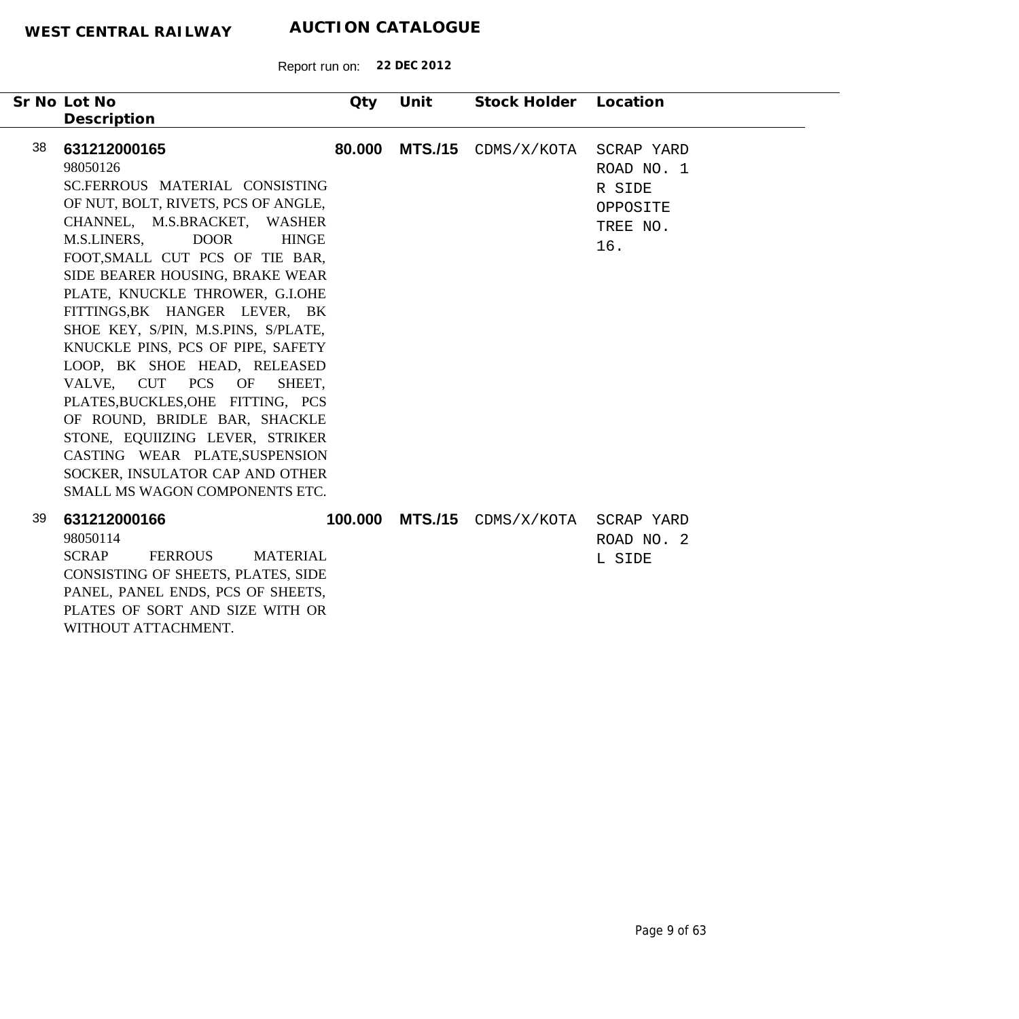| Sr No Lot No<br>Description                                                                                                                                                                                                                                                                                                                                                                                                                                                                                                                                                                                                                                                                | Qty     | Unit           | Stock Holder Location |                                                                   |
|--------------------------------------------------------------------------------------------------------------------------------------------------------------------------------------------------------------------------------------------------------------------------------------------------------------------------------------------------------------------------------------------------------------------------------------------------------------------------------------------------------------------------------------------------------------------------------------------------------------------------------------------------------------------------------------------|---------|----------------|-----------------------|-------------------------------------------------------------------|
| 38<br>631212000165<br>98050126<br>SC.FERROUS MATERIAL CONSISTING<br>OF NUT, BOLT, RIVETS, PCS OF ANGLE,<br>CHANNEL, M.S.BRACKET, WASHER<br>M.S.LINERS,<br><b>DOOR</b><br><b>HINGE</b><br>FOOT, SMALL CUT PCS OF TIE BAR,<br>SIDE BEARER HOUSING, BRAKE WEAR<br>PLATE, KNUCKLE THROWER, G.I.OHE<br>FITTINGS, BK HANGER LEVER, BK<br>SHOE KEY, S/PIN, M.S.PINS, S/PLATE,<br>KNUCKLE PINS, PCS OF PIPE, SAFETY<br>LOOP, BK SHOE HEAD, RELEASED<br>VALVE, CUT PCS OF<br>SHEET.<br>PLATES, BUCKLES, OHE FITTING, PCS<br>OF ROUND, BRIDLE BAR, SHACKLE<br>STONE, EQUIIZING LEVER, STRIKER<br>CASTING WEAR PLATE, SUSPENSION<br>SOCKER, INSULATOR CAP AND OTHER<br>SMALL MS WAGON COMPONENTS ETC. | 80,000  | <b>MTS./15</b> | CDMS/X/KOTA           | SCRAP YARD<br>ROAD NO. 1<br>R SIDE<br>OPPOSITE<br>TREE NO.<br>16. |
| 39<br>631212000166<br>98050114<br><b>SCRAP</b><br><b>FERROUS</b><br><b>MATERIAL</b><br>CONSISTING OF SHEETS, PLATES, SIDE<br>PANEL, PANEL ENDS, PCS OF SHEETS,<br>PLATES OF SORT AND SIZE WITH OR<br>WITHOUT ATTACHMENT.                                                                                                                                                                                                                                                                                                                                                                                                                                                                   | 100.000 | <b>MTS./15</b> | CDMS/X/KOTA           | SCRAP YARD<br>ROAD NO. 2<br>L SIDE                                |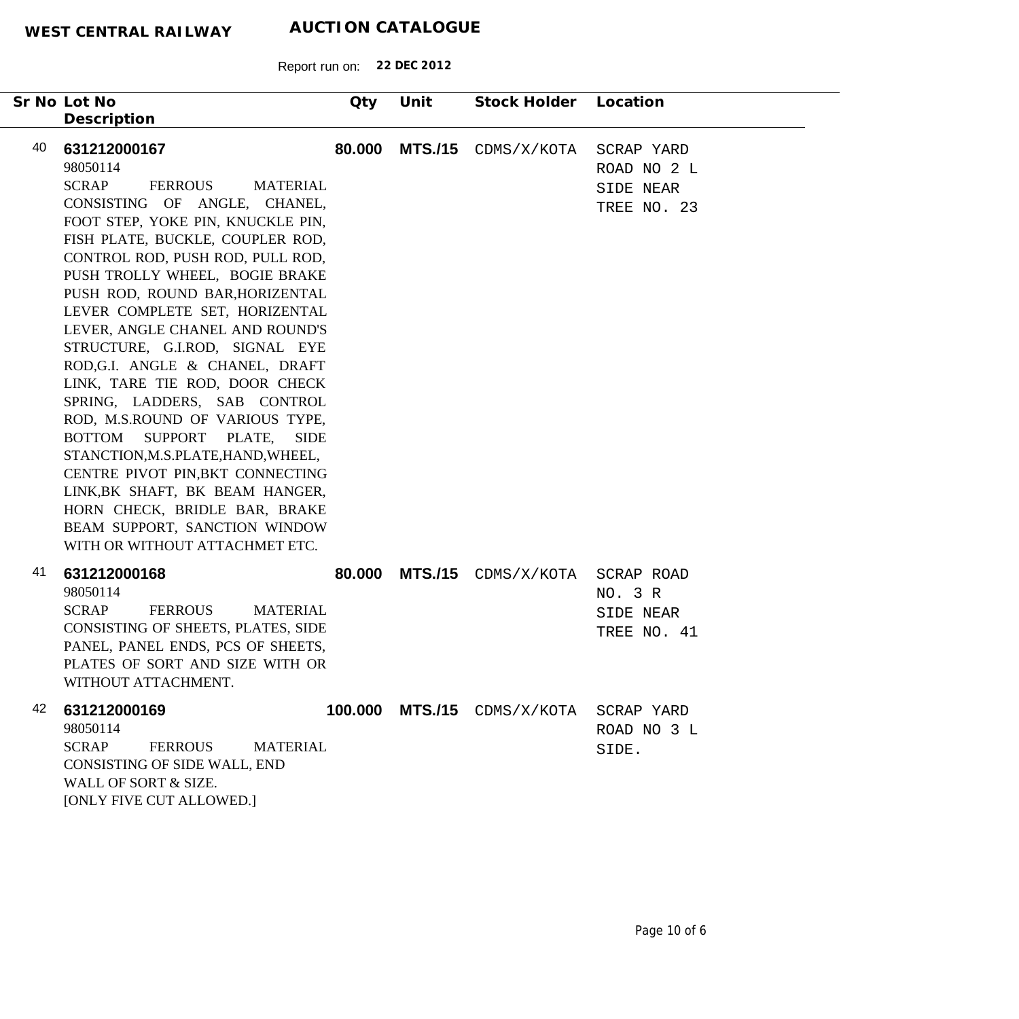| Sr No Lot No                                                                                                                                                                                                                                                                                                                                                                                                                                                                                                                                                                                                                                                                                                                                                                                                  | Qty    | Unit           | Stock Holder                | Location                                              |
|---------------------------------------------------------------------------------------------------------------------------------------------------------------------------------------------------------------------------------------------------------------------------------------------------------------------------------------------------------------------------------------------------------------------------------------------------------------------------------------------------------------------------------------------------------------------------------------------------------------------------------------------------------------------------------------------------------------------------------------------------------------------------------------------------------------|--------|----------------|-----------------------------|-------------------------------------------------------|
| Description                                                                                                                                                                                                                                                                                                                                                                                                                                                                                                                                                                                                                                                                                                                                                                                                   |        |                |                             |                                                       |
| 40<br>631212000167<br>98050114<br><b>SCRAP</b><br><b>FERROUS</b><br><b>MATERIAL</b><br>CONSISTING OF ANGLE, CHANEL,<br>FOOT STEP, YOKE PIN, KNUCKLE PIN,<br>FISH PLATE, BUCKLE, COUPLER ROD,<br>CONTROL ROD, PUSH ROD, PULL ROD,<br>PUSH TROLLY WHEEL, BOGIE BRAKE<br>PUSH ROD, ROUND BAR, HORIZENTAL<br>LEVER COMPLETE SET, HORIZENTAL<br>LEVER, ANGLE CHANEL AND ROUND'S<br>STRUCTURE, G.I.ROD, SIGNAL EYE<br>ROD, G.I. ANGLE & CHANEL, DRAFT<br>LINK, TARE TIE ROD, DOOR CHECK<br>SPRING, LADDERS, SAB CONTROL<br>ROD, M.S.ROUND OF VARIOUS TYPE,<br>BOTTOM SUPPORT PLATE,<br><b>SIDE</b><br>STANCTION, M.S.PLATE, HAND, WHEEL,<br>CENTRE PIVOT PIN, BKT CONNECTING<br>LINK, BK SHAFT, BK BEAM HANGER,<br>HORN CHECK, BRIDLE BAR, BRAKE<br>BEAM SUPPORT, SANCTION WINDOW<br>WITH OR WITHOUT ATTACHMET ETC. | 80.000 | <b>MTS./15</b> | CDMS/X/KOTA                 | SCRAP YARD<br>ROAD NO 2 L<br>SIDE NEAR<br>TREE NO. 23 |
| 41<br>631212000168<br>98050114<br><b>SCRAP</b><br><b>FERROUS</b><br><b>MATERIAL</b><br>CONSISTING OF SHEETS, PLATES, SIDE<br>PANEL, PANEL ENDS, PCS OF SHEETS,<br>PLATES OF SORT AND SIZE WITH OR<br>WITHOUT ATTACHMENT.                                                                                                                                                                                                                                                                                                                                                                                                                                                                                                                                                                                      | 80.000 | <b>MTS./15</b> | CDMS/X/KOTA                 | SCRAP ROAD<br>NO. 3 R<br>SIDE NEAR<br>TREE NO. 41     |
| 42<br>631212000169<br>98050114<br><b>SCRAP</b><br><b>FERROUS</b><br><b>MATERIAL</b><br>CONSISTING OF SIDE WALL, END<br>WALL OF SORT & SIZE.<br>[ONLY FIVE CUT ALLOWED.]                                                                                                                                                                                                                                                                                                                                                                                                                                                                                                                                                                                                                                       |        |                | 100.000 MTS./15 CDMS/X/KOTA | SCRAP YARD<br>ROAD NO 3 L<br>SIDE.                    |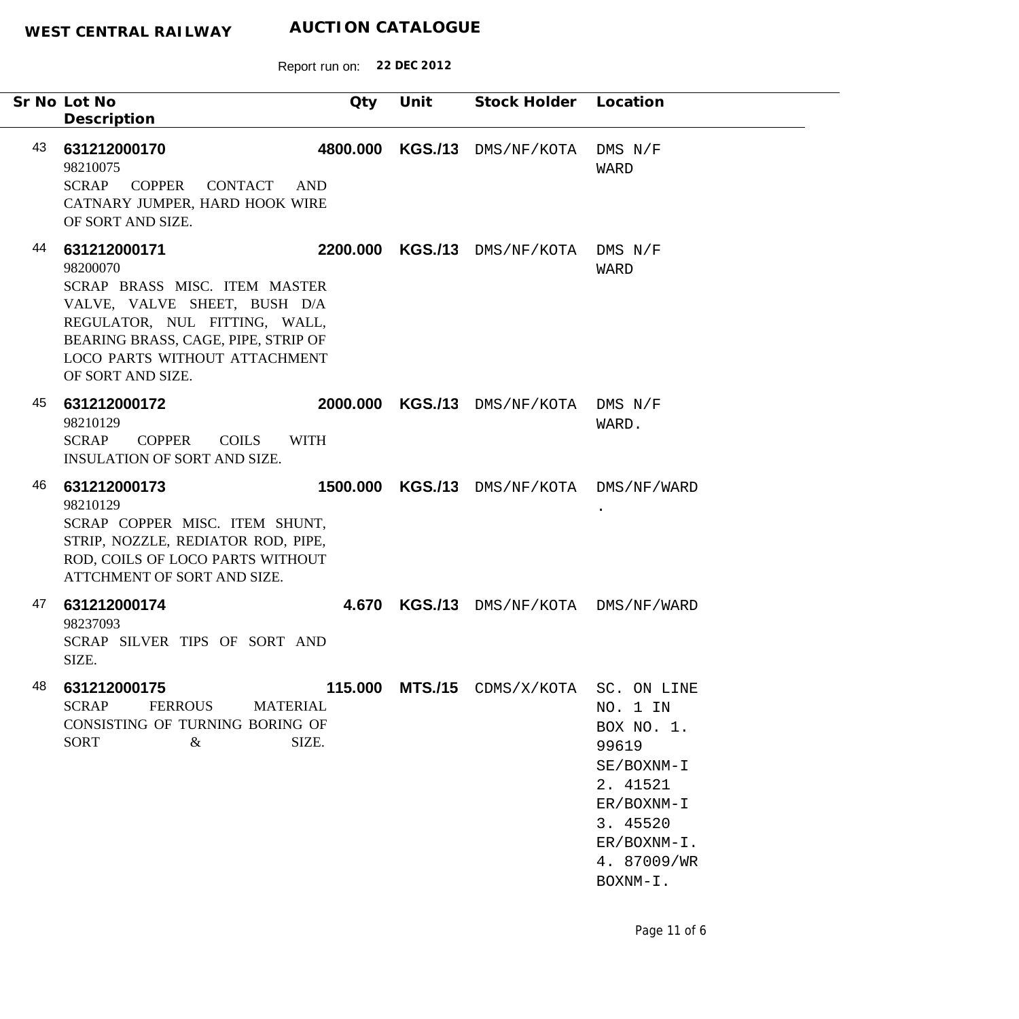|    | Sr No Lot No<br>Description                                                                                                                                                                                             | Qty             | Unit           | Stock Holder Location                    |                                                                                                                                  |
|----|-------------------------------------------------------------------------------------------------------------------------------------------------------------------------------------------------------------------------|-----------------|----------------|------------------------------------------|----------------------------------------------------------------------------------------------------------------------------------|
| 43 | 631212000170<br>98210075<br><b>COPPER</b><br><b>SCRAP</b><br>CONTACT<br>CATNARY JUMPER, HARD HOOK WIRE<br>OF SORT AND SIZE.                                                                                             | 4800.000<br>AND | <b>KGS./13</b> | DMS/NF/KOTA                              | $DMS$ $N/F$<br>WARD                                                                                                              |
| 44 | 631212000171<br>98200070<br>SCRAP BRASS MISC. ITEM MASTER<br>VALVE, VALVE SHEET, BUSH D/A<br>REGULATOR, NUL FITTING, WALL,<br>BEARING BRASS, CAGE, PIPE, STRIP OF<br>LOCO PARTS WITHOUT ATTACHMENT<br>OF SORT AND SIZE. |                 |                | 2200.000 KGS./13 DMS/NF/KOTA DMS N/F     | WARD                                                                                                                             |
| 45 | 631212000172<br>98210129<br><b>SCRAP</b><br><b>COPPER</b><br><b>COILS</b><br><b>INSULATION OF SORT AND SIZE.</b>                                                                                                        | <b>WITH</b>     |                | 2000.000 KGS./13 DMS/NF/KOTA DMS N/F     | WARD.                                                                                                                            |
| 46 | 631212000173<br>98210129<br>SCRAP COPPER MISC. ITEM SHUNT,<br>STRIP, NOZZLE, REDIATOR ROD, PIPE,<br>ROD, COILS OF LOCO PARTS WITHOUT<br>ATTCHMENT OF SORT AND SIZE.                                                     |                 |                | 1500.000 KGS./13 DMS/NF/KOTA DMS/NF/WARD |                                                                                                                                  |
| 47 | 631212000174<br>98237093<br>SCRAP SILVER TIPS OF SORT AND<br>SIZE.                                                                                                                                                      | 4.670           |                | KGS./13 DMS/NF/KOTA DMS/NF/WARD          |                                                                                                                                  |
| 48 | 631212000175<br><b>SCRAP</b><br>FERROUS MATERIAL<br>CONSISTING OF TURNING BORING OF<br><b>SORT</b><br>$\&$                                                                                                              | SIZE.           |                | 115.000 MTS./15 CDMS/X/KOTA SC. ON LINE  | NO. 1 IN<br>BOX NO. 1.<br>99619<br>SE/BOXNM-I<br>2. 41521<br>ER/BOXNM-I<br>3. 45520<br>$ER/BOXNM-I$ .<br>4. 87009/WR<br>BOXNM-I. |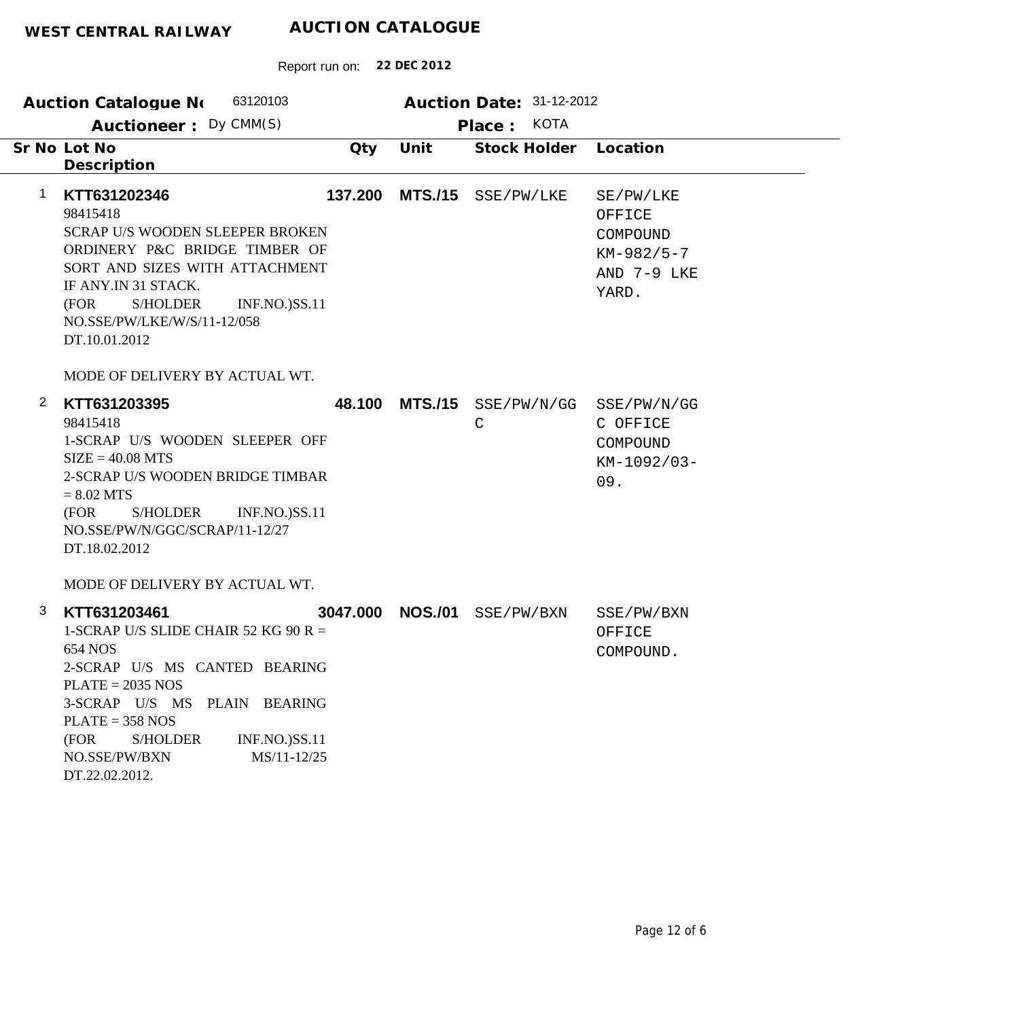| 63120103<br><b>Auction Catalogue No</b>                                                                                                                                                                                                                       |         |                  | Auction Date: 31-12-2012               |                                                                         |
|---------------------------------------------------------------------------------------------------------------------------------------------------------------------------------------------------------------------------------------------------------------|---------|------------------|----------------------------------------|-------------------------------------------------------------------------|
| Auctioneer: Dy CMM(S)                                                                                                                                                                                                                                         |         |                  | Place: KOTA                            |                                                                         |
| Sr No Lot No<br>Description                                                                                                                                                                                                                                   | Qty     | Unit             | Stock Holder                           | Location                                                                |
| KTT631202346<br>1<br>98415418<br><b>SCRAP U/S WOODEN SLEEPER BROKEN</b><br>ORDINERY P&C BRIDGE TIMBER OF<br>SORT AND SIZES WITH ATTACHMENT<br>IF ANY.IN 31 STACK.<br>S/HOLDER<br><b>INF.NO.)SS.11</b><br>(FOR<br>NO.SSE/PW/LKE/W/S/11-12/058<br>DT.10.01.2012 | 137.200 | <b>MTS./15</b>   | SSE/PW/LKE                             | SE/PW/LKE<br>OFFICE<br>COMPOUND<br>$KM-982/5-7$<br>AND 7-9 LKE<br>YARD. |
| MODE OF DELIVERY BY ACTUAL WT.                                                                                                                                                                                                                                |         |                  |                                        |                                                                         |
| $\mathbf{2}$<br>KTT631203395<br>98415418<br>1-SCRAP U/S WOODEN SLEEPER OFF<br>$SIZE = 40.08 MTS$<br>2-SCRAP U/S WOODEN BRIDGE TIMBAR<br>$= 8.02$ MTS<br>(FOR<br>S/HOLDER<br><b>INF.NO.)SS.11</b><br>NO.SSE/PW/N/GGC/SCRAP/11-12/27<br>DT.18.02.2012           | 48.100  | <b>MTS./15</b>   | SSE/PW/N/GG SSE/PW/N/GG<br>$\mathsf C$ | C OFFICE<br>COMPOUND<br>KM-1092/03-<br>09.                              |
| MODE OF DELIVERY BY ACTUAL WT.<br>3<br>KTT631203461<br>1-SCRAP U/S SLIDE CHAIR 52 KG 90 R =<br>654 NOS<br>2-SCRAP U/S MS CANTED BEARING<br>$PLATE = 2035 NOS$<br>3-SCRAP U/S MS PLAIN BEARING                                                                 |         | 3047.000 NOS./01 | SSE/PW/BXN                             | SSE/PW/BXN<br>OFFICE<br>COMPOUND.                                       |
| $PLATE = 358 NOS$<br>(FOR<br><b>S/HOLDER</b><br>INF.NO.)SS.11<br>NO.SSE/PW/BXN<br>MS/11-12/25<br>DT.22.02.2012.                                                                                                                                               |         |                  |                                        |                                                                         |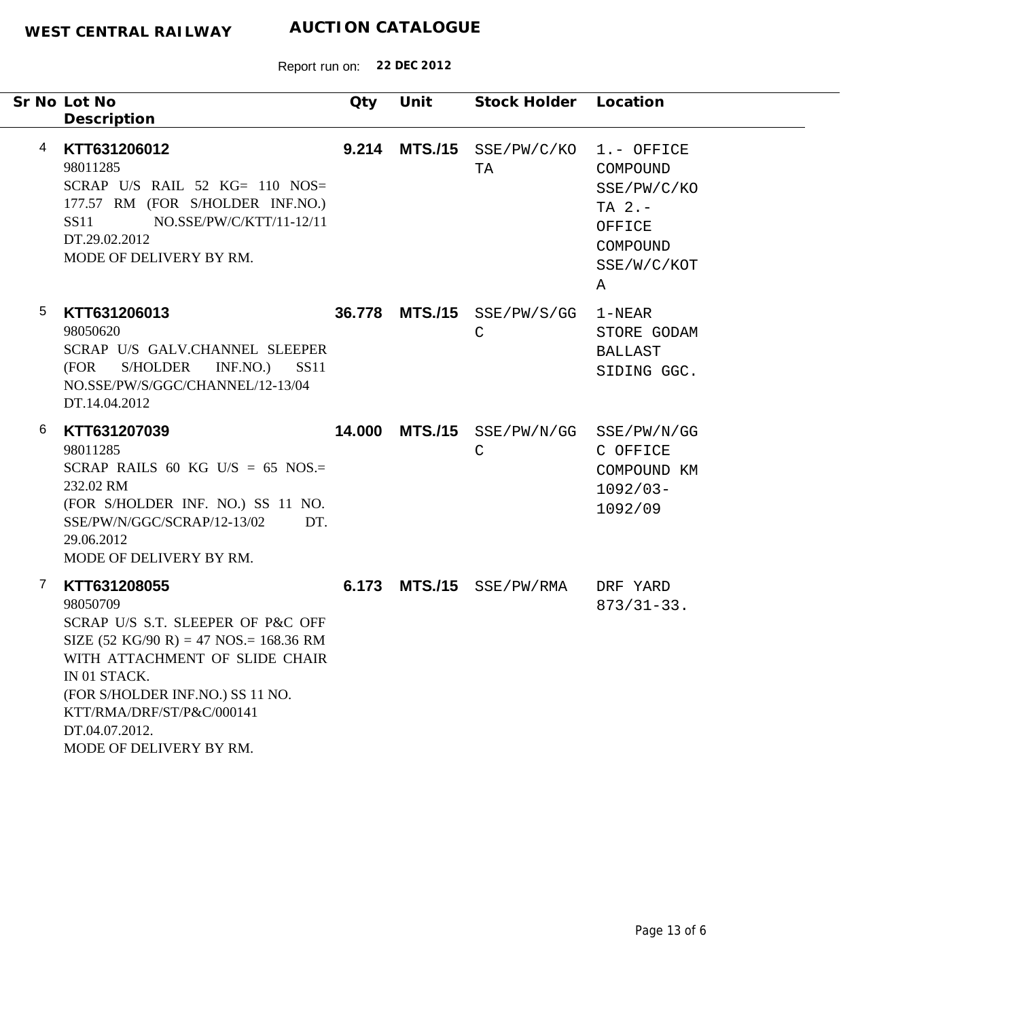|   | Sr No Lot No<br>Description                                                                                                                                                                                                                                                                               | Qty | Unit | Stock Holder Location                                  |                                                                                              |
|---|-----------------------------------------------------------------------------------------------------------------------------------------------------------------------------------------------------------------------------------------------------------------------------------------------------------|-----|------|--------------------------------------------------------|----------------------------------------------------------------------------------------------|
| 4 | KTT631206012<br>98011285<br>SCRAP U/S RAIL 52 $KG = 110$ NOS=<br>177.57 RM (FOR S/HOLDER INF.NO.)<br>NO.SSE/PW/C/KTT/11-12/11<br>SS11<br>DT.29.02.2012<br>MODE OF DELIVERY BY RM.                                                                                                                         |     |      | 9.214 MTS./15 SSE/PW/C/KO<br>TA                        | 1.- OFFICE<br>COMPOUND<br>SSE/PW/C/KO<br>TA $2. -$<br>OFFICE<br>COMPOUND<br>SSE/W/C/KOT<br>Α |
| 5 | KTT631206013<br>98050620<br>SCRAP U/S GALV.CHANNEL SLEEPER<br>S/HOLDER<br>(FOR<br>INF.NO.<br><b>SS11</b><br>NO.SSE/PW/S/GGC/CHANNEL/12-13/04<br>DT.14.04.2012                                                                                                                                             |     |      | 36.778 MTS./15 SSE/PW/S/GG<br>$\mathsf{C}$             | $1 - NEAR$<br>STORE GODAM<br><b>BALLAST</b><br>SIDING GGC.                                   |
| 6 | KTT631207039<br>98011285<br>SCRAP RAILS 60 KG U/S = 65 NOS.=<br>232.02 RM<br>(FOR S/HOLDER INF. NO.) SS 11 NO.<br>SSE/PW/N/GGC/SCRAP/12-13/02<br>DT.<br>29.06.2012<br>MODE OF DELIVERY BY RM.                                                                                                             |     |      | 14.000 MTS./15 SSE/PW/N/GG SSE/PW/N/GG<br>$\mathsf{C}$ | C OFFICE<br>COMPOUND KM<br>$1092/03 -$<br>1092/09                                            |
| 7 | KTT631208055<br>98050709<br>SCRAP U/S S.T. SLEEPER OF P&C OFF<br>SIZE $(52 \text{ KG}/90 \text{ R}) = 47 \text{ NOS} = 168.36 \text{ RM}$<br>WITH ATTACHMENT OF SLIDE CHAIR<br>IN 01 STACK.<br>(FOR S/HOLDER INF.NO.) SS 11 NO.<br>KTT/RMA/DRF/ST/P&C/000141<br>DT.04.07.2012.<br>MODE OF DELIVERY BY RM. |     |      | 6.173 MTS./15 SSE/PW/RMA                               | DRF YARD<br>$873/31-33.$                                                                     |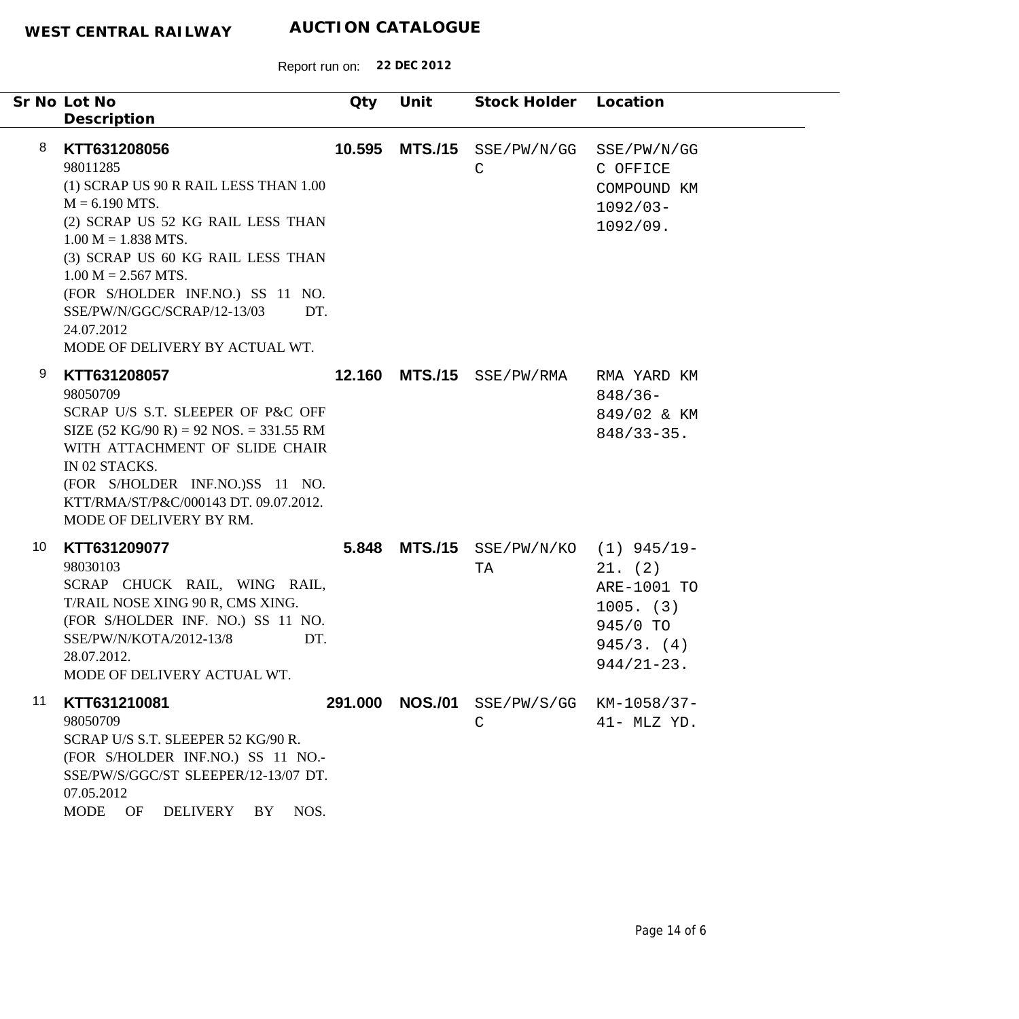|    |   | Sr No Lot No<br>Description                                                                                                                                                                                                                                                                                                                 | Qty     | Unit           | Stock Holder Location         |                                                                                   |
|----|---|---------------------------------------------------------------------------------------------------------------------------------------------------------------------------------------------------------------------------------------------------------------------------------------------------------------------------------------------|---------|----------------|-------------------------------|-----------------------------------------------------------------------------------|
|    | 8 | KTT631208056<br>98011285<br>(1) SCRAP US 90 R RAIL LESS THAN 1.00<br>$M = 6.190$ MTS.<br>(2) SCRAP US 52 KG RAIL LESS THAN<br>$1.00 M = 1.838 MTS.$<br>(3) SCRAP US 60 KG RAIL LESS THAN<br>$1.00 M = 2.567 MTS.$<br>(FOR S/HOLDER INF.NO.) SS 11 NO.<br>SSE/PW/N/GGC/SCRAP/12-13/03<br>DT.<br>24.07.2012<br>MODE OF DELIVERY BY ACTUAL WT. | 10.595  | <b>MTS./15</b> | SSE/PW/N/GG<br>$\mathsf{C}$   | SSE/PW/N/GG<br>C OFFICE<br>COMPOUND KM<br>$1092/03-$<br>1092/09.                  |
|    | 9 | KTT631208057<br>98050709<br>SCRAP U/S S.T. SLEEPER OF P&C OFF<br>SIZE $(52 \text{ KG}/90 \text{ R}) = 92 \text{ NOS} = 331.55 \text{ RM}$<br>WITH ATTACHMENT OF SLIDE CHAIR<br>IN 02 STACKS.<br>(FOR S/HOLDER INF.NO.)SS 11 NO.<br>KTT/RMA/ST/P&C/000143 DT. 09.07.2012.<br>MODE OF DELIVERY BY RM.                                         | 12.160  | <b>MTS./15</b> | SSE/PW/RMA                    | RMA YARD KM<br>$848/36-$<br>849/02 & KM<br>$848/33 - 35$ .                        |
| 10 |   | KTT631209077<br>98030103<br>SCRAP CHUCK RAIL, WING RAIL,<br>T/RAIL NOSE XING 90 R, CMS XING.<br>(FOR S/HOLDER INF. NO.) SS 11 NO.<br>SSE/PW/N/KOTA/2012-13/8<br>DT.<br>28.07.2012.<br>MODE OF DELIVERY ACTUAL WT.                                                                                                                           | 5.848   | <b>MTS./15</b> | SSE/PW/N/KO (1) 945/19-<br>TA | 21. (2)<br>ARE-1001 TO<br>$1005.$ (3)<br>945/0 TO<br>945/3. (4)<br>$944/21 - 23.$ |
| 11 |   | KTT631210081<br>98050709<br>SCRAP U/S S.T. SLEEPER 52 KG/90 R.<br>(FOR S/HOLDER INF.NO.) SS 11 NO.-<br>SSE/PW/S/GGC/ST SLEEPER/12-13/07 DT.<br>07.05.2012<br>NOS.<br><b>MODE</b><br>OF<br><b>DELIVERY</b><br>BY                                                                                                                             | 291.000 | <b>NOS./01</b> | SSE/PW/S/GG<br>$\mathsf{C}$   | KM-1058/37-<br>$41-$ MLZ YD.                                                      |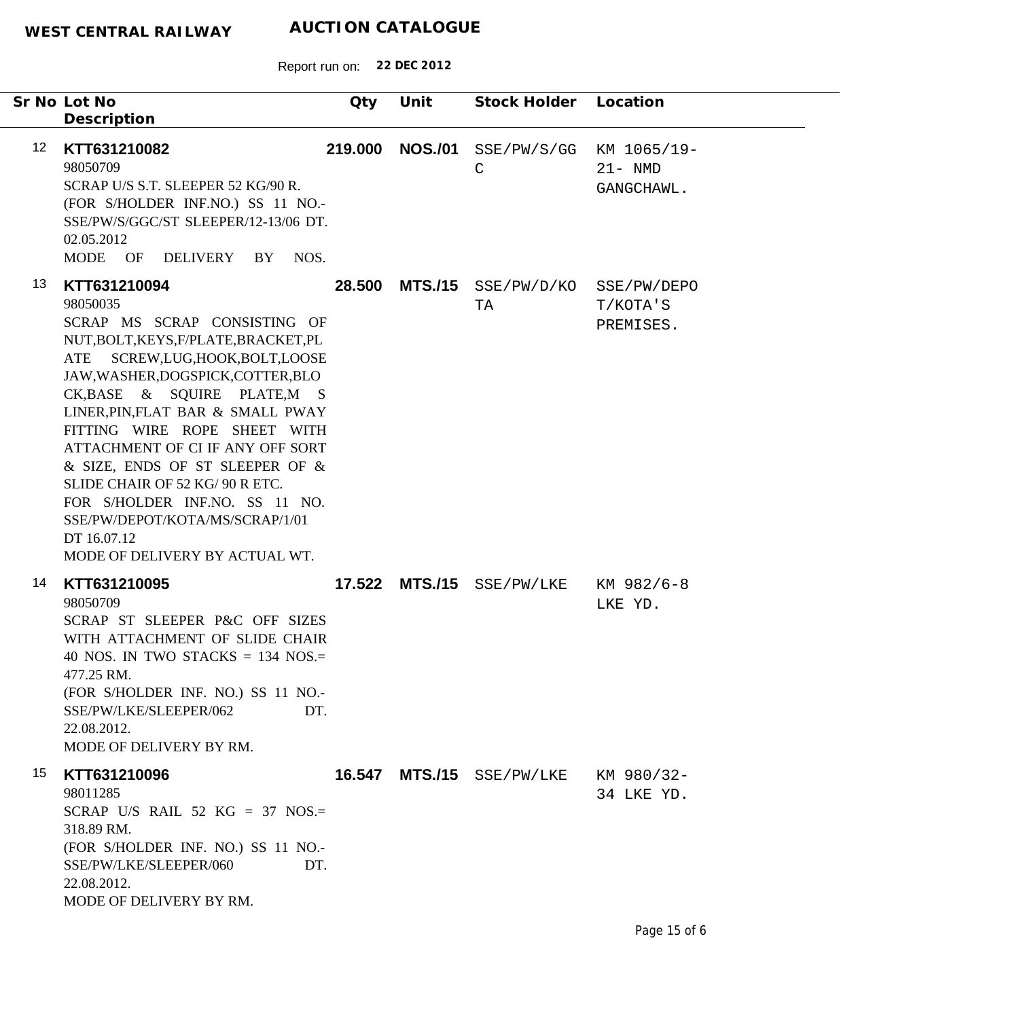|                 | Sr No Lot No<br>Description                                                                                                                                                                                                                                                                                                                                                                                                                                                                                     | Qty     | Unit           | Stock Holder Location       |                                         |
|-----------------|-----------------------------------------------------------------------------------------------------------------------------------------------------------------------------------------------------------------------------------------------------------------------------------------------------------------------------------------------------------------------------------------------------------------------------------------------------------------------------------------------------------------|---------|----------------|-----------------------------|-----------------------------------------|
| 12 <sup>°</sup> | KTT631210082<br>98050709<br>SCRAP U/S S.T. SLEEPER 52 KG/90 R.<br>(FOR S/HOLDER INF.NO.) SS 11 NO.-<br>SSE/PW/S/GGC/ST SLEEPER/12-13/06 DT.<br>02.05.2012<br>MODE OF DELIVERY BY NOS.                                                                                                                                                                                                                                                                                                                           | 219.000 | <b>NOS./01</b> | SSE/PW/S/GG<br>$\mathsf{C}$ | KM 1065/19-<br>$21 - NMD$<br>GANGCHAWL. |
| 13              | KTT631210094<br>98050035<br>SCRAP MS SCRAP CONSISTING OF<br>NUT, BOLT, KEYS, F/PLATE, BRACKET, PL<br>SCREW,LUG,HOOK,BOLT,LOOSE<br>ATE<br>JAW, WASHER, DOGSPICK, COTTER, BLO<br>CK, BASE & SQUIRE PLATE, MS<br>LINER, PIN, FLAT BAR & SMALL PWAY<br>FITTING WIRE ROPE SHEET WITH<br>ATTACHMENT OF CI IF ANY OFF SORT<br>& SIZE, ENDS OF ST SLEEPER OF &<br>SLIDE CHAIR OF 52 KG/ 90 R ETC.<br>FOR S/HOLDER INF.NO. SS 11 NO.<br>SSE/PW/DEPOT/KOTA/MS/SCRAP/1/01<br>DT 16.07.12<br>MODE OF DELIVERY BY ACTUAL WT. | 28.500  | <b>MTS./15</b> | SSE/PW/D/KO<br>TA           | SSE/PW/DEPO<br>T/KOTA'S<br>PREMISES.    |
| 14              | KTT631210095<br>98050709<br>SCRAP ST SLEEPER P&C OFF SIZES<br>WITH ATTACHMENT OF SLIDE CHAIR<br>40 NOS. IN TWO STACKS = 134 NOS.=<br>477.25 RM.<br>(FOR S/HOLDER INF. NO.) SS 11 NO.-<br>SSE/PW/LKE/SLEEPER/062<br>DT.<br>22.08.2012.<br>MODE OF DELIVERY BY RM.                                                                                                                                                                                                                                                |         |                | 17.522 MTS./15 SSE/PW/LKE   | KM 982/6-8<br>LKE YD.                   |
| 15              | KTT631210096<br>98011285<br>SCRAP U/S RAIL 52 KG = 37 NOS.=<br>318.89 RM.<br>(FOR S/HOLDER INF. NO.) SS 11 NO.-<br>SSE/PW/LKE/SLEEPER/060<br>DT.<br>22.08.2012.<br>MODE OF DELIVERY BY RM.                                                                                                                                                                                                                                                                                                                      |         |                | 16.547 MTS./15 SSE/PW/LKE   | KM 980/32-<br>34 LKE YD.                |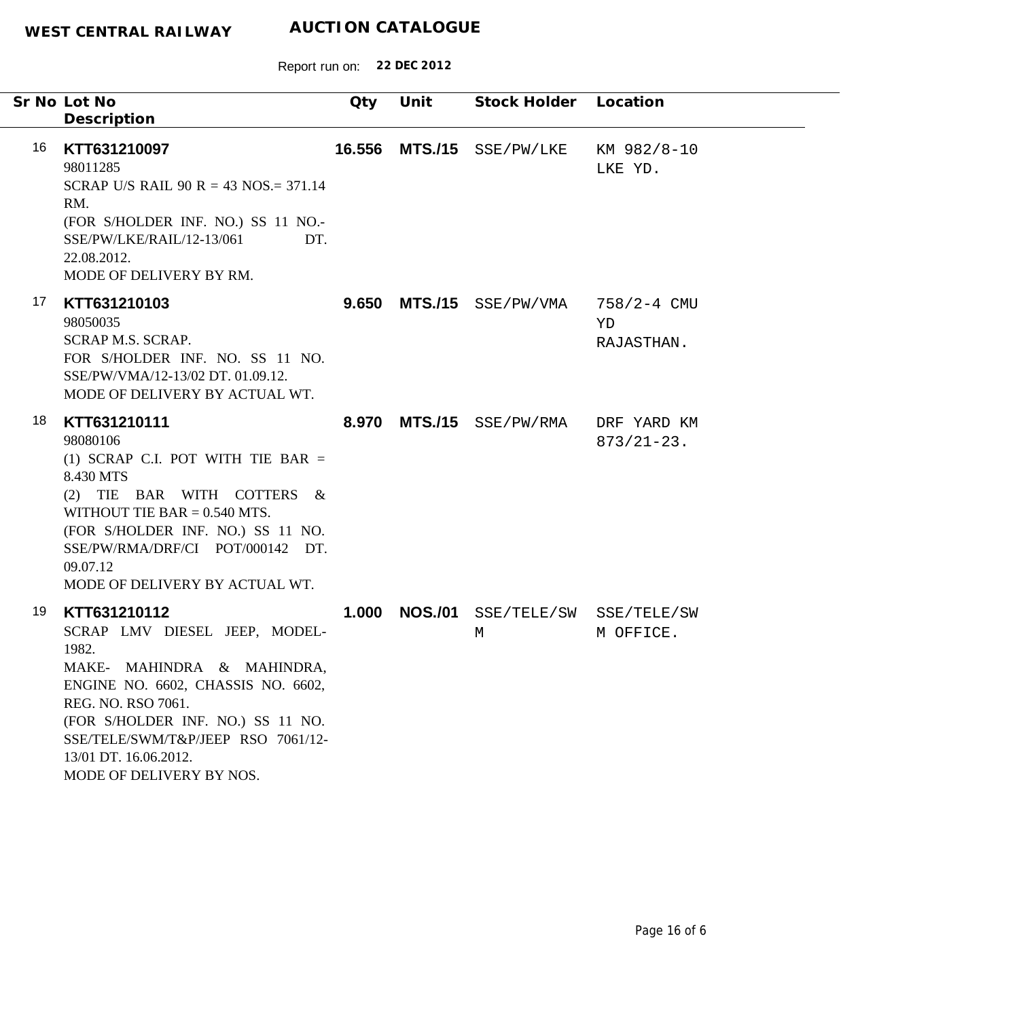|    | Sr No Lot No                                                                                                                                                                                                                                                                     | Qty    | Unit | Stock Holder Location                |                                 |
|----|----------------------------------------------------------------------------------------------------------------------------------------------------------------------------------------------------------------------------------------------------------------------------------|--------|------|--------------------------------------|---------------------------------|
|    | Description                                                                                                                                                                                                                                                                      |        |      |                                      |                                 |
| 16 | KTT631210097<br>98011285<br>SCRAP U/S RAIL 90 R = 43 NOS. = 371.14<br>RM.<br>(FOR S/HOLDER INF. NO.) SS 11 NO.-<br>SSE/PW/LKE/RAIL/12-13/061<br>DT.<br>22.08.2012.<br>MODE OF DELIVERY BY RM.                                                                                    | 16.556 |      | MTS./15 SSE/PW/LKE                   | KM 982/8-10<br>LKE YD.          |
| 17 | KTT631210103<br>98050035<br><b>SCRAP M.S. SCRAP.</b><br>FOR S/HOLDER INF. NO. SS 11 NO.<br>SSE/PW/VMA/12-13/02 DT. 01.09.12.<br>MODE OF DELIVERY BY ACTUAL WT.                                                                                                                   |        |      | $9.650$ MTS./15 $SSE/PW/VMA$         | 758/2-4 CMU<br>YD<br>RAJASTHAN. |
| 18 | KTT631210111<br>98080106<br>(1) SCRAP C.I. POT WITH TIE BAR $=$<br>8.430 MTS<br>(2) TIE BAR WITH COTTERS &<br>WITHOUT TIE BAR $= 0.540$ MTS.<br>(FOR S/HOLDER INF. NO.) SS 11 NO.<br>SSE/PW/RMA/DRF/CI POT/000142 DT.<br>09.07.12<br>MODE OF DELIVERY BY ACTUAL WT.              |        |      | 8.970 MTS./15 SSE/PW/RMA             | DRF YARD KM<br>$873/21 - 23$ .  |
| 19 | KTT631210112<br>SCRAP LMV DIESEL JEEP, MODEL-<br>1982.<br>MAKE- MAHINDRA & MAHINDRA,<br>ENGINE NO. 6602, CHASSIS NO. 6602,<br>REG. NO. RSO 7061.<br>(FOR S/HOLDER INF. NO.) SS 11 NO.<br>SSE/TELE/SWM/T&P/JEEP RSO 7061/12-<br>13/01 DT. 16.06.2012.<br>MODE OF DELIVERY BY NOS. | 1.000  |      | NOS./01 SSE/TELE/SW SSE/TELE/SW<br>М | M OFFICE.                       |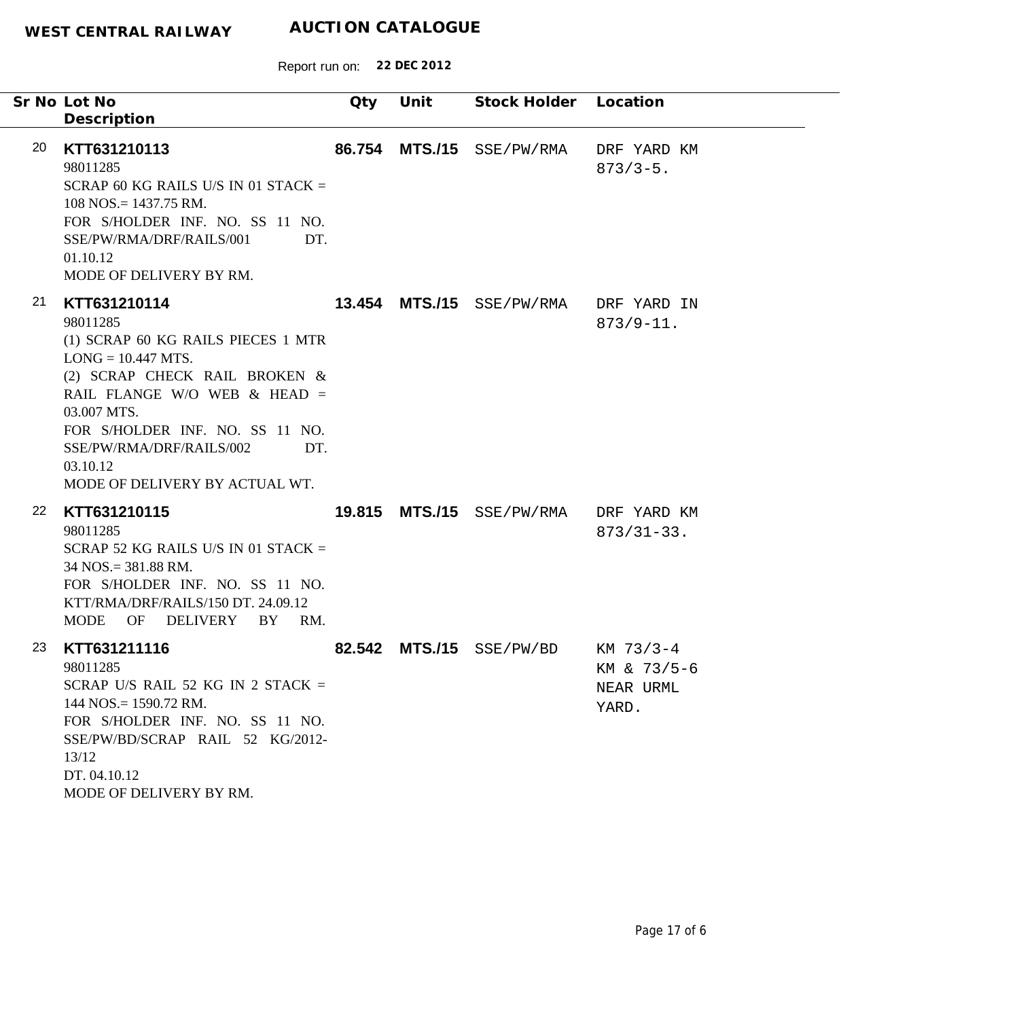|    | Sr No Lot No<br>Description                                                                                                                                                                                                                                                                  | Qty | Unit | Stock Holder              | Location                                         |
|----|----------------------------------------------------------------------------------------------------------------------------------------------------------------------------------------------------------------------------------------------------------------------------------------------|-----|------|---------------------------|--------------------------------------------------|
| 20 | KTT631210113<br>98011285<br>SCRAP 60 KG RAILS U/S IN 01 STACK $=$<br>$108$ NOS. = 1437.75 RM.<br>FOR S/HOLDER INF. NO. SS 11 NO.<br>SSE/PW/RMA/DRF/RAILS/001<br>DT.<br>01.10.12<br>MODE OF DELIVERY BY RM.                                                                                   |     |      | 86.754 MTS./15 SSE/PW/RMA | DRF YARD KM<br>$873/3 - 5$ .                     |
| 21 | KTT631210114<br>98011285<br>(1) SCRAP 60 KG RAILS PIECES 1 MTR<br>$LONG = 10.447 MTS.$<br>(2) SCRAP CHECK RAIL BROKEN &<br>RAIL FLANGE W/O WEB $&$ HEAD =<br>03.007 MTS.<br>FOR S/HOLDER INF. NO. SS 11 NO.<br>SSE/PW/RMA/DRF/RAILS/002<br>DT.<br>03.10.12<br>MODE OF DELIVERY BY ACTUAL WT. |     |      | 13.454 MTS./15 SSE/PW/RMA | DRF YARD IN<br>$873/9 - 11.$                     |
| 22 | KTT631210115<br>98011285<br>SCRAP 52 KG RAILS U/S IN 01 STACK $=$<br>34 NOS.= 381.88 RM.<br>FOR S/HOLDER INF. NO. SS 11 NO.<br>KTT/RMA/DRF/RAILS/150 DT. 24.09.12<br>OF DELIVERY<br><b>MODE</b><br>BY<br>RM.                                                                                 |     |      | 19.815 MTS./15 SSE/PW/RMA | DRF YARD KM<br>$873/31 - 33.$                    |
| 23 | KTT631211116<br>98011285<br>SCRAP U/S RAIL 52 KG IN 2 STACK =<br>$144$ NOS. = 1590.72 RM.<br>FOR S/HOLDER INF. NO. SS 11 NO.<br>SSE/PW/BD/SCRAP RAIL 52 KG/2012-<br>13/12<br>DT. 04.10.12<br>MODE OF DELIVERY BY RM.                                                                         |     |      | 82.542 MTS./15 SSE/PW/BD  | $KM$ 73/3-4<br>KM & 73/5-6<br>NEAR URML<br>YARD. |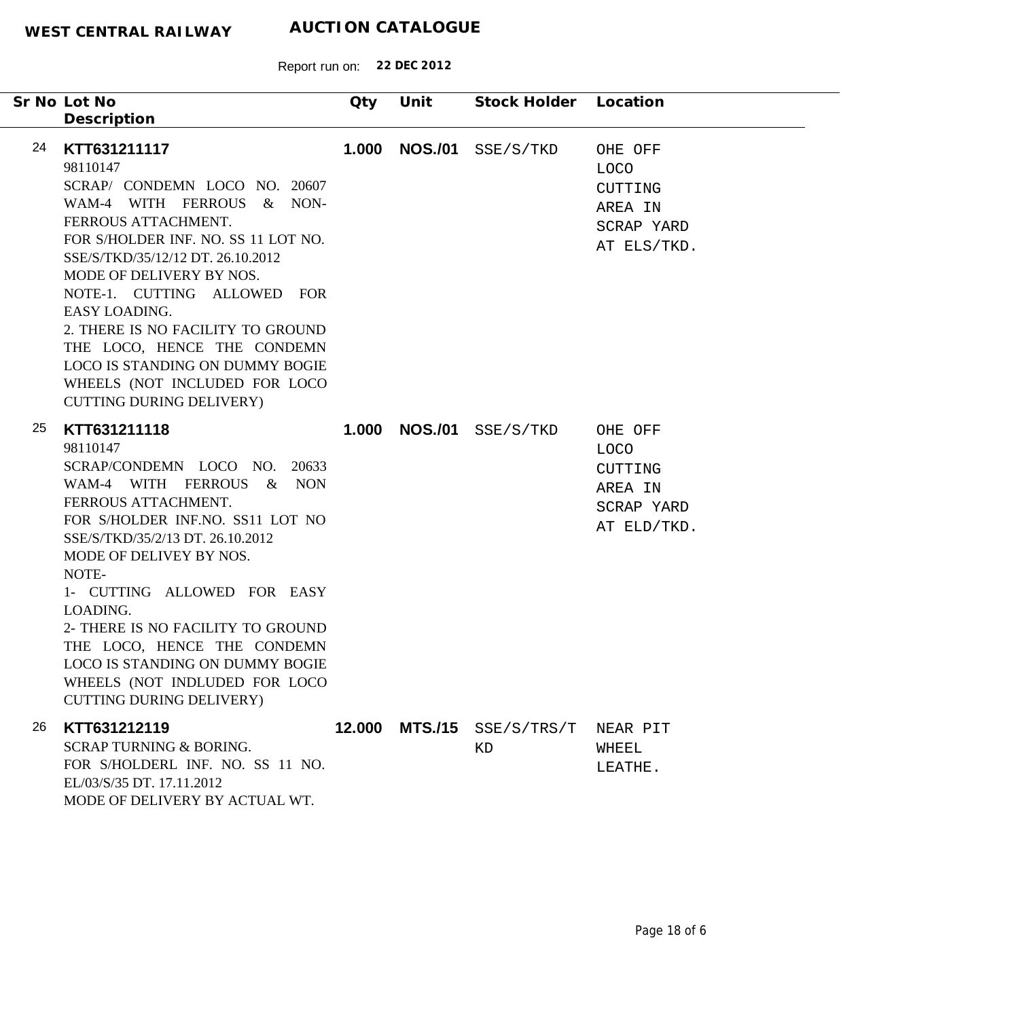|    | Sr No Lot No                                                                                                                                                                                                                                                                                            | Qty   | Unit | Stock Holder Location            |                                                                           |
|----|---------------------------------------------------------------------------------------------------------------------------------------------------------------------------------------------------------------------------------------------------------------------------------------------------------|-------|------|----------------------------------|---------------------------------------------------------------------------|
| 24 | Description<br>KTT631211117<br>98110147<br>SCRAP/ CONDEMN LOCO NO. 20607<br>WAM-4 WITH FERROUS & NON-<br>FERROUS ATTACHMENT.<br>FOR S/HOLDER INF. NO. SS 11 LOT NO.<br>SSE/S/TKD/35/12/12 DT. 26.10.2012<br>MODE OF DELIVERY BY NOS.<br>NOTE-1. CUTTING ALLOWED FOR                                     | 1.000 |      | <b>NOS./01</b> SSE/S/TKD         | OHE OFF<br>LOCO<br>CUTTING<br>AREA IN<br>SCRAP YARD<br>AT ELS/TKD.        |
|    | EASY LOADING.<br>2. THERE IS NO FACILITY TO GROUND<br>THE LOCO, HENCE THE CONDEMN<br><b>LOCO IS STANDING ON DUMMY BOGIE</b><br>WHEELS (NOT INCLUDED FOR LOCO<br><b>CUTTING DURING DELIVERY)</b>                                                                                                         |       |      |                                  |                                                                           |
| 25 | KTT631211118<br>98110147<br>SCRAP/CONDEMN LOCO NO. 20633<br>WAM-4 WITH FERROUS & NON<br>FERROUS ATTACHMENT.<br>FOR S/HOLDER INF.NO. SS11 LOT NO<br>SSE/S/TKD/35/2/13 DT. 26.10.2012<br>MODE OF DELIVEY BY NOS.<br>NOTE-<br>1- CUTTING ALLOWED FOR EASY<br>LOADING.<br>2- THERE IS NO FACILITY TO GROUND |       |      | <b>1.000 NOS./01</b> SSE/S/TKD   | OHE OFF<br><b>LOCO</b><br>CUTTING<br>AREA IN<br>SCRAP YARD<br>AT ELD/TKD. |
|    | THE LOCO, HENCE THE CONDEMN<br>LOCO IS STANDING ON DUMMY BOGIE<br>WHEELS (NOT INDLUDED FOR LOCO<br><b>CUTTING DURING DELIVERY)</b>                                                                                                                                                                      |       |      |                                  |                                                                           |
| 26 | KTT631212119<br><b>SCRAP TURNING &amp; BORING.</b><br>FOR S/HOLDERL INF. NO. SS 11 NO.<br>EL/03/S/35 DT. 17.11.2012<br>MODE OF DELIVERY BY ACTUAL WT.                                                                                                                                                   |       |      | 12.000 MTS./15 SSE/S/TRS/T<br>ΚD | NEAR PIT<br>WHEEL<br>LEATHE.                                              |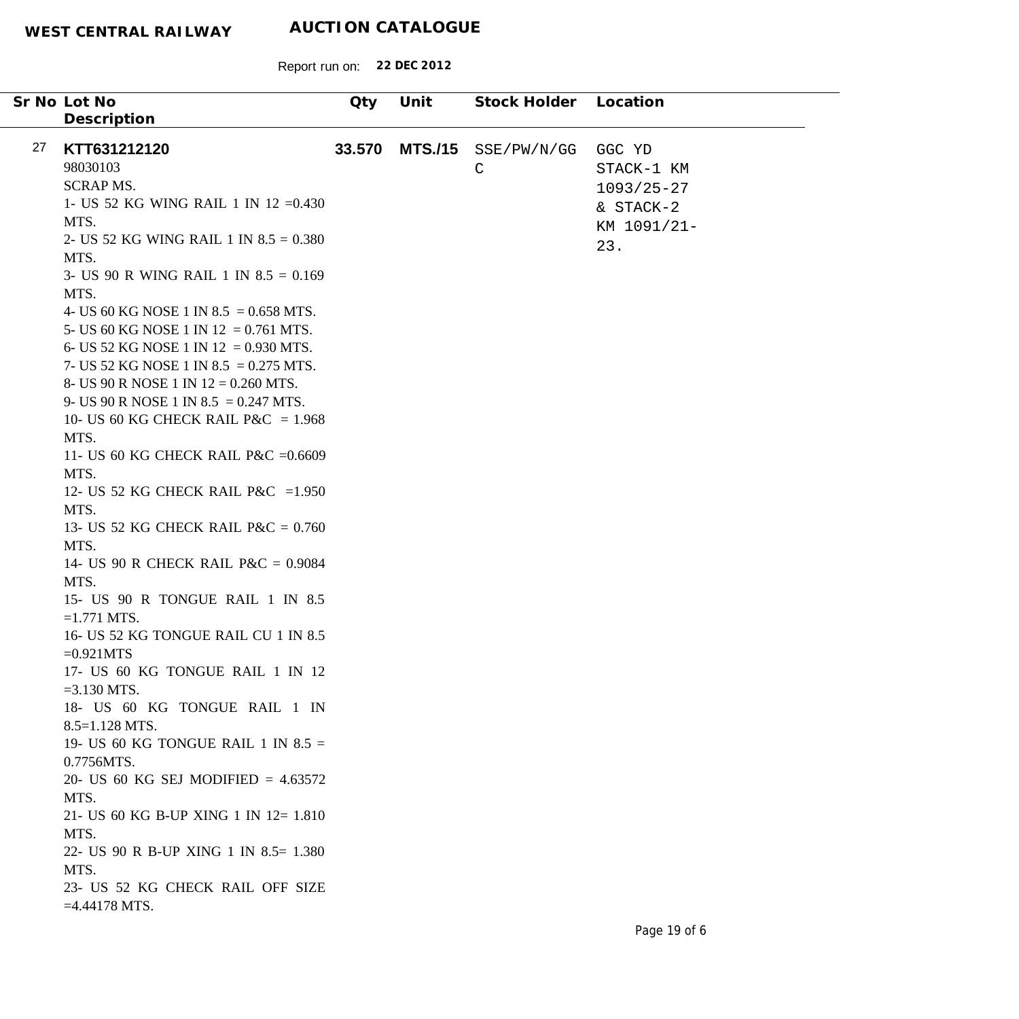|    | Sr No Lot No                             | Qty    | Unit           | Stock Holder | Location       |
|----|------------------------------------------|--------|----------------|--------------|----------------|
|    | Description                              |        |                |              |                |
|    |                                          |        |                |              |                |
| 27 | KTT631212120                             | 33.570 | <b>MTS./15</b> | SSE/PW/N/GG  | GGC YD         |
|    | 98030103                                 |        |                | $\mathsf{C}$ | STACK-1 KM     |
|    | <b>SCRAPMS.</b>                          |        |                |              | $1093/25 - 27$ |
|    | 1- US 52 KG WING RAIL 1 IN 12 = 0.430    |        |                |              | & STACK-2      |
|    | MTS.                                     |        |                |              | KM 1091/21-    |
|    | 2- US 52 KG WING RAIL 1 IN $8.5 = 0.380$ |        |                |              | 23.            |
|    | MTS.                                     |        |                |              |                |
|    | 3- US 90 R WING RAIL 1 IN $8.5 = 0.169$  |        |                |              |                |
|    | MTS.                                     |        |                |              |                |
|    | 4- US 60 KG NOSE 1 IN 8.5 = 0.658 MTS.   |        |                |              |                |
|    | 5- US 60 KG NOSE 1 IN 12 = 0.761 MTS.    |        |                |              |                |
|    | 6- US 52 KG NOSE 1 IN 12 = 0.930 MTS.    |        |                |              |                |
|    | 7- US 52 KG NOSE 1 IN 8.5 = 0.275 MTS.   |        |                |              |                |
|    | 8- US 90 R NOSE 1 IN $12 = 0.260$ MTS.   |        |                |              |                |
|    | 9- US 90 R NOSE 1 IN 8.5 = 0.247 MTS.    |        |                |              |                |
|    | 10- US 60 KG CHECK RAIL P&C = $1.968$    |        |                |              |                |
|    | MTS.                                     |        |                |              |                |
|    | 11- US 60 KG CHECK RAIL P&C = 0.6609     |        |                |              |                |
|    | MTS.                                     |        |                |              |                |
|    | 12- US 52 KG CHECK RAIL P&C = 1.950      |        |                |              |                |
|    | MTS.                                     |        |                |              |                |
|    | 13- US 52 KG CHECK RAIL P&C = $0.760$    |        |                |              |                |
|    | MTS.                                     |        |                |              |                |
|    | 14- US 90 R CHECK RAIL P&C = $0.9084$    |        |                |              |                |
|    | MTS.                                     |        |                |              |                |
|    | 15- US 90 R TONGUE RAIL 1 IN 8.5         |        |                |              |                |
|    | $=1.771$ MTS.                            |        |                |              |                |
|    | 16- US 52 KG TONGUE RAIL CU 1 IN 8.5     |        |                |              |                |
|    | $=0.921MTS$                              |        |                |              |                |
|    | 17- US 60 KG TONGUE RAIL 1 IN 12         |        |                |              |                |
|    | $=3.130$ MTS.                            |        |                |              |                |
|    | 18- US 60 KG TONGUE RAIL 1 IN            |        |                |              |                |
|    | $8.5 = 1.128$ MTS.                       |        |                |              |                |
|    | 19- US 60 KG TONGUE RAIL 1 IN $8.5 =$    |        |                |              |                |
|    | 0.7756MTS.                               |        |                |              |                |
|    | 20- US 60 KG SEJ MODIFIED = $4.63572$    |        |                |              |                |
|    | MTS.                                     |        |                |              |                |
|    | 21- US 60 KG B-UP XING 1 IN 12= 1.810    |        |                |              |                |
|    | MTS.                                     |        |                |              |                |
|    | 22- US 90 R B-UP XING 1 IN 8.5= 1.380    |        |                |              |                |
|    | MTS.                                     |        |                |              |                |
|    | 23- US 52 KG CHECK RAIL OFF SIZE         |        |                |              |                |
|    | $=4.44178$ MTS.                          |        |                |              |                |
|    |                                          |        |                |              |                |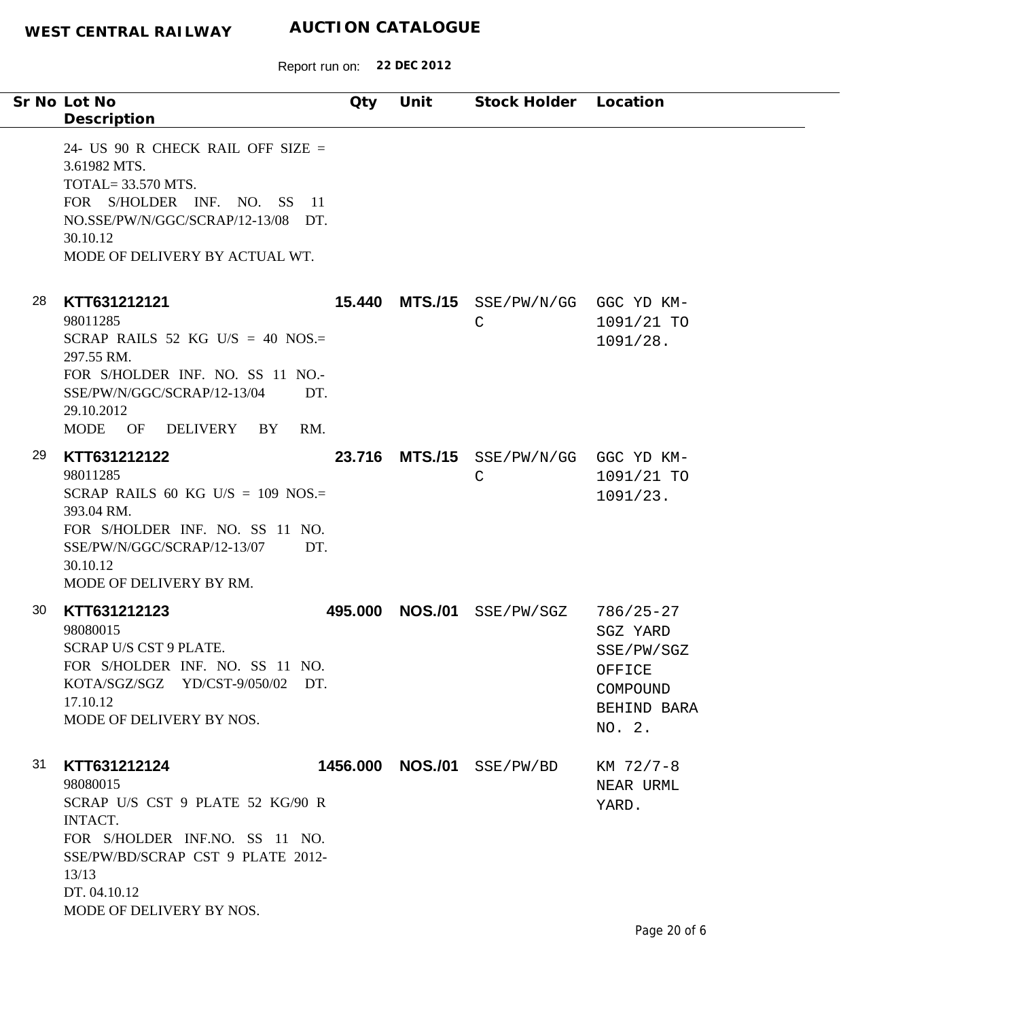Report run on: **22 DEC 2012**

| Sr No Lot No                                                                                                                                                                                              | Qty     | Unit           | Stock Holder Location                                 |                                                                                        |
|-----------------------------------------------------------------------------------------------------------------------------------------------------------------------------------------------------------|---------|----------------|-------------------------------------------------------|----------------------------------------------------------------------------------------|
| Description                                                                                                                                                                                               |         |                |                                                       |                                                                                        |
| 24- US 90 R CHECK RAIL OFF SIZE $=$<br>3.61982 MTS.<br><b>TOTAL=33.570 MTS.</b><br>FOR S/HOLDER INF. NO. SS 11<br>NO.SSE/PW/N/GGC/SCRAP/12-13/08 DT.<br>30.10.12<br>MODE OF DELIVERY BY ACTUAL WT.        |         |                |                                                       |                                                                                        |
| 28<br>KTT631212121<br>98011285<br>SCRAP RAILS 52 KG U/S = 40 NOS.=<br>297.55 RM.<br>FOR S/HOLDER INF. NO. SS 11 NO.-<br>SSE/PW/N/GGC/SCRAP/12-13/04<br>DT.<br>29.10.2012<br>MODE OF DELIVERY<br>BY<br>RM. |         |                | 15.440 MTS./15 SSE/PW/N/GG GGC YD KM-<br>$\mathsf{C}$ | 1091/21 TO<br>1091/28.                                                                 |
| 29<br>KTT631212122<br>98011285<br>SCRAP RAILS 60 KG U/S = $109$ NOS.=<br>393.04 RM.<br>FOR S/HOLDER INF. NO. SS 11 NO.<br>SSE/PW/N/GGC/SCRAP/12-13/07<br>DT.<br>30.10.12<br>MODE OF DELIVERY BY RM.       |         |                | 23.716 MTS./15 SSE/PW/N/GG GGC YD KM-<br>$\mathsf{C}$ | 1091/21 TO<br>1091/23.                                                                 |
| 30<br>KTT631212123<br>98080015<br>SCRAP U/S CST 9 PLATE.<br>FOR S/HOLDER INF. NO. SS 11 NO.<br>KOTA/SGZ/SGZ YD/CST-9/050/02 DT.<br>17.10.12<br>MODE OF DELIVERY BY NOS.                                   | 495.000 | <b>NOS./01</b> | SSE/PW/SGZ                                            | $786/25 - 27$<br>SGZ YARD<br>SSE/PW/SGZ<br>OFFICE<br>COMPOUND<br>BEHIND BARA<br>NO. 2. |
| 31<br>KTT631212124<br>98080015<br>SCRAP U/S CST 9 PLATE 52 KG/90 R<br>INTACT.<br>FOR S/HOLDER INF.NO. SS 11 NO.<br>SSE/PW/BD/SCRAP CST 9 PLATE 2012-<br>13/13<br>DT. 04.10.12<br>MODE OF DELIVERY BY NOS. |         |                | 1456.000 NOS./01 SSE/PW/BD                            | KM 72/7-8<br>NEAR URML<br>YARD.                                                        |

 $\overline{\phantom{a}}$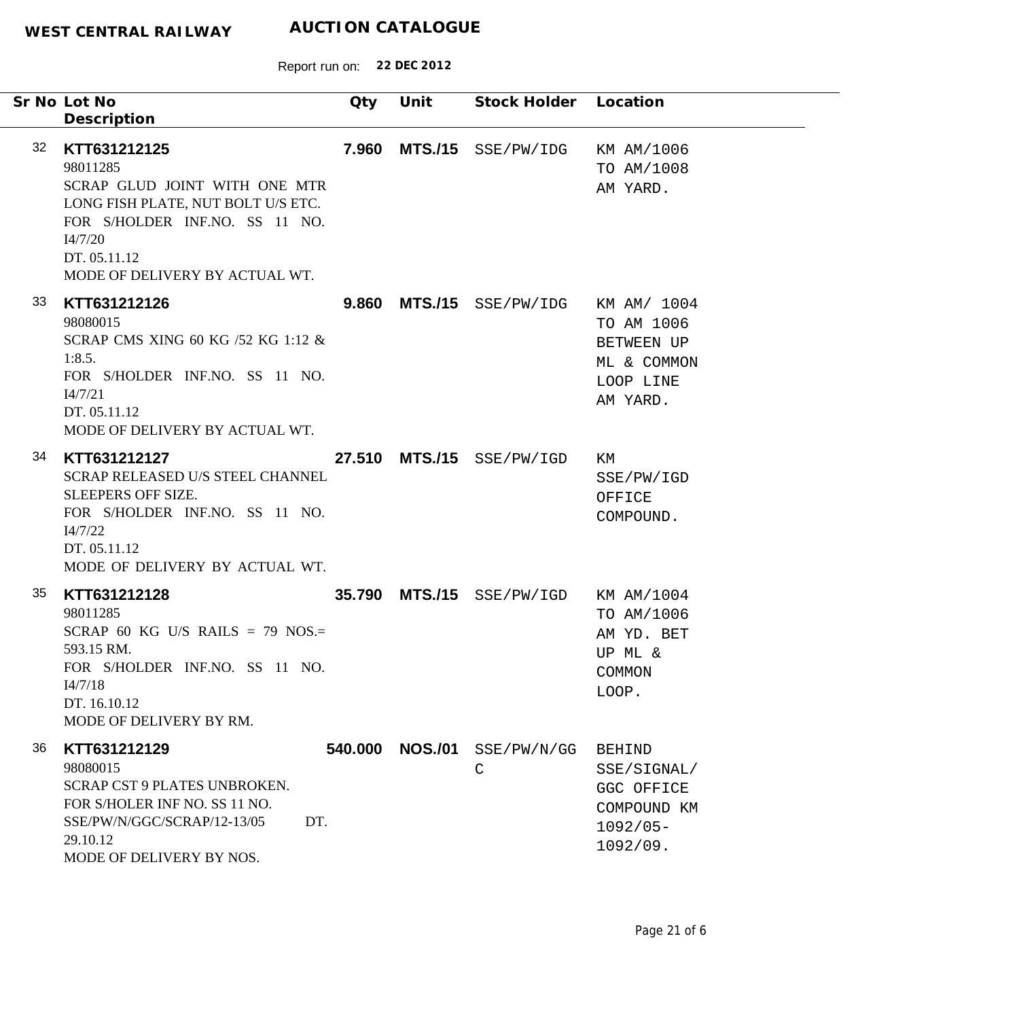| Sr No Lot No<br>Description                                                                                                                                                                          | Qty            | Unit           | Stock Holder Location                |                                                                                      |
|------------------------------------------------------------------------------------------------------------------------------------------------------------------------------------------------------|----------------|----------------|--------------------------------------|--------------------------------------------------------------------------------------|
| 32<br>KTT631212125<br>98011285<br>SCRAP GLUD JOINT WITH ONE MTR<br>LONG FISH PLATE, NUT BOLT U/S ETC.<br>FOR S/HOLDER INF.NO. SS 11 NO.<br>I4/7/20<br>DT. 05.11.12<br>MODE OF DELIVERY BY ACTUAL WT. | 7.960          |                | MTS./15 SSE/PW/IDG                   | KM AM/1006<br>TO AM/1008<br>AM YARD.                                                 |
| 33<br>KTT631212126<br>98080015<br>SCRAP CMS XING 60 KG /52 KG 1:12 &<br>1:8.5.<br>FOR S/HOLDER INF.NO. SS 11 NO.<br>I4/7/21<br>DT. 05.11.12<br>MODE OF DELIVERY BY ACTUAL WT.                        |                |                | 9.860 MTS./15 SSE/PW/IDG KM AM/ 1004 | TO AM 1006<br><b>BETWEEN UP</b><br>ML & COMMON<br>LOOP LINE<br>AM YARD.              |
| 34<br>KTT631212127<br>SCRAP RELEASED U/S STEEL CHANNEL<br><b>SLEEPERS OFF SIZE.</b><br>FOR S/HOLDER INF.NO. SS 11 NO.<br>I4/7/22<br>DT. 05.11.12<br>MODE OF DELIVERY BY ACTUAL WT.                   |                |                | 27.510 MTS./15 SSE/PW/IGD            | КM<br>SSE/PW/IGD<br>OFFICE<br>COMPOUND.                                              |
| 35<br>KTT631212128<br>98011285<br>SCRAP 60 KG U/S RAILS = 79 NOS.=<br>593.15 RM.<br>FOR S/HOLDER INF.NO. SS 11 NO.<br>I4/7/18<br>DT. 16.10.12<br>MODE OF DELIVERY BY RM.                             |                |                | 35.790 MTS./15 SSE/PW/IGD KM AM/1004 | TO AM/1006<br>AM YD. BET<br>UP ML &<br>COMMON<br>LOOP.                               |
| 36<br>KTT631212129<br>98080015<br>SCRAP CST 9 PLATES UNBROKEN.<br>FOR S/HOLER INF NO. SS 11 NO.<br>SSE/PW/N/GGC/SCRAP/12-13/05<br>29.10.12<br>MODE OF DELIVERY BY NOS.                               | 540.000<br>DT. | <b>NOS./01</b> | SSE/PW/N/GG<br>C                     | <b>BEHIND</b><br>SSE/SIGNAL/<br>GGC OFFICE<br>COMPOUND KM<br>$1092/05 -$<br>1092/09. |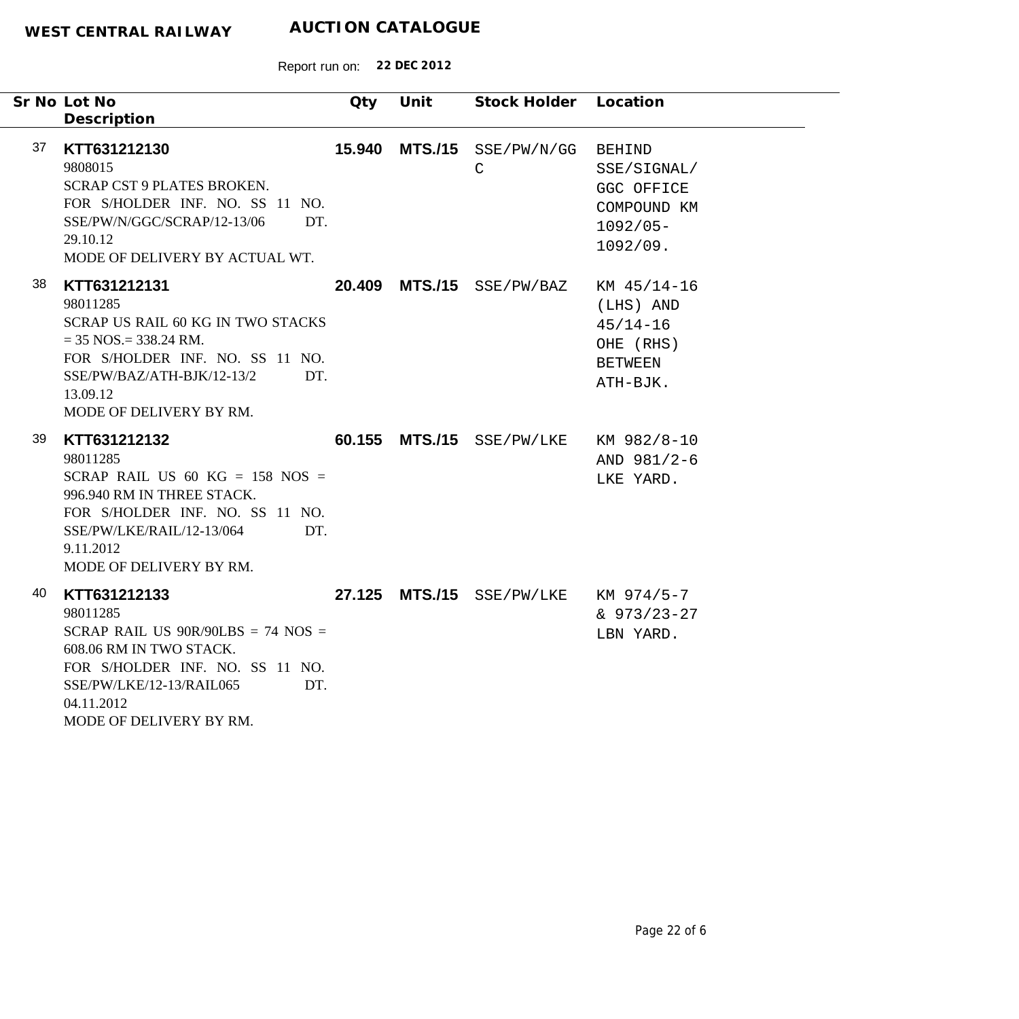|    | Sr No Lot No<br>Description                                                                                                                                                                                       | Qty | Unit           | Stock Holder                         | Location                                                                             |
|----|-------------------------------------------------------------------------------------------------------------------------------------------------------------------------------------------------------------------|-----|----------------|--------------------------------------|--------------------------------------------------------------------------------------|
| 37 | KTT631212130<br>9808015<br><b>SCRAP CST 9 PLATES BROKEN.</b><br>FOR S/HOLDER INF. NO. SS 11 NO.<br>SSE/PW/N/GGC/SCRAP/12-13/06<br>DT.<br>29.10.12<br>MODE OF DELIVERY BY ACTUAL WT.                               |     | 15.940 MTS./15 | SSE/PW/N/GG<br>$\mathsf C$           | <b>BEHIND</b><br>SSE/SIGNAL/<br>GGC OFFICE<br>COMPOUND KM<br>$1092/05 -$<br>1092/09. |
| 38 | KTT631212131<br>98011285<br><b>SCRAP US RAIL 60 KG IN TWO STACKS</b><br>$=$ 35 NOS. $=$ 338.24 RM.<br>FOR S/HOLDER INF. NO. SS 11 NO.<br>SSE/PW/BAZ/ATH-BJK/12-13/2<br>DT.<br>13.09.12<br>MODE OF DELIVERY BY RM. |     |                | 20.409 MTS./15 SSE/PW/BAZ            | KM 45/14-16<br>(LHS) AND<br>$45/14 - 16$<br>OHE (RHS)<br><b>BETWEEN</b><br>ATH-BJK.  |
| 39 | KTT631212132<br>98011285<br>SCRAP RAIL US 60 KG = $158$ NOS =<br>996.940 RM IN THREE STACK.<br>FOR S/HOLDER INF. NO. SS 11 NO.<br>SSE/PW/LKE/RAIL/12-13/064<br>DT.<br>9.11.2012<br>MODE OF DELIVERY BY RM.        |     |                | 60.155 MTS./15 SSE/PW/LKE            | KM 982/8-10<br>AND 981/2-6<br>LKE YARD.                                              |
| 40 | KTT631212133<br>98011285<br>SCRAP RAIL US $90R/90LBS = 74 NOS =$<br>608.06 RM IN TWO STACK.<br>FOR S/HOLDER INF. NO. SS 11 NO.<br>SSE/PW/LKE/12-13/RAIL065<br>DT.<br>04.11.2012<br>MODE OF DELIVERY BY RM.        |     |                | 27.125 MTS./15 SSE/PW/LKE KM 974/5-7 | $& 973/23 - 27$<br>LBN YARD.                                                         |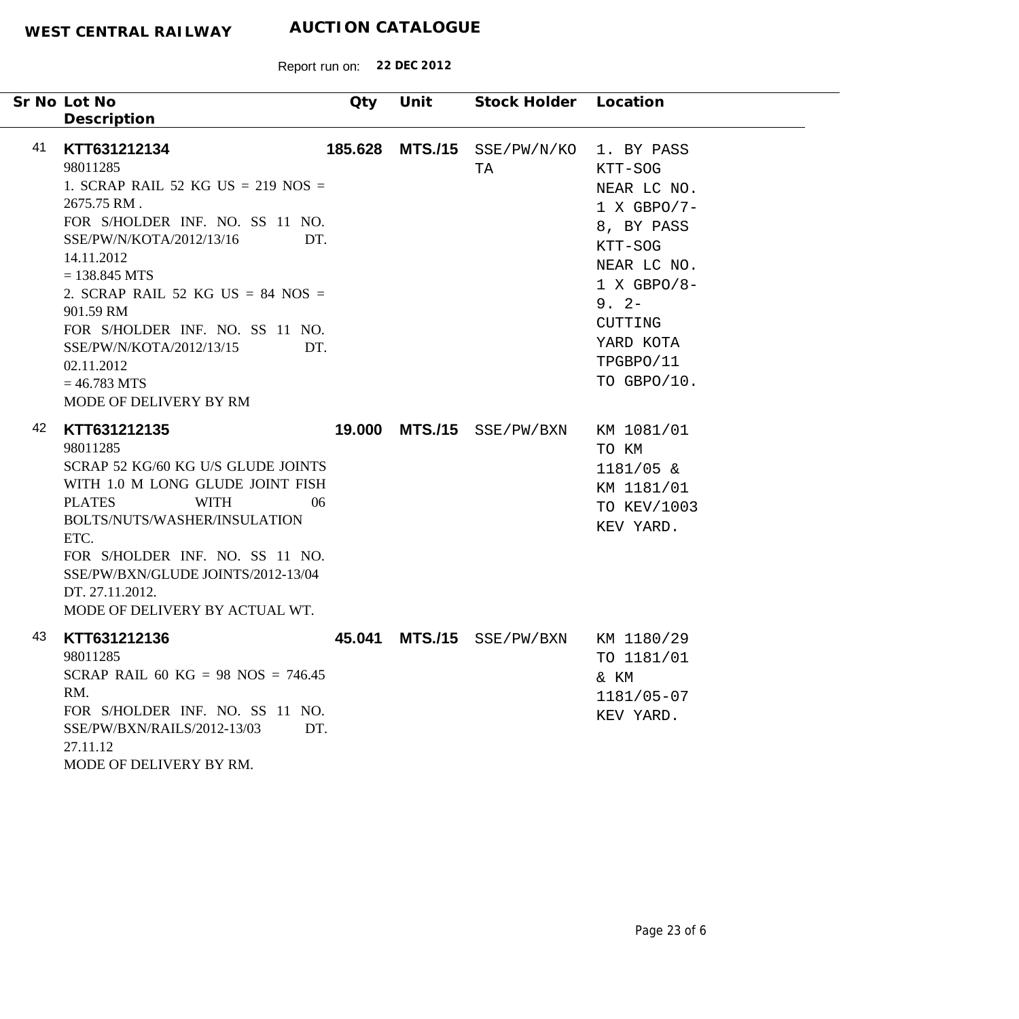|    | Sr No Lot No                                                                                                                                                                                                                                                                                                                                                             | Qty    | Unit           | Stock Holder Location             |                                                                                                                                                                               |
|----|--------------------------------------------------------------------------------------------------------------------------------------------------------------------------------------------------------------------------------------------------------------------------------------------------------------------------------------------------------------------------|--------|----------------|-----------------------------------|-------------------------------------------------------------------------------------------------------------------------------------------------------------------------------|
|    | Description                                                                                                                                                                                                                                                                                                                                                              |        |                |                                   |                                                                                                                                                                               |
| 41 | KTT631212134<br>98011285<br>1. SCRAP RAIL 52 KG US = $219$ NOS =<br>2675.75 RM.<br>FOR S/HOLDER INF. NO. SS 11 NO.<br>SSE/PW/N/KOTA/2012/13/16<br>DT.<br>14.11.2012<br>$= 138.845$ MTS<br>2. SCRAP RAIL 52 KG US = 84 NOS =<br>901.59 RM<br>FOR S/HOLDER INF. NO. SS 11 NO.<br>SSE/PW/N/KOTA/2012/13/15<br>DT.<br>02.11.2012<br>$= 46.783$ MTS<br>MODE OF DELIVERY BY RM |        |                | 185.628 MTS./15 SSE/PW/N/KO<br>TA | 1. BY PASS<br>KTT-SOG<br>NEAR LC NO.<br>$1 X GBPO/7-$<br>8, BY PASS<br>KTT-SOG<br>NEAR LC NO.<br>$1 X GBPO/8-$<br>$9.2 -$<br>CUTTING<br>YARD KOTA<br>TPGBPO/11<br>TO GBPO/10. |
| 42 | KTT631212135<br>98011285<br>SCRAP 52 KG/60 KG U/S GLUDE JOINTS<br>WITH 1.0 M LONG GLUDE JOINT FISH<br><b>WITH</b><br><b>PLATES</b><br>06<br>BOLTS/NUTS/WASHER/INSULATION<br>ETC.<br>FOR S/HOLDER INF. NO. SS 11 NO.<br>SSE/PW/BXN/GLUDE JOINTS/2012-13/04<br>DT. 27.11.2012.<br>MODE OF DELIVERY BY ACTUAL WT.                                                           |        |                | 19.000 MTS./15 SSE/PW/BXN         | KM 1081/01<br>TO KM<br>$1181/05$ &<br>KM 1181/01<br>TO KEV/1003<br>KEV YARD.                                                                                                  |
| 43 | KTT631212136<br>98011285<br>SCRAP RAIL 60 KG = 98 NOS = $746.45$<br>RM.<br>FOR S/HOLDER INF. NO. SS 11 NO.<br>SSE/PW/BXN/RAILS/2012-13/03<br>DT.<br>27.11.12<br>MODE OF DELIVERY BY RM.                                                                                                                                                                                  | 45.041 | <b>MTS./15</b> | SSE/PW/BXN                        | KM 1180/29<br>TO 1181/01<br>& KM<br>1181/05-07<br>KEV YARD.                                                                                                                   |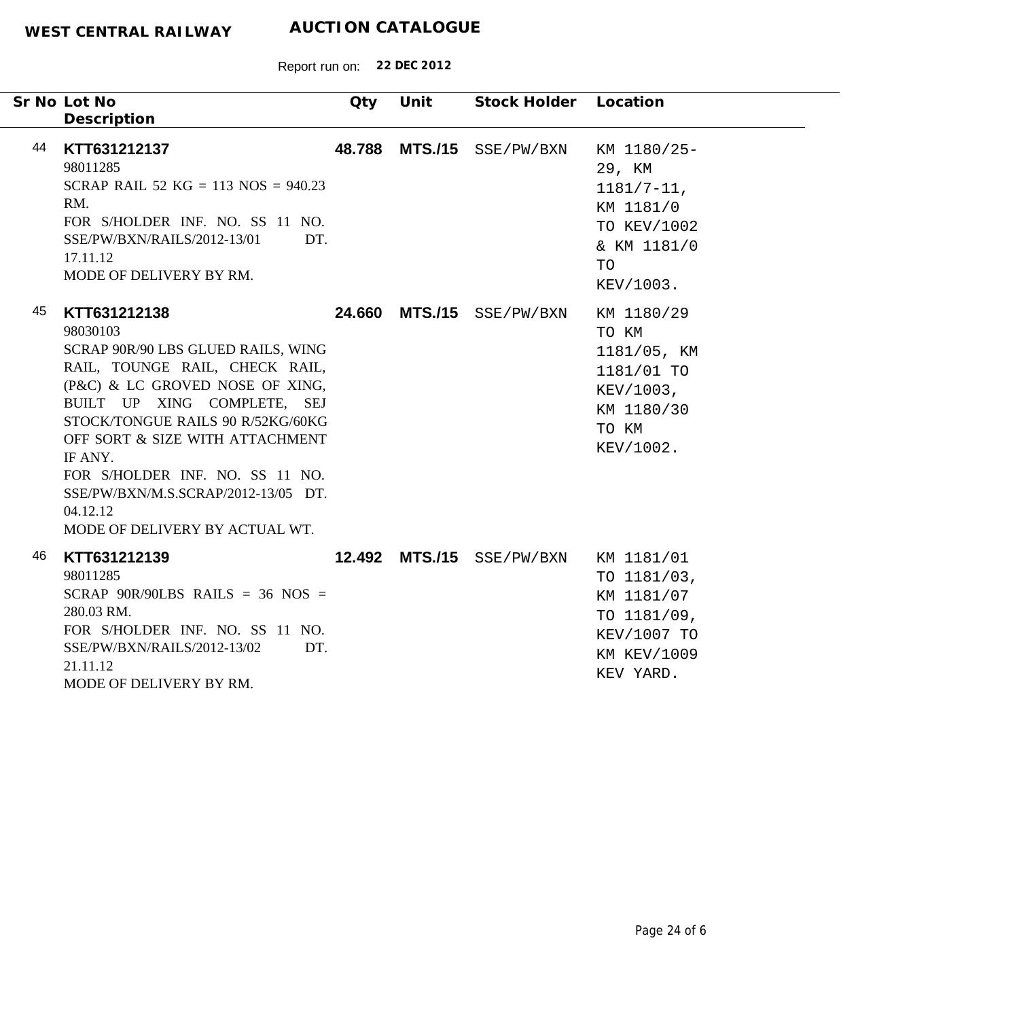Report run on: **22 DEC 2012**

|    | Sr No Lot No<br>Description                                                                                                                                                                                                                                                                                                                                                   | Qty    | Unit           | Stock Holder Location     |                                                                                                          |
|----|-------------------------------------------------------------------------------------------------------------------------------------------------------------------------------------------------------------------------------------------------------------------------------------------------------------------------------------------------------------------------------|--------|----------------|---------------------------|----------------------------------------------------------------------------------------------------------|
| 44 | KTT631212137<br>98011285<br>SCRAP RAIL 52 KG = 113 NOS = $940.23$<br>RM.<br>FOR S/HOLDER INF. NO. SS 11 NO.<br>SSE/PW/BXN/RAILS/2012-13/01<br>DT.<br>17.11.12<br>MODE OF DELIVERY BY RM.                                                                                                                                                                                      |        |                | 48.788 MTS./15 SSE/PW/BXN | KM 1180/25-<br>29, KM<br>$1181/7 - 11$ ,<br>KM 1181/0<br>TO KEV/1002<br>& KM 1181/0<br>TO<br>KEV/1003.   |
| 45 | KTT631212138<br>98030103<br>SCRAP 90R/90 LBS GLUED RAILS, WING<br>RAIL, TOUNGE RAIL, CHECK RAIL,<br>(P&C) & LC GROVED NOSE OF XING,<br>BUILT UP XING COMPLETE, SEJ<br>STOCK/TONGUE RAILS 90 R/52KG/60KG<br>OFF SORT & SIZE WITH ATTACHMENT<br>IF ANY.<br>FOR S/HOLDER INF. NO. SS 11 NO.<br>SSE/PW/BXN/M.S.SCRAP/2012-13/05 DT.<br>04.12.12<br>MODE OF DELIVERY BY ACTUAL WT. | 24.660 | <b>MTS./15</b> | SSE/PW/BXN                | KM 1180/29<br>TO KM<br>1181/05, KM<br>1181/01 TO<br>KEV/1003,<br>KM 1180/30<br>TO KM<br>KEV/1002.        |
| 46 | KTT631212139<br>98011285<br>SCRAP 90R/90LBS RAILS = 36 NOS =<br>280.03 RM.<br>FOR S/HOLDER INF. NO. SS 11 NO.<br>SSE/PW/BXN/RAILS/2012-13/02<br>DT.<br>21.11.12<br>LOBB OBBBITHDU BULDI                                                                                                                                                                                       |        |                | 12.492 MTS./15 SSE/PW/BXN | KM 1181/01<br>TO 1181/03,<br>KM 1181/07<br>TO 1181/09,<br>KEV/1007 TO<br><b>KM KEV/1009</b><br>KEV YARD. |

MODE OF DELIVERY BY RM.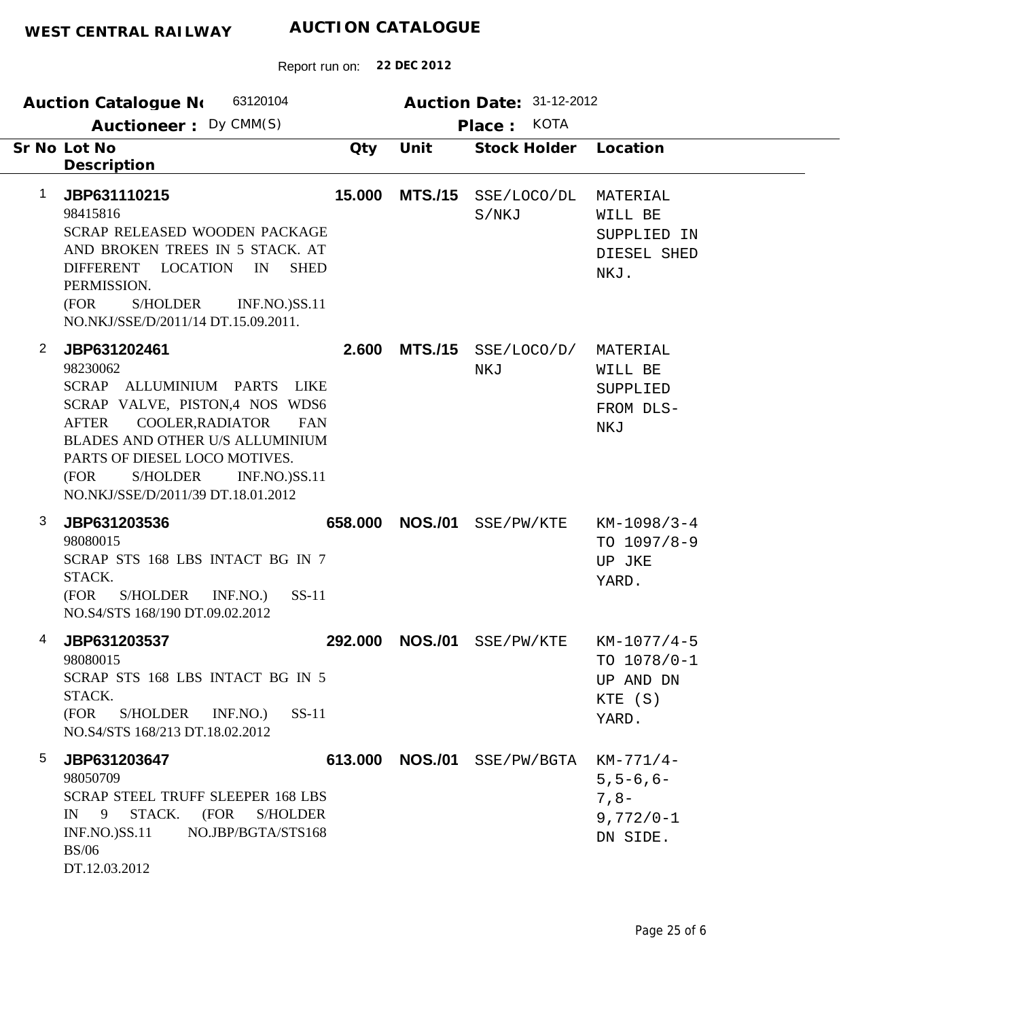|   | 63120104<br>Auction Catalogue No<br>Auctioneer: Dy CMM(S)                                                                                                                                                                                                                                            |         | Auction Date: 31-12-2012<br><b>KOTA</b><br>Place: |                                       |                                                                 |  |  |
|---|------------------------------------------------------------------------------------------------------------------------------------------------------------------------------------------------------------------------------------------------------------------------------------------------------|---------|---------------------------------------------------|---------------------------------------|-----------------------------------------------------------------|--|--|
|   | Sr No Lot No<br>Description                                                                                                                                                                                                                                                                          | Qty     | Unit                                              | Stock Holder                          | Location                                                        |  |  |
| 1 | JBP631110215<br>98415816<br>SCRAP RELEASED WOODEN PACKAGE<br>AND BROKEN TREES IN 5 STACK. AT<br>DIFFERENT LOCATION<br>IN<br><b>SHED</b><br>PERMISSION.<br>(FOR<br><b>S/HOLDER</b><br><b>INF.NO.)SS.11</b><br>NO.NKJ/SSE/D/2011/14 DT.15.09.2011.                                                     | 15.000  | <b>MTS./15</b>                                    | SSE/LOCO/DL<br>S/NKJ                  | MATERIAL<br>WILL BE<br>SUPPLIED IN<br>DIESEL SHED<br>NKJ.       |  |  |
| 2 | JBP631202461<br>98230062<br>SCRAP ALLUMINIUM PARTS<br>LIKE<br>SCRAP VALVE, PISTON,4 NOS WDS6<br>COOLER, RADIATOR<br><b>AFTER</b><br><b>FAN</b><br>BLADES AND OTHER U/S ALLUMINIUM<br>PARTS OF DIESEL LOCO MOTIVES.<br>(FOR<br>S/HOLDER<br><b>INF.NO.)SS.11</b><br>NO.NKJ/SSE/D/2011/39 DT.18.01.2012 | 2.600   | <b>MTS./15</b>                                    | SSE/LOCO/D/<br>NKJ                    | MATERIAL<br>WILL BE<br>SUPPLIED<br>FROM DLS-<br>NKJ             |  |  |
| 3 | JBP631203536<br>98080015<br>SCRAP STS 168 LBS INTACT BG IN 7<br>STACK.<br>(FOR<br>S/HOLDER<br>INF.NO.)<br>$SS-11$<br>NO.S4/STS 168/190 DT.09.02.2012                                                                                                                                                 | 658.000 | <b>NOS./01</b>                                    | SSE/PW/KTE                            | $KM-1098/3-4$<br>TO $1097/8-9$<br>UP JKE<br>YARD.               |  |  |
| 4 | JBP631203537<br>98080015<br>SCRAP STS 168 LBS INTACT BG IN 5<br>STACK.<br>(FOR<br>S/HOLDER INF.NO.)<br>$SS-11$<br>NO.S4/STS 168/213 DT.18.02.2012                                                                                                                                                    | 292,000 | <b>NOS./01</b>                                    | SSE/PW/KTE                            | $KM-1077/4-5$<br>TO $1078/0-1$<br>UP AND DN<br>KTE (S)<br>YARD. |  |  |
| 5 | JBP631203647<br>98050709<br><b>SCRAP STEEL TRUFF SLEEPER 168 LBS</b><br><b>S/HOLDER</b><br>$IN \t9$<br>STACK. (FOR<br><b>INF.NO.)SS.11</b><br>NO.JBP/BGTA/STS168<br><b>BS/06</b><br>DT.12.03.2012                                                                                                    |         |                                                   | 613.000 NOS./01 SSE/PW/BGTA KM-771/4- | $5, 5 - 6, 6 -$<br>$7, 8-$<br>$9,772/0 - 1$<br>DN SIDE.         |  |  |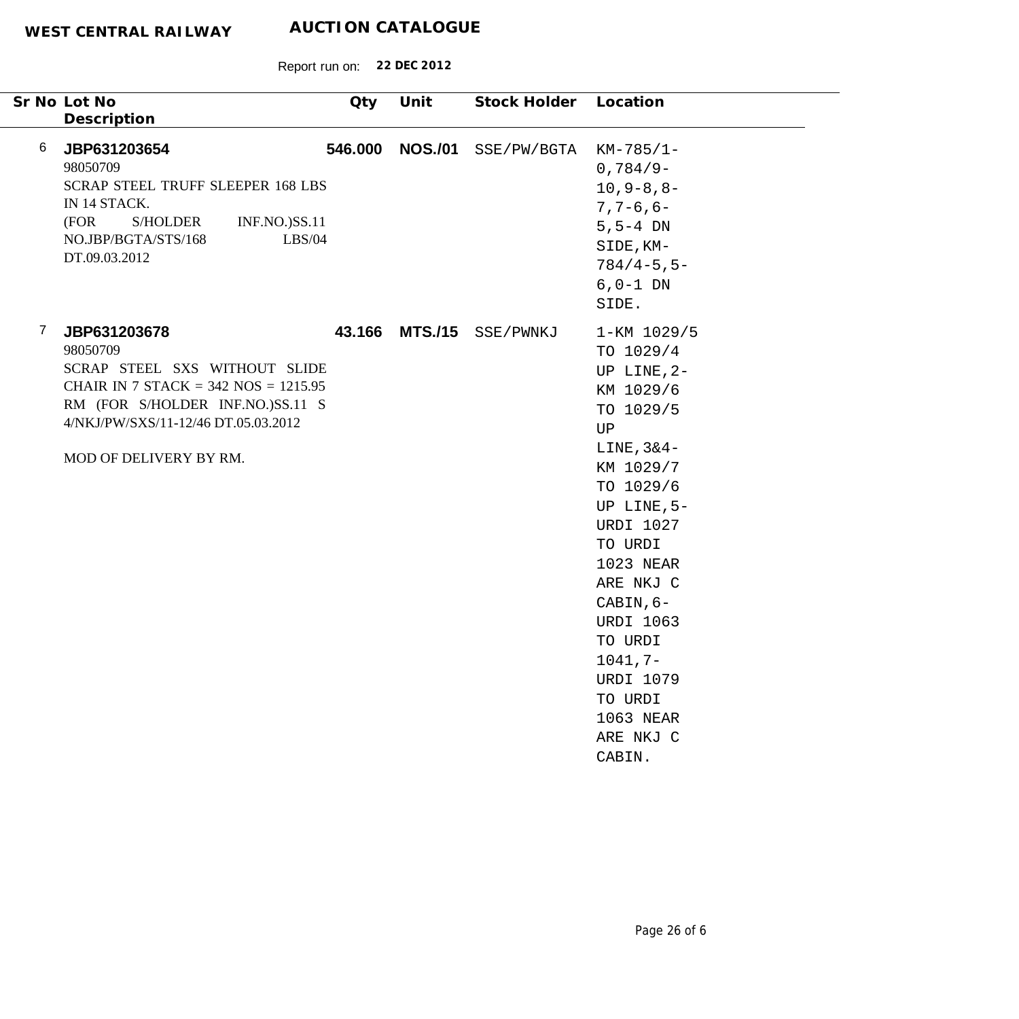| Sr No Lot No<br>Description                                                                                                                                                                                                  | Qty     | Unit           | Stock Holder | Location                                                                                                                                                                                                                                                                                                                   |
|------------------------------------------------------------------------------------------------------------------------------------------------------------------------------------------------------------------------------|---------|----------------|--------------|----------------------------------------------------------------------------------------------------------------------------------------------------------------------------------------------------------------------------------------------------------------------------------------------------------------------------|
| 6<br>JBP631203654<br>98050709<br><b>SCRAP STEEL TRUFF SLEEPER 168 LBS</b><br>IN 14 STACK.<br>(FOR<br><b>S/HOLDER</b><br><b>INF.NO.)SS.11</b><br>NO.JBP/BGTA/STS/168<br>LBS/04<br>DT.09.03.2012                               | 546.000 | <b>NOS./01</b> | SSE/PW/BGTA  | $KM-785/1-$<br>$0,784/9-$<br>$10, 9 - 8, 8 -$<br>$7, 7 - 6, 6 -$<br>$5, 5 - 4$ DN<br>SIDE, KM-<br>$784/4 - 5, 5 -$<br>$6, 0-1$ DN<br>SIDE.                                                                                                                                                                                 |
| $\overline{7}$<br>JBP631203678<br>98050709<br>SCRAP STEEL SXS WITHOUT SLIDE<br>CHAIR IN 7 STACK = $342$ NOS = $1215.95$<br>RM (FOR S/HOLDER INF.NO.)SS.11 S<br>4/NKJ/PW/SXS/11-12/46 DT.05.03.2012<br>MOD OF DELIVERY BY RM. | 43.166  | <b>MTS./15</b> | SSE/PWNKJ    | 1-KM 1029/5<br>TO 1029/4<br>UP LINE, $2-$<br>KM 1029/6<br>TO 1029/5<br>UP<br>LINE, $3&4-$<br>KM 1029/7<br>TO 1029/6<br>UP LINE, $5-$<br><b>URDI 1027</b><br>TO URDI<br>1023 NEAR<br>ARE NKJ C<br>CABIN, 6-<br><b>URDI 1063</b><br>TO URDI<br>$1041, 7-$<br><b>URDI 1079</b><br>TO URDI<br>1063 NEAR<br>ARE NKJ C<br>CABIN. |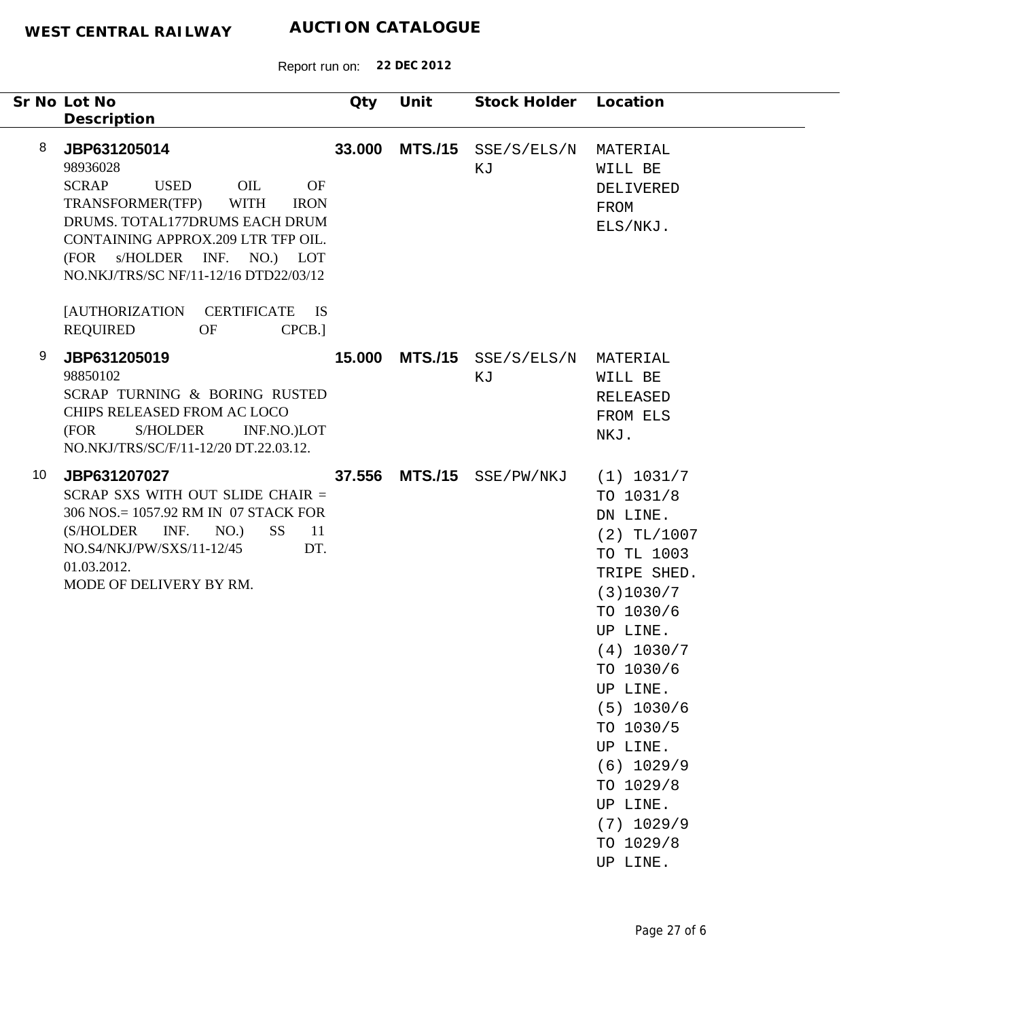| Sr No Lot No                  | Description                                                                                                                                                                                                                                                                        | Qty    | Unit | Stock Holder Location             |                                                                                                                                                                                                                                                                                           |
|-------------------------------|------------------------------------------------------------------------------------------------------------------------------------------------------------------------------------------------------------------------------------------------------------------------------------|--------|------|-----------------------------------|-------------------------------------------------------------------------------------------------------------------------------------------------------------------------------------------------------------------------------------------------------------------------------------------|
| 8<br>98936028<br><b>SCRAP</b> | JBP631205014<br>OIL<br><b>USED</b><br><b>OF</b><br>TRANSFORMER(TFP)<br><b>WITH</b><br><b>IRON</b><br>DRUMS. TOTAL177DRUMS EACH DRUM<br>CONTAINING APPROX.209 LTR TFP OIL.<br>(FOR s/HOLDER INF. NO.) LOT<br>NO.NKJ/TRS/SC NF/11-12/16 DTD22/03/12<br>[AUTHORIZATION CERTIFICATE IS | 33.000 |      | $MTS./15$ $SSE/S/ELS/N$<br>ΚJ     | MATERIAL<br>WILL BE<br>DELIVERED<br>FROM<br>ELS/NKJ.                                                                                                                                                                                                                                      |
| 9                             | <b>REQUIRED</b><br>OF<br>CPCB.]<br>JBP631205019                                                                                                                                                                                                                                    |        |      | <b>15.000 MTS./15</b> SSE/S/ELS/N | MATERIAL                                                                                                                                                                                                                                                                                  |
| 98850102<br>(FOR              | SCRAP TURNING & BORING RUSTED<br>CHIPS RELEASED FROM AC LOCO<br>S/HOLDER<br>INF.NO.)LOT<br>NO.NKJ/TRS/SC/F/11-12/20 DT.22.03.12.                                                                                                                                                   |        |      | ΚJ                                | WILL BE<br><b>RELEASED</b><br>FROM ELS<br>NKJ.                                                                                                                                                                                                                                            |
| 10                            | JBP631207027<br>SCRAP SXS WITH OUT SLIDE CHAIR =<br>306 NOS.= 1057.92 RM IN 07 STACK FOR<br>(S/HOLDER INF.<br>NO.)<br>SS <sub>1</sub><br>- 11<br>DT.<br>NO.S4/NKJ/PW/SXS/11-12/45<br>01.03.2012.<br>MODE OF DELIVERY BY RM.                                                        |        |      | 37.556 MTS./15 SSE/PW/NKJ         | (1) 1031/7<br>TO 1031/8<br>DN LINE.<br>$(2)$ TL/1007<br>TO TL 1003<br>TRIPE SHED.<br>(3)1030/7<br>TO 1030/6<br>UP LINE.<br>(4) 1030/7<br>TO 1030/6<br>UP LINE.<br>$(5)$ 1030/6<br>TO 1030/5<br>UP LINE.<br>$(6)$ 1029/9<br>TO 1029/8<br>UP LINE.<br>$(7)$ 1029/9<br>TO 1029/8<br>UP LINE. |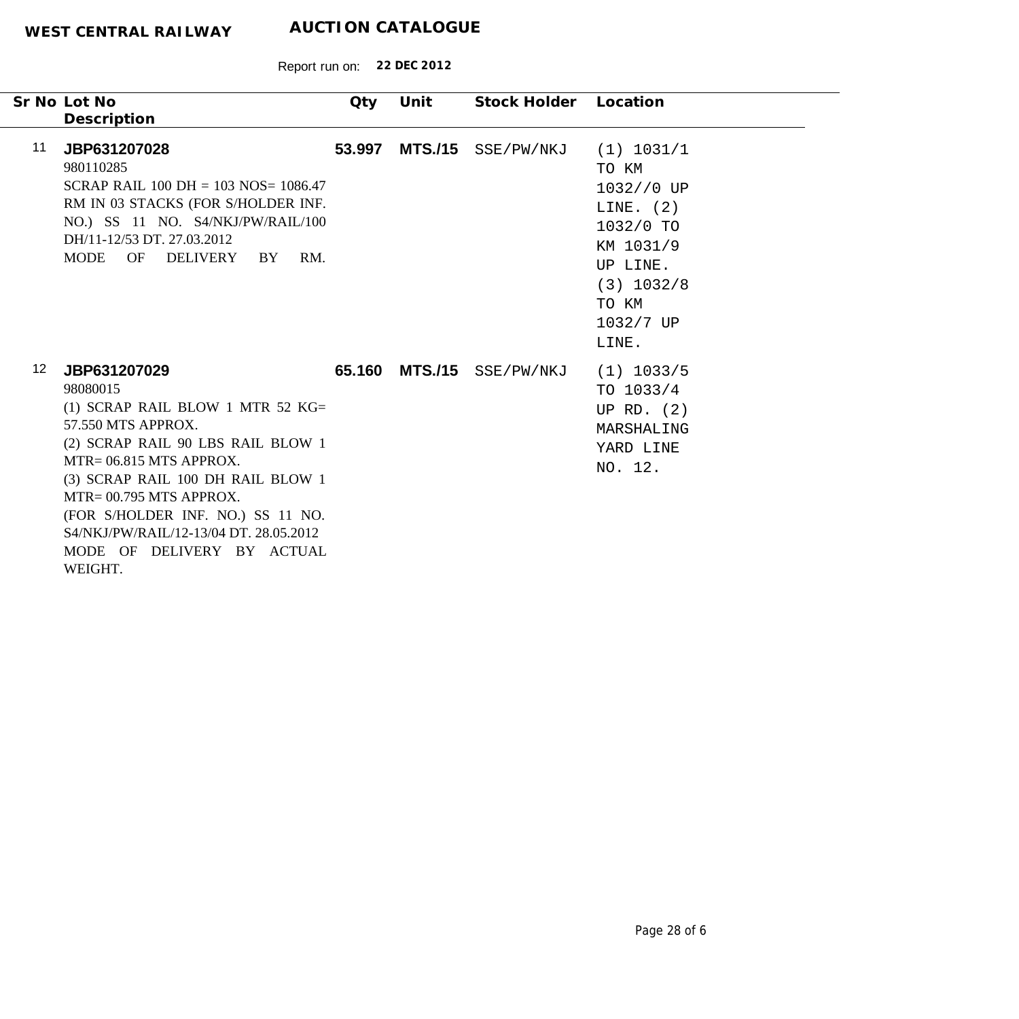|                  | Sr No Lot No<br>Description                                                                                                                                                                                                                                                                                                                      | Qty    | Unit | Stock Holder Location     |                                                                                                                                       |
|------------------|--------------------------------------------------------------------------------------------------------------------------------------------------------------------------------------------------------------------------------------------------------------------------------------------------------------------------------------------------|--------|------|---------------------------|---------------------------------------------------------------------------------------------------------------------------------------|
| 11               | JBP631207028<br>980110285<br>SCRAP RAIL $100 \text{ DH} = 103 \text{ NOS} = 1086.47$<br>RM IN 03 STACKS (FOR S/HOLDER INF.<br>NO.) SS 11 NO. S4/NKJ/PW/RAIL/100<br>DH/11-12/53 DT. 27.03.2012<br>OF DELIVERY<br>MODE<br>RM.<br>BY                                                                                                                | 53.997 |      | MTS./15 SSE/PW/NKJ        | (1) 1031/1<br>TO KM<br>1032//0 UP<br>LINE. $(2)$<br>1032/0 TO<br>KM 1031/9<br>UP LINE.<br>$(3)$ 1032/8<br>TO KM<br>1032/7 UP<br>LINE. |
| 12 <sup>12</sup> | JBP631207029<br>98080015<br>(1) SCRAP RAIL BLOW 1 MTR 52 $KG =$<br>57.550 MTS APPROX.<br>(2) SCRAP RAIL 90 LBS RAIL BLOW 1<br>$MTR = 06.815$ MTS APPROX.<br>(3) SCRAP RAIL 100 DH RAIL BLOW 1<br>MTR= 00.795 MTS APPROX.<br>(FOR S/HOLDER INF. NO.) SS 11 NO.<br>S4/NKJ/PW/RAIL/12-13/04 DT. 28.05.2012<br>MODE OF DELIVERY BY ACTUAL<br>WEIGHT. |        |      | 65.160 MTS./15 SSE/PW/NKJ | $(1)$ 1033/5<br>TO 1033/4<br>UP RD. $(2)$<br>MARSHALING<br>YARD LINE<br>NO. 12.                                                       |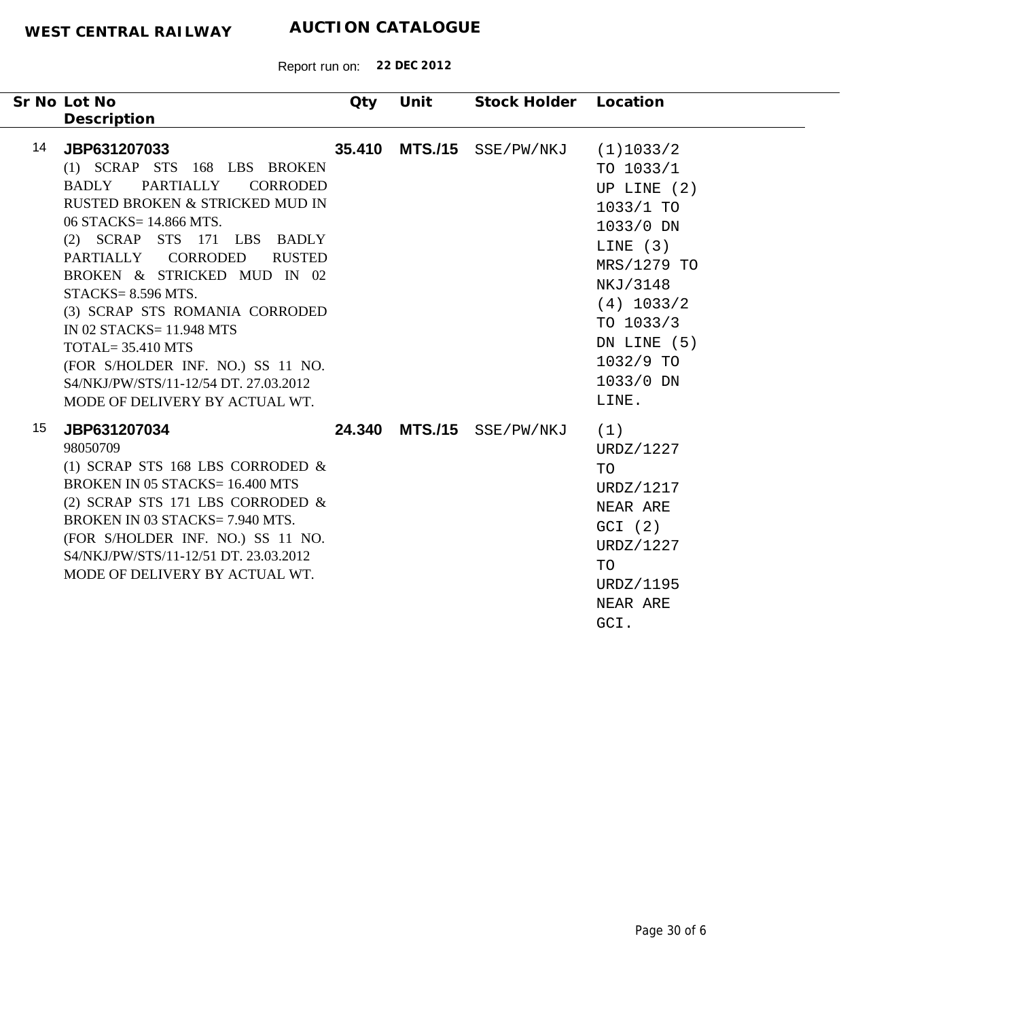| Sr No Lot No<br>Description                                                                                                                                                                                                                                                                                                                                                                                                                                                                        | Qty    | Unit           | Stock Holder Location     |                                                                                                                                                                                             |
|----------------------------------------------------------------------------------------------------------------------------------------------------------------------------------------------------------------------------------------------------------------------------------------------------------------------------------------------------------------------------------------------------------------------------------------------------------------------------------------------------|--------|----------------|---------------------------|---------------------------------------------------------------------------------------------------------------------------------------------------------------------------------------------|
| 14<br>JBP631207033<br>(1) SCRAP STS 168 LBS BROKEN<br>PARTIALLY<br><b>CORRODED</b><br><b>BADLY</b><br>RUSTED BROKEN & STRICKED MUD IN<br>06 STACKS= 14.866 MTS.<br>(2) SCRAP STS 171 LBS BADLY<br>PARTIALLY CORRODED<br><b>RUSTED</b><br>BROKEN & STRICKED MUD IN 02<br>STACKS=8.596 MTS.<br>(3) SCRAP STS ROMANIA CORRODED<br>IN 02 STACKS= 11.948 MTS<br><b>TOTAL=35.410 MTS</b><br>(FOR S/HOLDER INF. NO.) SS 11 NO.<br>S4/NKJ/PW/STS/11-12/54 DT. 27.03.2012<br>MODE OF DELIVERY BY ACTUAL WT. | 35.410 | <b>MTS./15</b> | SSE/PW/NKJ                | (1)1033/2<br>TO 1033/1<br>UP LINE $(2)$<br>$1033/1$ TO<br>1033/0 DN<br>LINE $(3)$<br>MRS/1279 TO<br>NKJ/3148<br>$(4)$ 1033/2<br>TO 1033/3<br>DN LINE (5)<br>1032/9 TO<br>1033/0 DN<br>LINE. |
| 15<br>JBP631207034<br>98050709<br>(1) SCRAP STS 168 LBS CORRODED $\&$<br><b>BROKEN IN 05 STACKS= 16.400 MTS</b><br>(2) SCRAP STS 171 LBS CORRODED $\&$<br>BROKEN IN 03 STACKS= 7.940 MTS.<br>(FOR S/HOLDER INF. NO.) SS 11 NO.<br>S4/NKJ/PW/STS/11-12/51 DT. 23.03.2012<br>MODE OF DELIVERY BY ACTUAL WT.                                                                                                                                                                                          |        |                | 24.340 MTS./15 SSE/PW/NKJ | (1)<br>URDZ/1227<br>TO<br>URDZ/1217<br>NEAR ARE<br>GCI (2)<br>URDZ/1227<br>TO<br>URDZ/1195<br>NEAR ARE<br>GCI.                                                                              |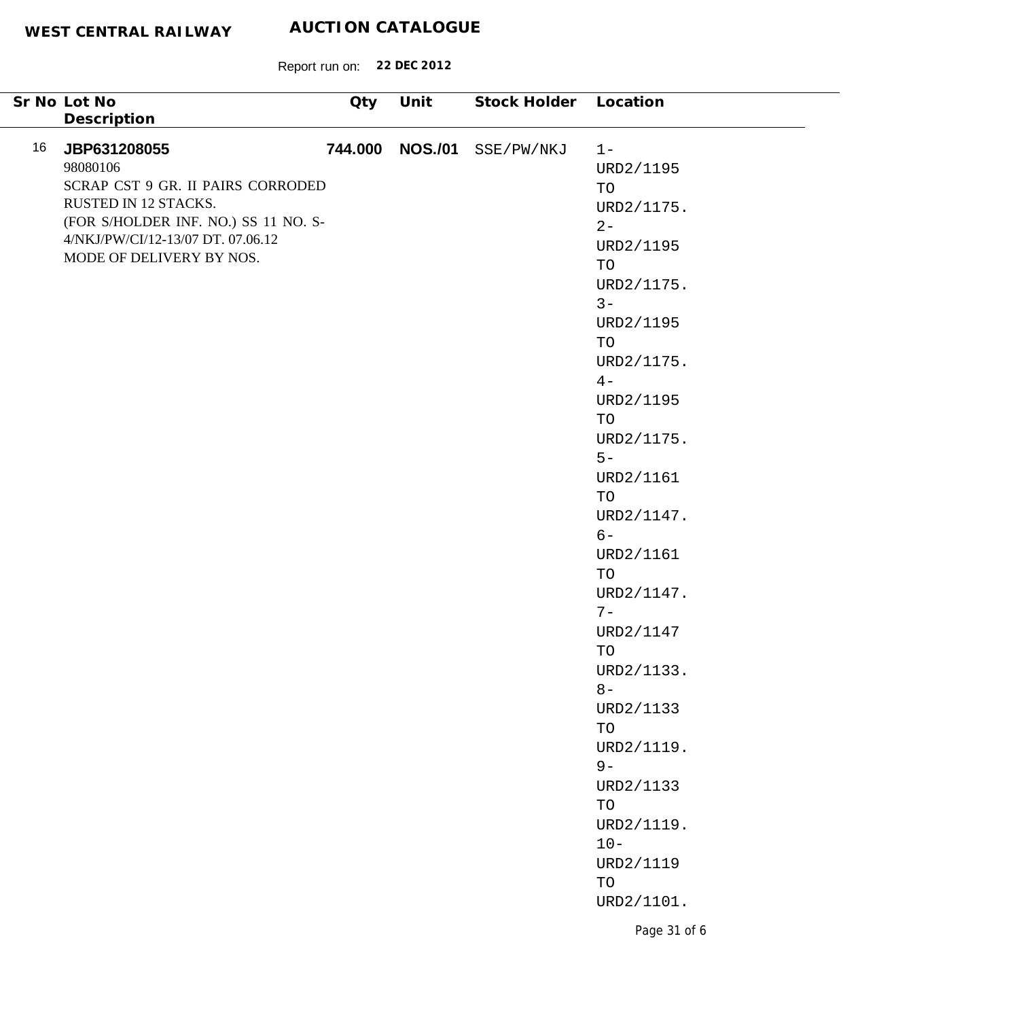| Sr No Lot No                                                                                                                                                                                                        | Oty | Unit            | Stock Holder Location |                                                                                                                                    |
|---------------------------------------------------------------------------------------------------------------------------------------------------------------------------------------------------------------------|-----|-----------------|-----------------------|------------------------------------------------------------------------------------------------------------------------------------|
| Description<br>16<br>JBP631208055<br>98080106<br>SCRAP CST 9 GR. II PAIRS CORRODED<br>RUSTED IN 12 STACKS.<br>(FOR S/HOLDER INF. NO.) SS 11 NO. S-<br>4/NKJ/PW/CI/12-13/07 DT. 07.06.12<br>MODE OF DELIVERY BY NOS. |     | 744.000 NOS./01 | SSE/PW/NKJ            | $1 -$<br>URD2/1195<br>TO<br>URD2/1175.<br>$2 -$<br>URD2/1195<br>TO<br>URD2/1175.<br>$3 -$<br>URD2/1195<br>TO<br>URD2/1175.<br>$4-$ |
|                                                                                                                                                                                                                     |     |                 |                       | URD2/1195<br>TO<br>URD2/1175.<br>$5-$<br>URD2/1161<br>TO<br>URD2/1147.<br>$6-$<br>URD2/1161<br>TO<br>URD2/1147.<br>$7-$            |
|                                                                                                                                                                                                                     |     |                 |                       | URD2/1147<br>TO<br>URD2/1133.<br>$8-$<br>URD2/1133<br>TO<br>URD2/1119.<br>$9-$<br>URD2/1133<br>TO<br>URD2/1119.<br>$10 -$          |
|                                                                                                                                                                                                                     |     |                 |                       | URD2/1119<br>TO<br>URD2/1101.<br>Page 31 of 6                                                                                      |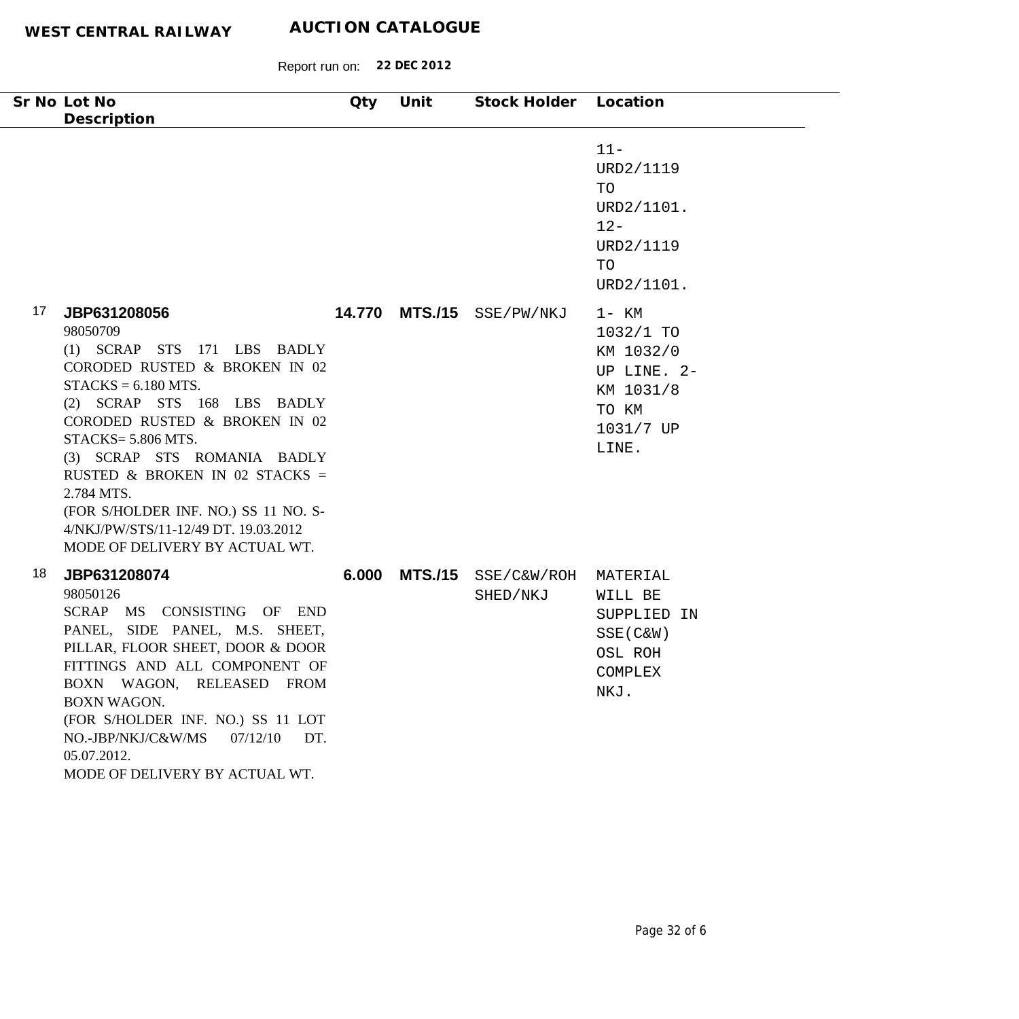| Sr No Lot No<br>Description                                                                                                                                                                                                                                                                                                                                                                                    | Qty   | Unit           | Stock Holder Location     |                                                                                              |
|----------------------------------------------------------------------------------------------------------------------------------------------------------------------------------------------------------------------------------------------------------------------------------------------------------------------------------------------------------------------------------------------------------------|-------|----------------|---------------------------|----------------------------------------------------------------------------------------------|
|                                                                                                                                                                                                                                                                                                                                                                                                                |       |                |                           | $11 -$<br>URD2/1119<br>TO<br>URD2/1101.<br>$12 -$<br>URD2/1119<br>TO<br>URD2/1101.           |
| 17<br>JBP631208056<br>98050709<br>(1) SCRAP STS 171 LBS BADLY<br>CORODED RUSTED & BROKEN IN 02<br>$STACKS = 6.180 MTS.$<br>(2) SCRAP STS 168 LBS BADLY<br>CORODED RUSTED & BROKEN IN 02<br>STACKS= 5.806 MTS.<br>(3) SCRAP STS ROMANIA BADLY<br>RUSTED & BROKEN IN 02 STACKS =<br>2.784 MTS.<br>(FOR S/HOLDER INF. NO.) SS 11 NO. S-<br>4/NKJ/PW/STS/11-12/49 DT. 19.03.2012<br>MODE OF DELIVERY BY ACTUAL WT. |       |                | 14.770 MTS./15 SSE/PW/NKJ | 1- KM<br>$1032/1$ TO<br>KM 1032/0<br>UP LINE. 2-<br>KM 1031/8<br>TO KM<br>1031/7 UP<br>LINE. |
| 18<br>JBP631208074<br>98050126<br>SCRAP MS CONSISTING OF END<br>PANEL, SIDE PANEL, M.S. SHEET,<br>PILLAR, FLOOR SHEET, DOOR & DOOR<br>FITTINGS AND ALL COMPONENT OF<br>BOXN WAGON, RELEASED FROM<br><b>BOXN WAGON.</b><br>(FOR S/HOLDER INF. NO.) SS 11 LOT<br>NO.-JBP/NKJ/C&W/MS<br>07/12/10<br>DT.<br>05.07.2012.<br>MODE OF DELIVERY BY ACTUAL WT.                                                          | 6.000 | <b>MTS./15</b> | SSE/C&W/ROH<br>SHED/NKJ   | MATERIAL<br>WILL BE<br>SUPPLIED IN<br>$SSE(C\&W)$<br>OSL ROH<br>COMPLEX<br>NKJ.              |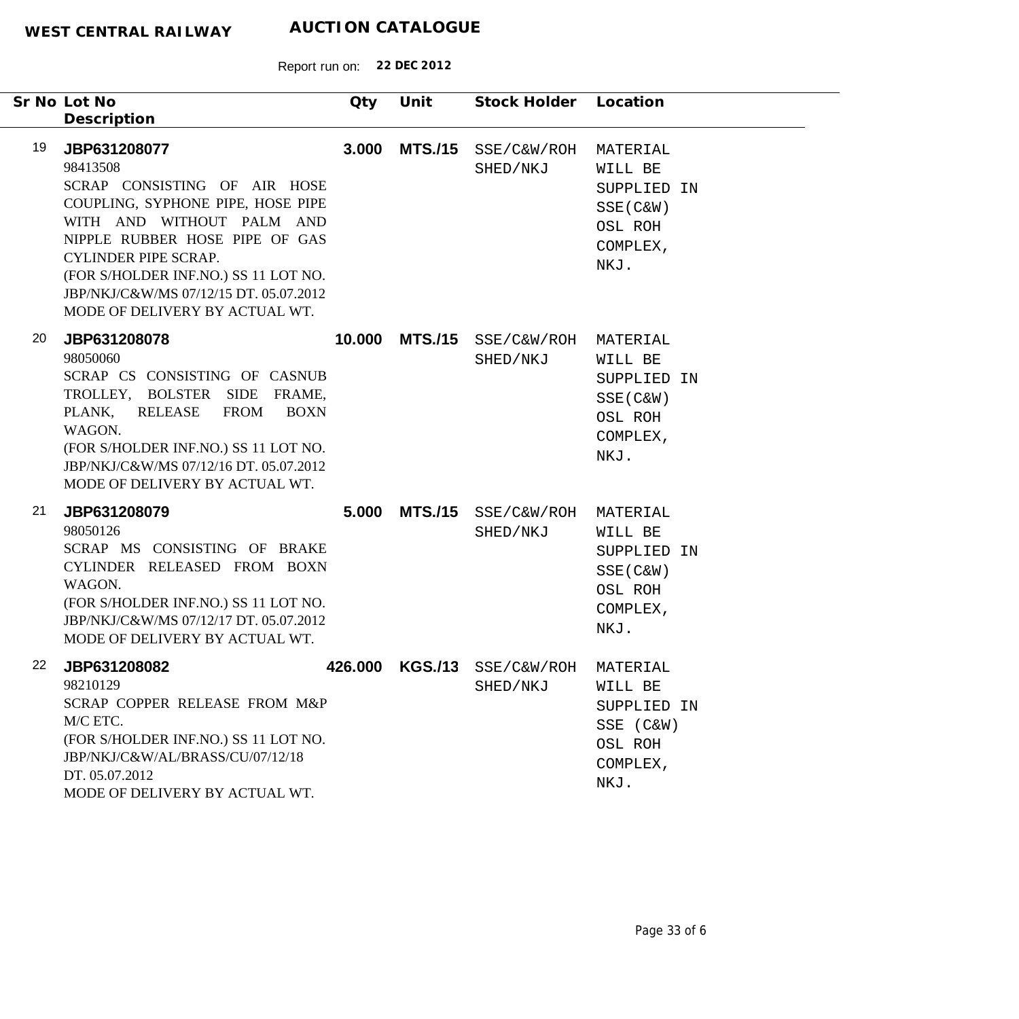|    | Sr No Lot No                                                                                                                                                                                                                                                                                                    | Qty     | Unit           | Stock Holder Location   |                                                                                  |
|----|-----------------------------------------------------------------------------------------------------------------------------------------------------------------------------------------------------------------------------------------------------------------------------------------------------------------|---------|----------------|-------------------------|----------------------------------------------------------------------------------|
|    | Description                                                                                                                                                                                                                                                                                                     |         |                |                         |                                                                                  |
| 19 | JBP631208077<br>98413508<br>SCRAP CONSISTING OF AIR HOSE<br>COUPLING, SYPHONE PIPE, HOSE PIPE<br>WITH AND WITHOUT PALM AND<br>NIPPLE RUBBER HOSE PIPE OF GAS<br><b>CYLINDER PIPE SCRAP.</b><br>(FOR S/HOLDER INF.NO.) SS 11 LOT NO.<br>JBP/NKJ/C&W/MS 07/12/15 DT. 05.07.2012<br>MODE OF DELIVERY BY ACTUAL WT. | 3.000   | <b>MTS./15</b> | SSE/C&W/ROH<br>SHED/NKJ | MATERIAL<br>WILL BE<br>SUPPLIED IN<br>$SSE(C\&W)$<br>OSL ROH<br>COMPLEX,<br>NKJ. |
| 20 | JBP631208078<br>98050060<br>SCRAP CS CONSISTING OF CASNUB<br>TROLLEY, BOLSTER SIDE FRAME,<br>PLANK,<br>RELEASE<br><b>FROM</b><br><b>BOXN</b><br>WAGON.<br>(FOR S/HOLDER INF.NO.) SS 11 LOT NO.<br>JBP/NKJ/C&W/MS 07/12/16 DT. 05.07.2012<br>MODE OF DELIVERY BY ACTUAL WT.                                      | 10.000  | <b>MTS./15</b> | SSE/C&W/ROH<br>SHED/NKJ | MATERIAL<br>WILL BE<br>SUPPLIED IN<br>SSE (C&W)<br>OSL ROH<br>COMPLEX,<br>NKJ.   |
| 21 | JBP631208079<br>98050126<br>SCRAP MS CONSISTING OF BRAKE<br>CYLINDER RELEASED FROM BOXN<br>WAGON.<br>(FOR S/HOLDER INF.NO.) SS 11 LOT NO.<br>JBP/NKJ/C&W/MS 07/12/17 DT. 05.07.2012<br>MODE OF DELIVERY BY ACTUAL WT.                                                                                           | 5.000   | <b>MTS./15</b> | SSE/C&W/ROH<br>SHED/NKJ | MATERIAL<br>WILL BE<br>SUPPLIED IN<br>$SSE(C\&W)$<br>OSL ROH<br>COMPLEX,<br>NKJ. |
| 22 | JBP631208082<br>98210129<br>SCRAP COPPER RELEASE FROM M&P<br>M/C ETC.<br>(FOR S/HOLDER INF.NO.) SS 11 LOT NO.<br>JBP/NKJ/C&W/AL/BRASS/CU/07/12/18<br>DT. 05.07.2012<br>MODE OF DELIVERY BY ACTUAL WT.                                                                                                           | 426.000 | <b>KGS./13</b> | SSE/C&W/ROH<br>SHED/NKJ | MATERIAL<br>WILL BE<br>SUPPLIED IN<br>SSE (C&W)<br>OSL ROH<br>COMPLEX,<br>NKJ.   |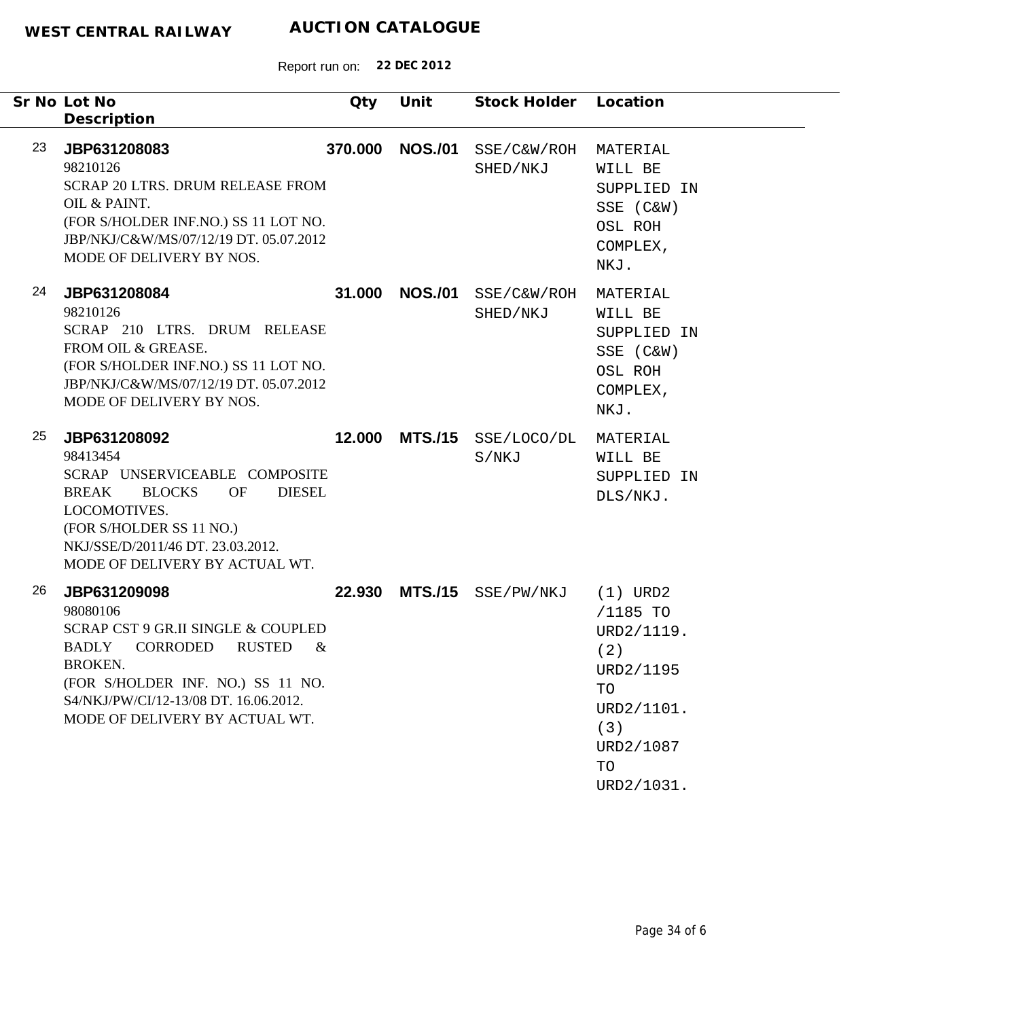|    | Sr No Lot No                                                                                                                                                                                                                                    | Qty     | Unit           | Stock Holder            | Location                                                                                                             |
|----|-------------------------------------------------------------------------------------------------------------------------------------------------------------------------------------------------------------------------------------------------|---------|----------------|-------------------------|----------------------------------------------------------------------------------------------------------------------|
|    | Description                                                                                                                                                                                                                                     |         |                |                         |                                                                                                                      |
| 23 | JBP631208083<br>98210126<br>SCRAP 20 LTRS. DRUM RELEASE FROM<br>OIL & PAINT.<br>(FOR S/HOLDER INF.NO.) SS 11 LOT NO.<br>JBP/NKJ/C&W/MS/07/12/19 DT. 05.07.2012<br>MODE OF DELIVERY BY NOS.                                                      | 370.000 | <b>NOS./01</b> | SSE/C&W/ROH<br>SHED/NKJ | MATERIAL<br>WILL BE<br>SUPPLIED IN<br>SSE (C&W)<br>OSL ROH<br>COMPLEX,<br>NKJ.                                       |
| 24 | JBP631208084<br>98210126<br>SCRAP 210 LTRS. DRUM RELEASE<br>FROM OIL & GREASE.<br>(FOR S/HOLDER INF.NO.) SS 11 LOT NO.<br>JBP/NKJ/C&W/MS/07/12/19 DT. 05.07.2012<br>MODE OF DELIVERY BY NOS.                                                    | 31.000  | <b>NOS./01</b> | SSE/C&W/ROH<br>SHED/NKJ | MATERIAL<br>WILL BE<br>SUPPLIED IN<br>SSE (C&W)<br>OSL ROH<br>COMPLEX,<br>NKJ.                                       |
| 25 | JBP631208092<br>98413454<br>SCRAP UNSERVICEABLE COMPOSITE<br><b>BREAK</b><br><b>BLOCKS</b><br><b>OF</b><br><b>DIESEL</b><br>LOCOMOTIVES.<br>(FOR S/HOLDER SS 11 NO.)<br>NKJ/SSE/D/2011/46 DT. 23.03.2012.<br>MODE OF DELIVERY BY ACTUAL WT.     | 12.000  | <b>MTS./15</b> | SSE/LOCO/DL<br>S/NKJ    | MATERIAL<br>WILL BE<br>SUPPLIED IN<br>DLS/NKJ.                                                                       |
| 26 | JBP631209098<br>98080106<br><b>SCRAP CST 9 GR.II SINGLE &amp; COUPLED</b><br>BADLY CORRODED<br><b>RUSTED</b><br>$\&$<br>BROKEN.<br>(FOR S/HOLDER INF. NO.) SS 11 NO.<br>S4/NKJ/PW/CI/12-13/08 DT. 16.06.2012.<br>MODE OF DELIVERY BY ACTUAL WT. |         | 22.930 MTS./15 | SSE/PW/NKJ              | $(1)$ URD2<br>/1185 TO<br>URD2/1119.<br>(2)<br>URD2/1195<br>TO<br>URD2/1101.<br>(3)<br>URD2/1087<br>TO<br>URD2/1031. |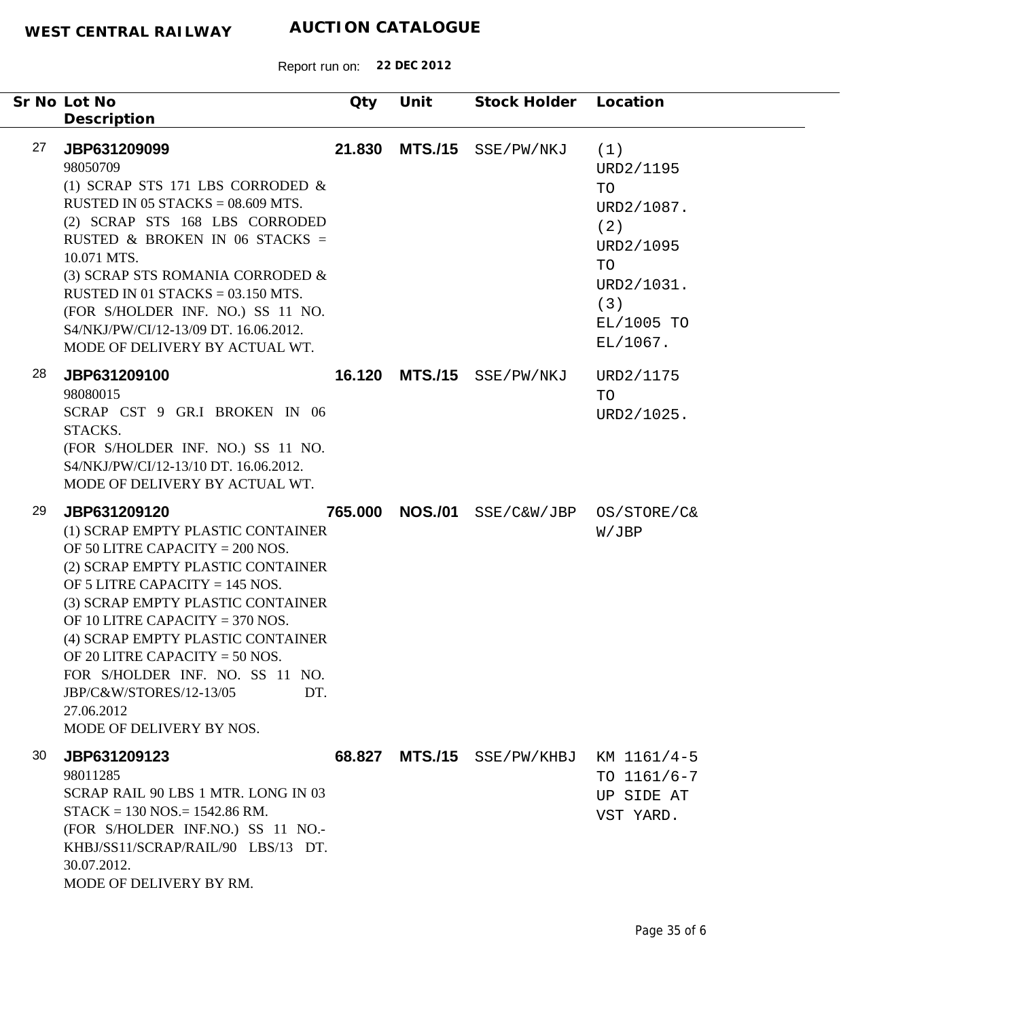| Sr No Lot No | Description                                                                                                                                                                                                                                                                                                                                                                                                                   | Qty     | Unit           | Stock Holder        | Location                                                                                                      |
|--------------|-------------------------------------------------------------------------------------------------------------------------------------------------------------------------------------------------------------------------------------------------------------------------------------------------------------------------------------------------------------------------------------------------------------------------------|---------|----------------|---------------------|---------------------------------------------------------------------------------------------------------------|
| 27           | JBP631209099<br>98050709<br>(1) SCRAP STS 171 LBS CORRODED $\&$<br>RUSTED IN 05 STACKS = $08.609$ MTS.<br>(2) SCRAP STS 168 LBS CORRODED<br>RUSTED & BROKEN IN 06 STACKS =<br>10.071 MTS.<br>(3) SCRAP STS ROMANIA CORRODED &<br>RUSTED IN 01 STACKS = $03.150$ MTS.<br>(FOR S/HOLDER INF. NO.) SS 11 NO.<br>S4/NKJ/PW/CI/12-13/09 DT. 16.06.2012.<br>MODE OF DELIVERY BY ACTUAL WT.                                          | 21.830  | <b>MTS./15</b> | SSE/PW/NKJ          | (1)<br>URD2/1195<br>TO<br>URD2/1087.<br>(2)<br>URD2/1095<br>TO<br>URD2/1031.<br>(3)<br>EL/1005 TO<br>EL/1067. |
| 28           | JBP631209100<br>98080015<br>SCRAP CST 9 GR.I BROKEN IN 06<br>STACKS.<br>(FOR S/HOLDER INF. NO.) SS 11 NO.<br>S4/NKJ/PW/CI/12-13/10 DT. 16.06.2012.<br>MODE OF DELIVERY BY ACTUAL WT.                                                                                                                                                                                                                                          | 16.120  |                | MTS./15 SSE/PW/NKJ  | URD2/1175<br>TO<br>URD2/1025.                                                                                 |
| 29           | JBP631209120<br>(1) SCRAP EMPTY PLASTIC CONTAINER<br>OF 50 LITRE CAPACITY = 200 NOS.<br>(2) SCRAP EMPTY PLASTIC CONTAINER<br>OF 5 LITRE CAPACITY = $145$ NOS.<br>(3) SCRAP EMPTY PLASTIC CONTAINER<br>OF 10 LITRE CAPACITY = $370$ NOS.<br>(4) SCRAP EMPTY PLASTIC CONTAINER<br>OF 20 LITRE CAPACITY = 50 NOS.<br>FOR S/HOLDER INF. NO. SS 11 NO.<br>JBP/C&W/STORES/12-13/05<br>DT.<br>27.06.2012<br>MODE OF DELIVERY BY NOS. | 765.000 | <b>NOS./01</b> | SSE/C&W/JBP         | OS/STORE/C&<br>W/JBP                                                                                          |
| 30           | JBP631209123<br>98011285<br>SCRAP RAIL 90 LBS 1 MTR. LONG IN 03<br>$STACK = 130 NOS = 1542.86 RM.$<br>(FOR S/HOLDER INF.NO.) SS 11 NO.-<br>KHBJ/SS11/SCRAP/RAIL/90 LBS/13 DT.<br>30.07.2012.<br>MODE OF DELIVERY BY RM.                                                                                                                                                                                                       | 68.827  |                | MTS./15 SSE/PW/KHBJ | KM 1161/4-5<br>TO $1161/6 - 7$<br>UP SIDE AT<br>VST YARD.                                                     |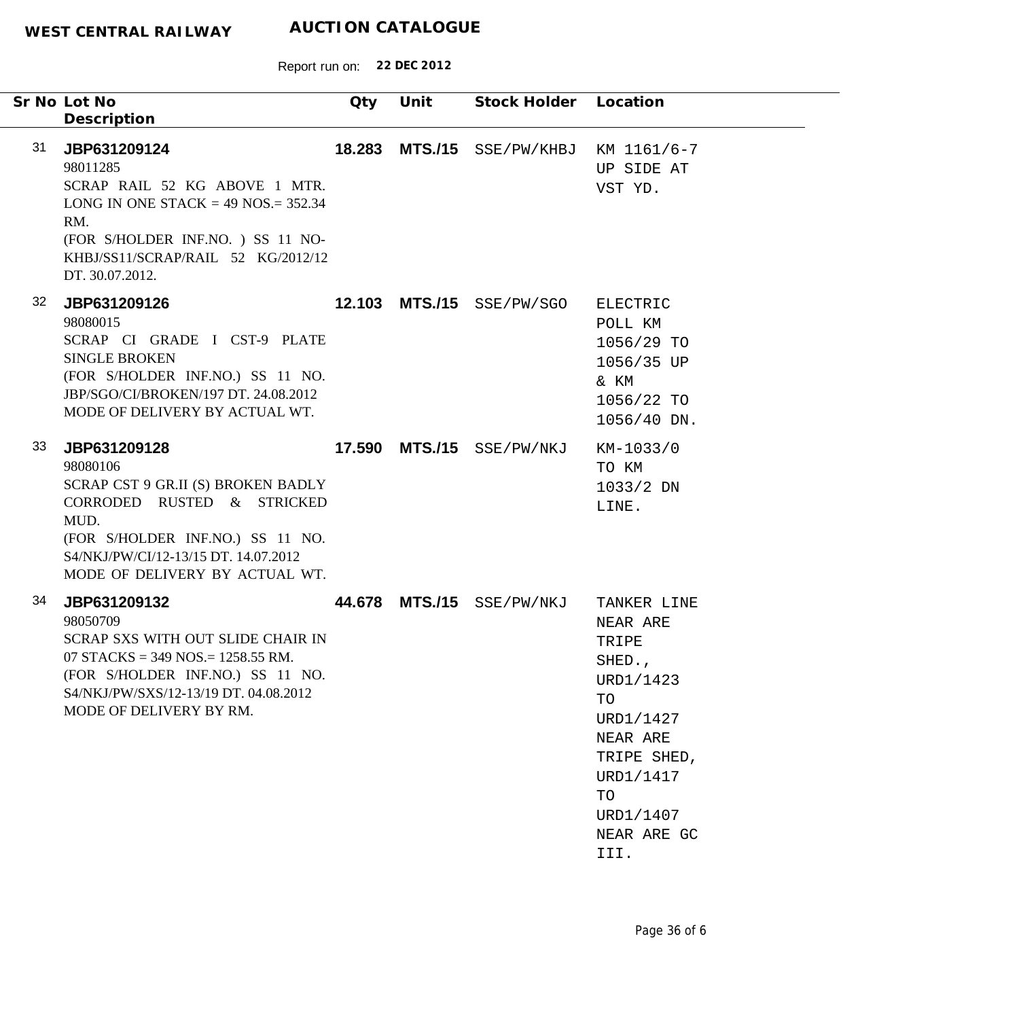|    | Sr No Lot No<br>Description                                                                                                                                                                                        | Qty    | Unit | Stock Holder Location     |                                                                                                                                                              |
|----|--------------------------------------------------------------------------------------------------------------------------------------------------------------------------------------------------------------------|--------|------|---------------------------|--------------------------------------------------------------------------------------------------------------------------------------------------------------|
| 31 | JBP631209124<br>98011285<br>SCRAP RAIL 52 KG ABOVE 1 MTR.<br>LONG IN ONE STACK = $49$ NOS = $352.34$<br>RM.<br>(FOR S/HOLDER INF.NO.) SS 11 NO-<br>KHBJ/SS11/SCRAP/RAIL 52 KG/2012/12<br>DT. 30.07.2012.           | 18.283 |      | MTS./15 SSE/PW/KHBJ       | KM 1161/6-7<br>UP SIDE AT<br>VST YD.                                                                                                                         |
| 32 | JBP631209126<br>98080015<br>SCRAP CI GRADE I CST-9 PLATE<br><b>SINGLE BROKEN</b><br>(FOR S/HOLDER INF.NO.) SS 11 NO.<br>JBP/SGO/CI/BROKEN/197 DT. 24.08.2012<br>MODE OF DELIVERY BY ACTUAL WT.                     | 12.103 |      | $MTS./15$ $SSE/PW/SGO$    | ELECTRIC<br>POLL KM<br>1056/29 TO<br>1056/35 UP<br>& KM<br>1056/22 TO<br>1056/40 DN.                                                                         |
| 33 | JBP631209128<br>98080106<br>SCRAP CST 9 GR.II (S) BROKEN BADLY<br>CORRODED RUSTED & STRICKED<br>MUD.<br>(FOR S/HOLDER INF.NO.) SS 11 NO.<br>S4/NKJ/PW/CI/12-13/15 DT. 14.07.2012<br>MODE OF DELIVERY BY ACTUAL WT. |        |      | 17.590 MTS./15 SSE/PW/NKJ | KM-1033/0<br>TO KM<br>$1033/2$ DN<br>LINE.                                                                                                                   |
| 34 | JBP631209132<br>98050709<br>SCRAP SXS WITH OUT SLIDE CHAIR IN<br>07 STACKS = 349 NOS. = 1258.55 RM.<br>(FOR S/HOLDER INF.NO.) SS 11 NO.<br>S4/NKJ/PW/SXS/12-13/19 DT. 04.08.2012<br>MODE OF DELIVERY BY RM.        |        |      | 44.678 MTS./15 SSE/PW/NKJ | TANKER LINE<br>NEAR ARE<br>TRIPE<br>SHED.,<br>URD1/1423<br>TO<br>URD1/1427<br>NEAR ARE<br>TRIPE SHED,<br>URD1/1417<br>TO<br>URD1/1407<br>NEAR ARE GC<br>III. |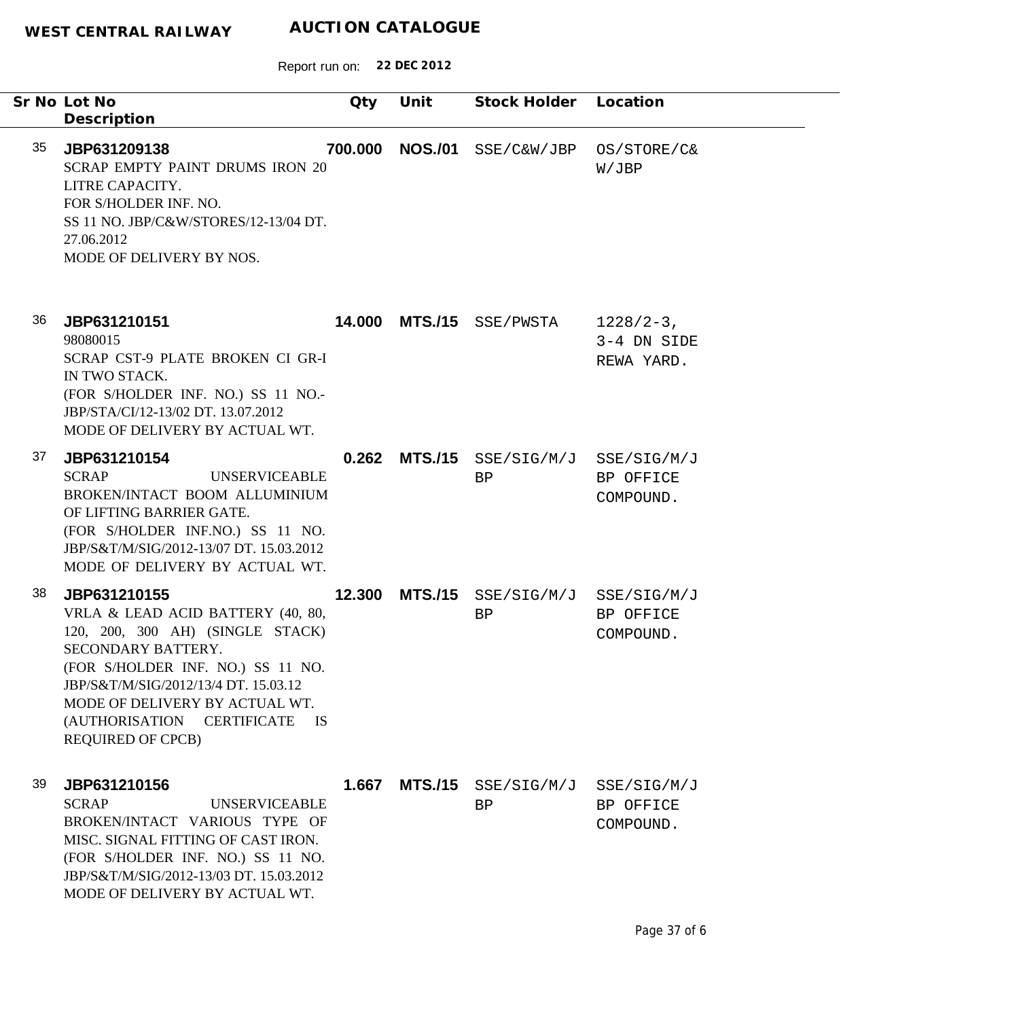|    | Sr No Lot No<br>Description                                                                                                                                                                                                                                                                  | Qty     | Unit           | Stock Holder Location                         |                                           |
|----|----------------------------------------------------------------------------------------------------------------------------------------------------------------------------------------------------------------------------------------------------------------------------------------------|---------|----------------|-----------------------------------------------|-------------------------------------------|
| 35 | JBP631209138<br>SCRAP EMPTY PAINT DRUMS IRON 20<br>LITRE CAPACITY.<br>FOR S/HOLDER INF. NO.<br>SS 11 NO. JBP/C&W/STORES/12-13/04 DT.<br>27.06.2012<br>MODE OF DELIVERY BY NOS.                                                                                                               | 700.000 | <b>NOS./01</b> | SSE/C&W/JBP                                   | OS/STORE/C&<br>W/JBP                      |
| 36 | JBP631210151<br>98080015<br>SCRAP CST-9 PLATE BROKEN CI GR-I<br>IN TWO STACK.<br>(FOR S/HOLDER INF. NO.) SS 11 NO.-<br>JBP/STA/CI/12-13/02 DT. 13.07.2012<br>MODE OF DELIVERY BY ACTUAL WT.                                                                                                  |         |                | <b>14.000 MTS./15</b> SSE/PWSTA               | $1228/2-3$ ,<br>3-4 DN SIDE<br>REWA YARD. |
| 37 | JBP631210154<br><b>SCRAP</b><br><b>UNSERVICEABLE</b><br>BROKEN/INTACT BOOM ALLUMINIUM<br>OF LIFTING BARRIER GATE.<br>(FOR S/HOLDER INF.NO.) SS 11 NO.<br>JBP/S&T/M/SIG/2012-13/07 DT. 15.03.2012<br>MODE OF DELIVERY BY ACTUAL WT.                                                           |         |                | $0.262$ MTS./15 SSE/SIG/M/J SSE/SIG/M/J<br>BP | BP OFFICE<br>COMPOUND.                    |
| 38 | JBP631210155<br>VRLA & LEAD ACID BATTERY (40, 80,<br>120, 200, 300 AH) (SINGLE STACK)<br>SECONDARY BATTERY.<br>(FOR S/HOLDER INF. NO.) SS 11 NO.<br>JBP/S&T/M/SIG/2012/13/4 DT. 15.03.12<br>MODE OF DELIVERY BY ACTUAL WT.<br>(AUTHORISATION CERTIFICATE<br>- IS<br><b>REQUIRED OF CPCB)</b> | 12.300  |                | MTS./15 SSE/SIG/M/J SSE/SIG/M/J<br>BP         | BP OFFICE<br>COMPOUND.                    |
| 39 | JBP631210156<br><b>SCRAP</b><br><b>UNSERVICEABLE</b><br>BROKEN/INTACT VARIOUS TYPE OF<br>MISC. SIGNAL FITTING OF CAST IRON.<br>(FOR S/HOLDER INF. NO.) SS 11 NO.<br>JBP/S&T/M/SIG/2012-13/03 DT. 15.03.2012<br>MODE OF DELIVERY BY ACTUAL WT.                                                | 1.667   | <b>MTS./15</b> | SSE/SIG/M/J<br>BP                             | SSE/SIG/M/J<br>BP OFFICE<br>COMPOUND.     |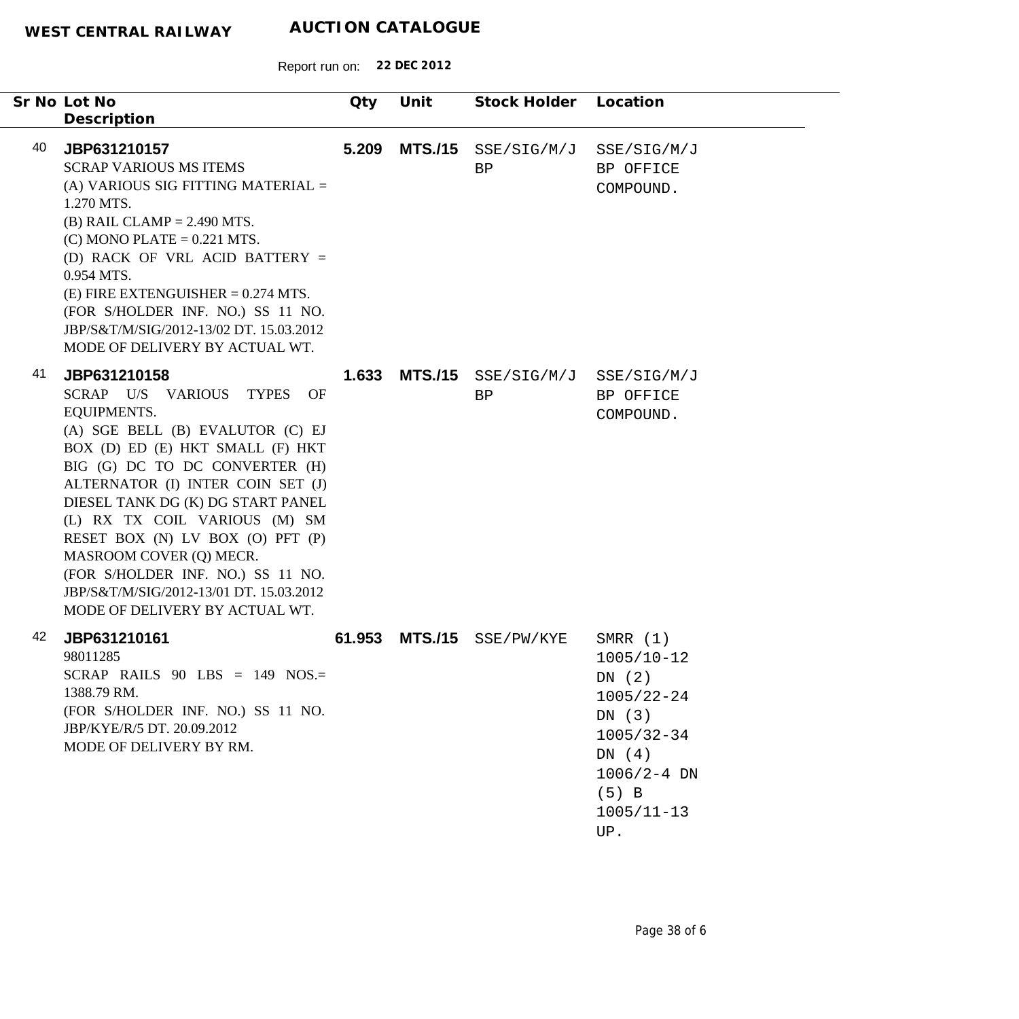|    | Sr No Lot No<br>Description                                                                                                                                                                                                                                                                                                                                                                                                                                               | Qty    | Unit           | Stock Holder Location |                                                                                                                                                    |
|----|---------------------------------------------------------------------------------------------------------------------------------------------------------------------------------------------------------------------------------------------------------------------------------------------------------------------------------------------------------------------------------------------------------------------------------------------------------------------------|--------|----------------|-----------------------|----------------------------------------------------------------------------------------------------------------------------------------------------|
| 40 | JBP631210157<br><b>SCRAP VARIOUS MS ITEMS</b><br>(A) VARIOUS SIG FITTING MATERIAL =<br>1.270 MTS.<br>$(B)$ RAIL CLAMP = 2.490 MTS.<br>$(C)$ MONO PLATE = 0.221 MTS.<br>(D) RACK OF VRL ACID BATTERY =<br>0.954 MTS.<br>$(E)$ FIRE EXTENGUISHER = 0.274 MTS.<br>(FOR S/HOLDER INF. NO.) SS 11 NO.<br>JBP/S&T/M/SIG/2012-13/02 DT. 15.03.2012<br>MODE OF DELIVERY BY ACTUAL WT.                                                                                             | 5.209  | <b>MTS./15</b> | SSE/SIG/M/J<br>BP     | SSE/SIG/M/J<br>BP OFFICE<br>COMPOUND.                                                                                                              |
| 41 | JBP631210158<br>SCRAP U/S VARIOUS TYPES<br>OF<br><b>EQUIPMENTS.</b><br>(A) SGE BELL (B) EVALUTOR (C) EJ<br>BOX (D) ED (E) HKT SMALL (F) HKT<br>BIG (G) DC TO DC CONVERTER (H)<br>ALTERNATOR (I) INTER COIN SET (J)<br>DIESEL TANK DG (K) DG START PANEL<br>(L) RX TX COIL VARIOUS (M) SM<br>RESET BOX (N) LV BOX (O) PFT (P)<br>MASROOM COVER (Q) MECR.<br>(FOR S/HOLDER INF. NO.) SS 11 NO.<br>JBP/S&T/M/SIG/2012-13/01 DT. 15.03.2012<br>MODE OF DELIVERY BY ACTUAL WT. | 1.633  | <b>MTS./15</b> | SSE/SIG/M/J<br>BP     | SSE/SIG/M/J<br>BP OFFICE<br>COMPOUND.                                                                                                              |
| 42 | JBP631210161<br>98011285<br>SCRAP RAILS $90$ LBS = 149 NOS.=<br>1388.79 RM.<br>(FOR S/HOLDER INF. NO.) SS 11 NO.<br>JBP/KYE/R/5 DT. 20.09.2012<br>MODE OF DELIVERY BY RM.                                                                                                                                                                                                                                                                                                 | 61.953 | <b>MTS./15</b> | SSE/PW/KYE            | SMRR $(1)$<br>$1005/10 - 12$<br>DN(2)<br>$1005/22 - 24$<br>DN(3)<br>$1005/32 - 34$<br>DN(4)<br>$1006/2 - 4$ DN<br>$(5)$ B<br>$1005/11 - 13$<br>UP. |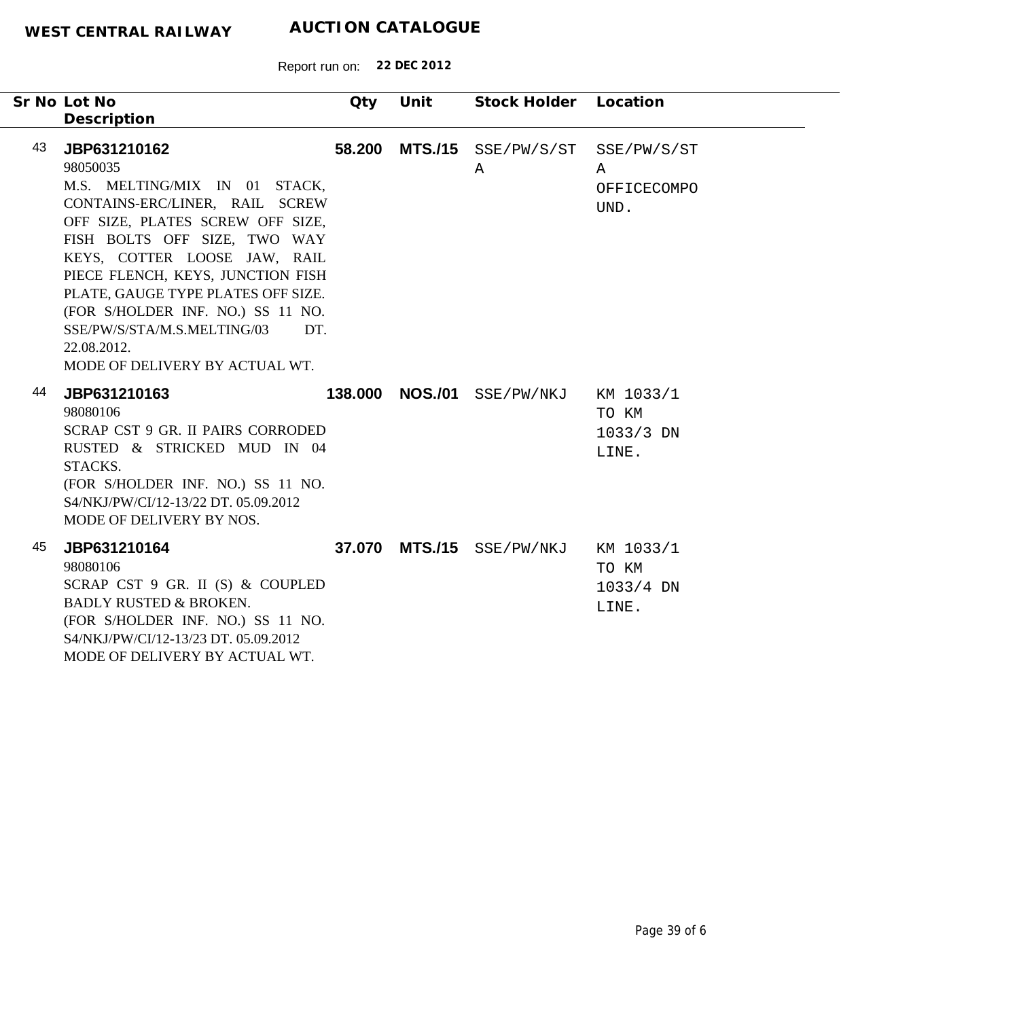|    | Sr No Lot No<br>Description                                                                                                                                                                                                                                                                                                                                                                            | Qty    | Unit            | Stock Holder Location |                                            |
|----|--------------------------------------------------------------------------------------------------------------------------------------------------------------------------------------------------------------------------------------------------------------------------------------------------------------------------------------------------------------------------------------------------------|--------|-----------------|-----------------------|--------------------------------------------|
| 43 | JBP631210162<br>98050035<br>M.S. MELTING/MIX IN 01 STACK,<br>CONTAINS-ERC/LINER, RAIL SCREW<br>OFF SIZE, PLATES SCREW OFF SIZE,<br>FISH BOLTS OFF SIZE, TWO WAY<br>KEYS, COTTER LOOSE JAW, RAIL<br>PIECE FLENCH, KEYS, JUNCTION FISH<br>PLATE, GAUGE TYPE PLATES OFF SIZE.<br>(FOR S/HOLDER INF. NO.) SS 11 NO.<br>SSE/PW/S/STA/M.S.MELTING/03<br>DT.<br>22.08.2012.<br>MODE OF DELIVERY BY ACTUAL WT. | 58.200 | <b>MTS./15</b>  | SSE/PW/S/ST<br>A      | SSE/PW/S/ST<br>Α<br>OFFICECOMPO<br>UND.    |
| 44 | JBP631210163<br>98080106<br>SCRAP CST 9 GR. II PAIRS CORRODED<br>RUSTED & STRICKED MUD IN 04<br>STACKS.<br>(FOR S/HOLDER INF. NO.) SS 11 NO.<br>S4/NKJ/PW/CI/12-13/22 DT. 05.09.2012<br>MODE OF DELIVERY BY NOS.                                                                                                                                                                                       |        | 138.000 NOS./01 | SSE/PW/NKJ            | KM 1033/1<br>TO KM<br>1033/3 DN<br>LINE.   |
| 45 | JBP631210164<br>98080106<br>SCRAP CST 9 GR. II (S) & COUPLED<br><b>BADLY RUSTED &amp; BROKEN.</b><br>(FOR S/HOLDER INF. NO.) SS 11 NO.<br>S4/NKJ/PW/CI/12-13/23 DT. 05.09.2012<br>MODE OF DELIVERY BY ACTUAL WT.                                                                                                                                                                                       |        | 37.070 MTS./15  | SSE/PW/NKJ            | KM 1033/1<br>TO KM<br>$1033/4$ DN<br>LINE. |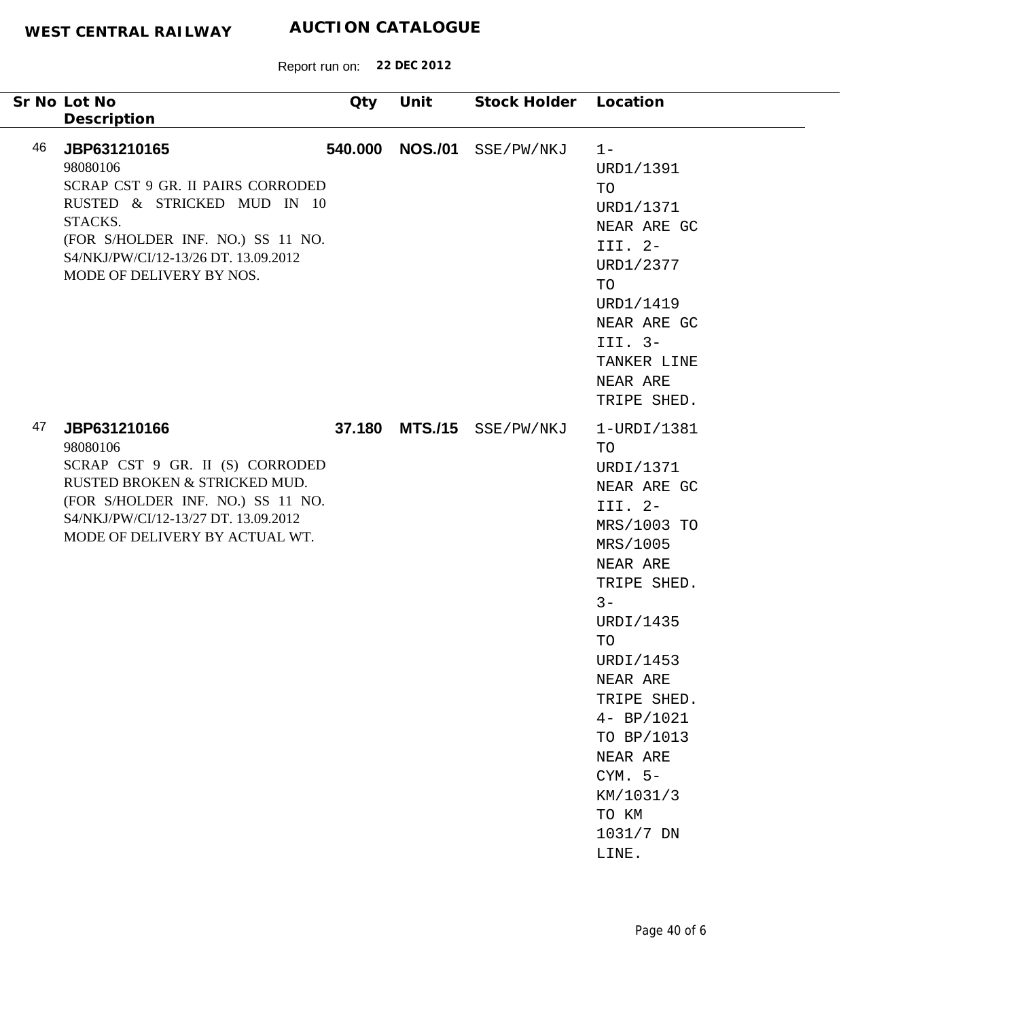| Sr No Lot No<br>Description                                                                                                                                                                                            | Qty     | Unit           | Stock Holder Location |                                                                                                                                                                                                                                                                                        |
|------------------------------------------------------------------------------------------------------------------------------------------------------------------------------------------------------------------------|---------|----------------|-----------------------|----------------------------------------------------------------------------------------------------------------------------------------------------------------------------------------------------------------------------------------------------------------------------------------|
| 46<br>JBP631210165<br>98080106<br>SCRAP CST 9 GR. II PAIRS CORRODED<br>RUSTED & STRICKED MUD IN 10<br>STACKS.<br>(FOR S/HOLDER INF. NO.) SS 11 NO.<br>S4/NKJ/PW/CI/12-13/26 DT. 13.09.2012<br>MODE OF DELIVERY BY NOS. | 540.000 | <b>NOS./01</b> | SSE/PW/NKJ            | $1 -$<br>URD1/1391<br>TO<br>URD1/1371<br>NEAR ARE GC<br>III. 2-<br>URD1/2377<br>TO<br>URD1/1419<br>NEAR ARE GC<br>III. 3-<br>TANKER LINE<br>NEAR ARE<br>TRIPE SHED.                                                                                                                    |
| 47<br>JBP631210166<br>98080106<br>SCRAP CST 9 GR. II (S) CORRODED<br>RUSTED BROKEN & STRICKED MUD.<br>(FOR S/HOLDER INF. NO.) SS 11 NO.<br>S4/NKJ/PW/CI/12-13/27 DT. 13.09.2012<br>MODE OF DELIVERY BY ACTUAL WT.      | 37.180  |                | MTS./15 SSE/PW/NKJ    | 1-URDI/1381<br>TO<br>URDI/1371<br>NEAR ARE GC<br>III. 2-<br>MRS/1003 TO<br>MRS/1005<br>NEAR ARE<br>TRIPE SHED.<br>$3 -$<br>URDI/1435<br>TO<br>URDI/1453<br>NEAR ARE<br>TRIPE SHED.<br>$4 - BP/1021$<br>TO BP/1013<br>NEAR ARE<br>$CYM. 5-$<br>KM/1031/3<br>TO KM<br>1031/7 DN<br>LINE. |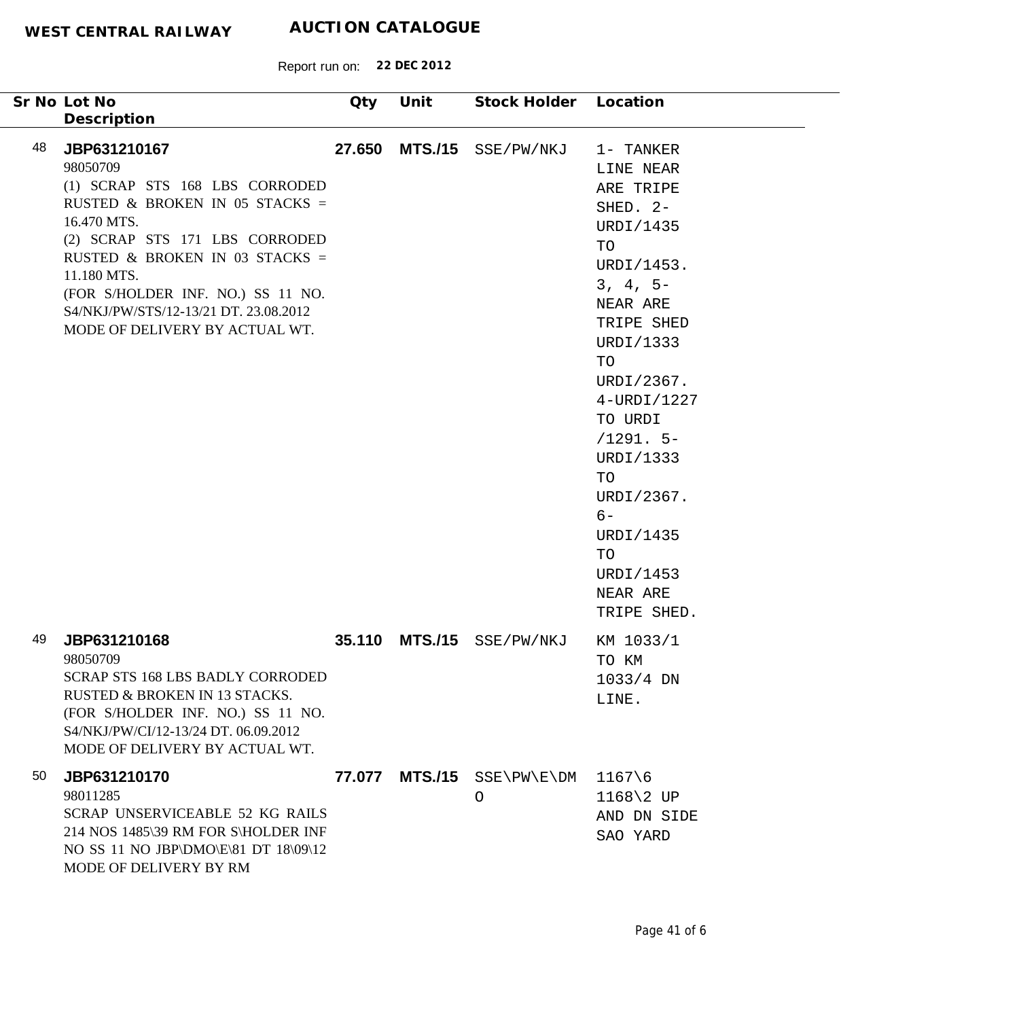|    | Sr No Lot No<br>Description                                                                                                                                                                                                                                                                                    | Qty    | Unit           | Stock Holder Location |                                                                                                                                                                                                                                                                                                       |
|----|----------------------------------------------------------------------------------------------------------------------------------------------------------------------------------------------------------------------------------------------------------------------------------------------------------------|--------|----------------|-----------------------|-------------------------------------------------------------------------------------------------------------------------------------------------------------------------------------------------------------------------------------------------------------------------------------------------------|
| 48 | JBP631210167<br>98050709<br>(1) SCRAP STS 168 LBS CORRODED<br>RUSTED & BROKEN IN 05 STACKS =<br>16.470 MTS.<br>(2) SCRAP STS 171 LBS CORRODED<br>RUSTED & BROKEN IN 03 STACKS =<br>11.180 MTS.<br>(FOR S/HOLDER INF. NO.) SS 11 NO.<br>S4/NKJ/PW/STS/12-13/21 DT. 23.08.2012<br>MODE OF DELIVERY BY ACTUAL WT. | 27.650 |                | MTS./15 SSE/PW/NKJ    | 1- TANKER<br>LINE NEAR<br>ARE TRIPE<br>SHED. 2-<br>URDI/1435<br>TO<br>URDI/1453.<br>$3, 4, 5-$<br>NEAR ARE<br>TRIPE SHED<br>URDI/1333<br>TO<br>URDI/2367.<br>4-URDI/1227<br>TO URDI<br>$/1291.5-$<br>URDI/1333<br>TO<br>URDI/2367.<br>$6-$<br>URDI/1435<br>TO<br>URDI/1453<br>NEAR ARE<br>TRIPE SHED. |
| 49 | JBP631210168<br>98050709<br><b>SCRAP STS 168 LBS BADLY CORRODED</b><br>RUSTED & BROKEN IN 13 STACKS.<br>(FOR S/HOLDER INF. NO.) SS 11 NO.<br>S4/NKJ/PW/CI/12-13/24 DT. 06.09.2012<br>MODE OF DELIVERY BY ACTUAL WT.                                                                                            | 35.110 | <b>MTS./15</b> | SSE/PW/NKJ            | KM 1033/1<br>TO KM<br>$1033/4$ DN<br>LINE.                                                                                                                                                                                                                                                            |
| 50 | JBP631210170<br>98011285<br>SCRAP UNSERVICEABLE 52 KG RAILS<br>214 NOS 1485\39 RM FOR S\HOLDER INF<br>NO SS 11 NO JBP\DMO\E\81 DT 18\09\12<br>MODE OF DELIVERY BY RM                                                                                                                                           | 77.077 | <b>MTS./15</b> | SSE\PW\E\DM<br>O      | $1167\$<br>$1168\$ 2 UP<br>AND DN SIDE<br>SAO YARD                                                                                                                                                                                                                                                    |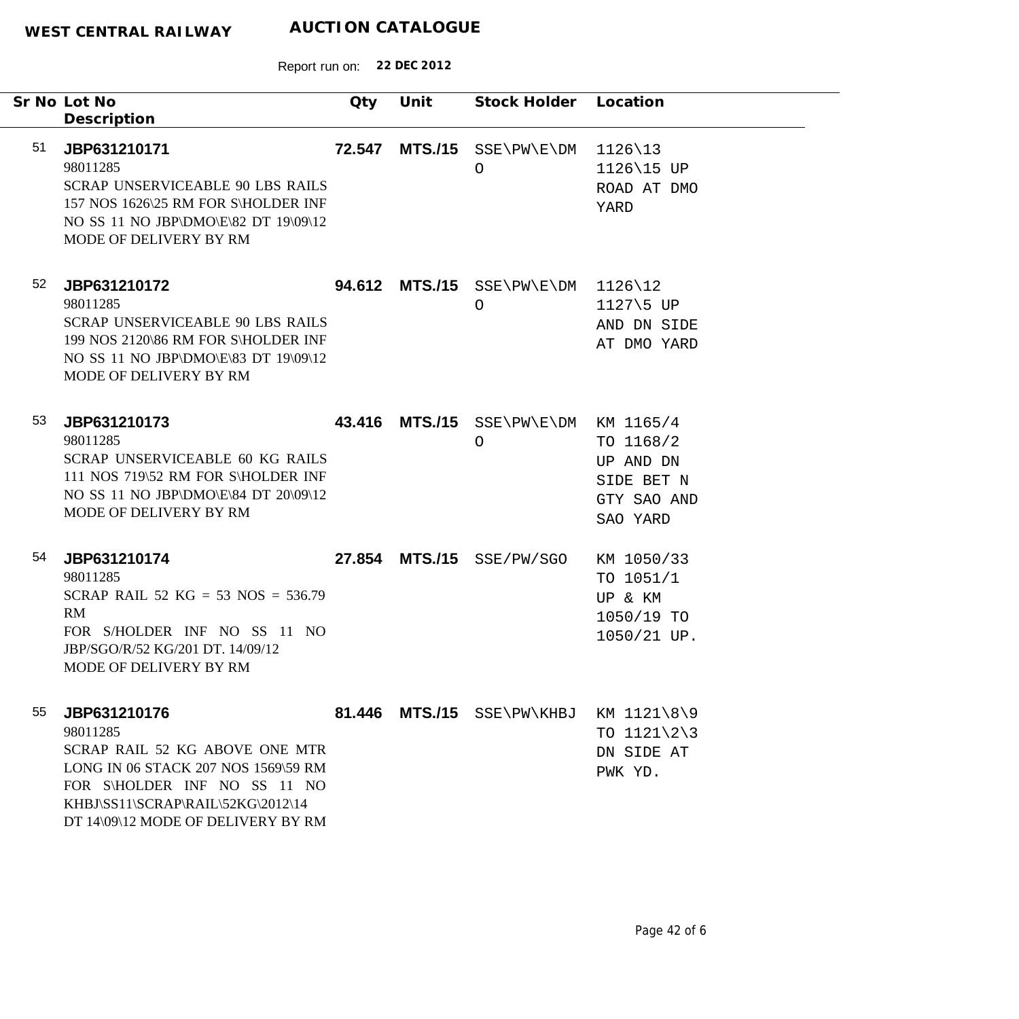|    | Sr No Lot No<br>Description                                                                                                                                                                                  | <b>Qty</b> | Unit           | Stock Holder Location                      |                                                                          |
|----|--------------------------------------------------------------------------------------------------------------------------------------------------------------------------------------------------------------|------------|----------------|--------------------------------------------|--------------------------------------------------------------------------|
| 51 | JBP631210171<br>98011285<br><b>SCRAP UNSERVICEABLE 90 LBS RAILS</b><br>157 NOS 1626\25 RM FOR S\HOLDER INF<br>NO SS 11 NO JBP\DMO\E\82 DT 19\09\12<br>MODE OF DELIVERY BY RM                                 | 72.547     |                | MTS./15 SSE\PW\E\DM<br>O                   | $1126\backslash13$<br>1126\15 UP<br>ROAD AT DMO<br>YARD                  |
| 52 | JBP631210172<br>98011285<br><b>SCRAP UNSERVICEABLE 90 LBS RAILS</b><br>199 NOS 2120\86 RM FOR S\HOLDER INF<br>NO SS 11 NO JBP\DMO\E\83 DT 19\09\12<br>MODE OF DELIVERY BY RM                                 | 94.612     |                | $MTS. / 15$ SSE\PW\E\DM 1126\12<br>$\circ$ | 1127\5 UP<br>AND DN SIDE<br>AT DMO YARD                                  |
| 53 | JBP631210173<br>98011285<br>SCRAP UNSERVICEABLE 60 KG RAILS<br>111 NOS 719\52 RM FOR S\HOLDER INF<br>NO SS 11 NO JBP\DMO\E\84 DT 20\09\12<br>MODE OF DELIVERY BY RM                                          | 43.416     | <b>MTS./15</b> | SSE\PW\E\DM KM 1165/4<br>$\bigcirc$        | TO 1168/2<br>UP AND DN<br>SIDE BET N<br>GTY SAO AND<br>SAO YARD          |
| 54 | JBP631210174<br>98011285<br>SCRAP RAIL 52 KG = 53 NOS = 536.79<br>RM<br>FOR S/HOLDER INF NO SS 11 NO<br>JBP/SGO/R/52 KG/201 DT. 14/09/12<br>MODE OF DELIVERY BY RM                                           |            |                | 27.854 MTS./15 SSE/PW/SGO                  | KM 1050/33<br>TO 1051/1<br>UP & KM<br>1050/19 TO<br>1050/21 UP.          |
| 55 | JBP631210176<br>98011285<br>SCRAP RAIL 52 KG ABOVE ONE MTR<br>LONG IN 06 STACK 207 NOS 1569\59 RM<br>FOR S\HOLDER INF NO SS 11 NO<br>KHBJ\SS11\SCRAP\RAIL\52KG\2012\14<br>DT 14\09\12 MODE OF DELIVERY BY RM |            |                | 81.446 MTS./15 SSE\PW\KHBJ                 | KM 1121\8\9<br>TO $1121\overline{\phantom{2}}3$<br>DN SIDE AT<br>PWK YD. |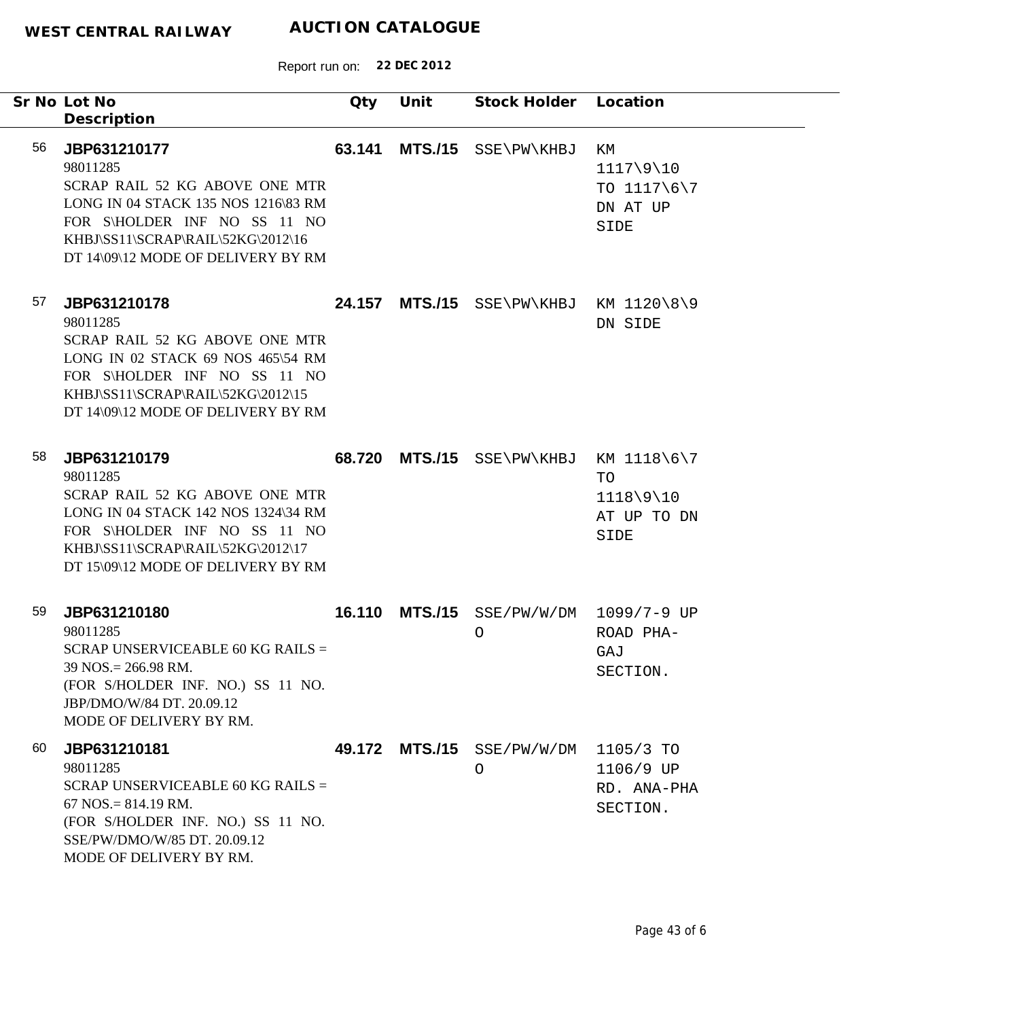|    | Sr No Lot No<br>Description                                                                                                                                                                                  | Qty    | Unit           | Stock Holder Location             |                                                    |
|----|--------------------------------------------------------------------------------------------------------------------------------------------------------------------------------------------------------------|--------|----------------|-----------------------------------|----------------------------------------------------|
| 56 | JBP631210177<br>98011285<br>SCRAP RAIL 52 KG ABOVE ONE MTR<br>LONG IN 04 STACK 135 NOS 1216\83 RM<br>FOR S\HOLDER INF NO SS 11 NO<br>KHBJ\SS11\SCRAP\RAIL\52KG\2012\16<br>DT 14\09\12 MODE OF DELIVERY BY RM | 63.141 | <b>MTS./15</b> | SSE\PW\KHBJ                       | ΚM<br>1117\9\10<br>TO 1117\6\7<br>DN AT UP<br>SIDE |
| 57 | JBP631210178<br>98011285<br>SCRAP RAIL 52 KG ABOVE ONE MTR<br>LONG IN 02 STACK 69 NOS 465\54 RM<br>FOR S\HOLDER INF NO SS 11 NO<br>KHBJ\SS11\SCRAP\RAIL\52KG\2012\15<br>DT 14\09\12 MODE OF DELIVERY BY RM   | 24.157 |                | $MTS./15$ SSE PW KHBJ KM 1120 8 9 | DN SIDE                                            |
| 58 | JBP631210179<br>98011285<br>SCRAP RAIL 52 KG ABOVE ONE MTR<br>LONG IN 04 STACK 142 NOS 1324\34 RM<br>FOR S\HOLDER INF NO SS 11 NO<br>KHBJ\SS11\SCRAP\RAIL\52KG\2012\17<br>DT 15\09\12 MODE OF DELIVERY BY RM | 68.720 | <b>MTS./15</b> | SSE\PW\KHBJ KM 1118\6\7           | TO<br>$1118\9\10$<br>AT UP TO DN<br>SIDE           |
| 59 | JBP631210180<br>98011285<br>SCRAP UNSERVICEABLE 60 KG RAILS $=$<br>39 NOS.= 266.98 RM.<br>(FOR S/HOLDER INF. NO.) SS 11 NO.<br>JBP/DMO/W/84 DT. 20.09.12<br>MODE OF DELIVERY BY RM.                          | 16.110 |                | MTS./15 SSE/PW/W/DM<br>$\circ$    | $1099/7 - 9$ UP<br>ROAD PHA-<br>GAJ<br>SECTION.    |
| 60 | JBP631210181<br>98011285<br>SCRAP UNSERVICEABLE 60 KG RAILS =<br>$67$ NOS. = 814.19 RM.<br>(FOR S/HOLDER INF. NO.) SS 11 NO.<br>SSE/PW/DMO/W/85 DT. 20.09.12<br>MODE OF DELIVERY BY RM.                      |        | 49.172 MTS./15 | SSE/PW/W/DM<br>$\circ$            | 1105/3 TO<br>1106/9 UP<br>RD. ANA-PHA<br>SECTION.  |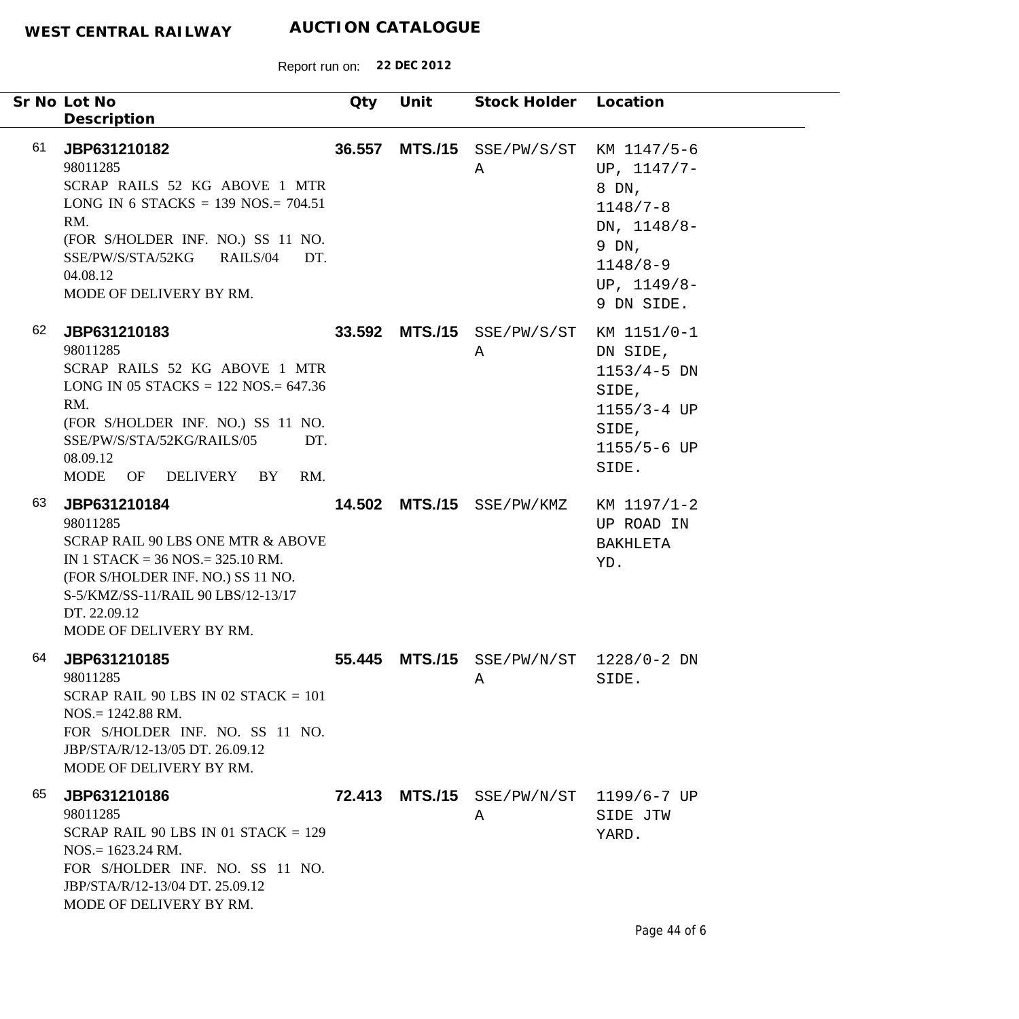| Sr No Lot No<br>Description                                                                                                                                                                                                            | Qty    | Unit           | Stock Holder                           | Location                                                                                                                       |
|----------------------------------------------------------------------------------------------------------------------------------------------------------------------------------------------------------------------------------------|--------|----------------|----------------------------------------|--------------------------------------------------------------------------------------------------------------------------------|
| 61<br>JBP631210182<br>98011285<br>SCRAP RAILS 52 KG ABOVE 1 MTR<br>LONG IN 6 STACKS = $139$ NOS. = $704.51$<br>RM.<br>(FOR S/HOLDER INF. NO.) SS 11 NO.<br>SSE/PW/S/STA/52KG<br>RAILS/04<br>DT.<br>04.08.12<br>MODE OF DELIVERY BY RM. | 36.557 | <b>MTS./15</b> | SSE/PW/S/ST<br>Α                       | KM 1147/5-6<br>UP, $1147/7-$<br>8 DN,<br>$1148/7 - 8$<br>DN, $1148/8-$<br>9 DN,<br>$1148/8 - 9$<br>UP, $1149/8-$<br>9 DN SIDE. |
| 62<br>JBP631210183<br>98011285<br>SCRAP RAILS 52 KG ABOVE 1 MTR<br>LONG IN 05 STACKS = $122$ NOS = $647.36$<br>RM.<br>(FOR S/HOLDER INF. NO.) SS 11 NO.<br>SSE/PW/S/STA/52KG/RAILS/05<br>DT.<br>08.09.12<br>MODE OF DELIVERY BY<br>RM. |        | 33.592 MTS./15 | SSE/PW/S/ST<br>A                       | KM 1151/0-1<br>DN SIDE,<br>$1153/4 - 5$ DN<br>SIDE,<br>$1155/3 - 4 UP$<br>SIDE,<br>1155/5-6 UP<br>SIDE.                        |
| 63<br>JBP631210184<br>98011285<br>SCRAP RAIL 90 LBS ONE MTR & ABOVE<br>IN 1 STACK = $36$ NOS = $325.10$ RM.<br>(FOR S/HOLDER INF. NO.) SS 11 NO.<br>S-5/KMZ/SS-11/RAIL 90 LBS/12-13/17<br>DT. 22.09.12<br>MODE OF DELIVERY BY RM.      |        | 14.502 MTS./15 | SSE/PW/KMZ                             | KM 1197/1-2<br>UP ROAD IN<br>BAKHLETA<br>YD.                                                                                   |
| 64<br>JBP631210185<br>98011285<br>SCRAP RAIL 90 LBS IN 02 STACK $= 101$<br>$NOS = 1242.88$ RM.<br>FOR S/HOLDER INF. NO. SS 11 NO.<br>JBP/STA/R/12-13/05 DT, 26.09.12<br>MODE OF DELIVERY BY RM.                                        | 55.445 |                | $MTS./15$ SSE/PW/N/ST 1228/0-2 DN<br>A | SIDE.                                                                                                                          |
| 65<br>JBP631210186<br>98011285<br>SCRAP RAIL 90 LBS IN 01 STACK $= 129$<br>$NOS = 1623.24$ RM.<br>FOR S/HOLDER INF. NO. SS 11 NO.<br>JBP/STA/R/12-13/04 DT. 25.09.12<br>MODE OF DELIVERY BY RM.                                        |        |                | 72.413 MTS./15 SSE/PW/N/ST<br>Α        | 1199/6-7 UP<br>SIDE JTW<br>YARD.                                                                                               |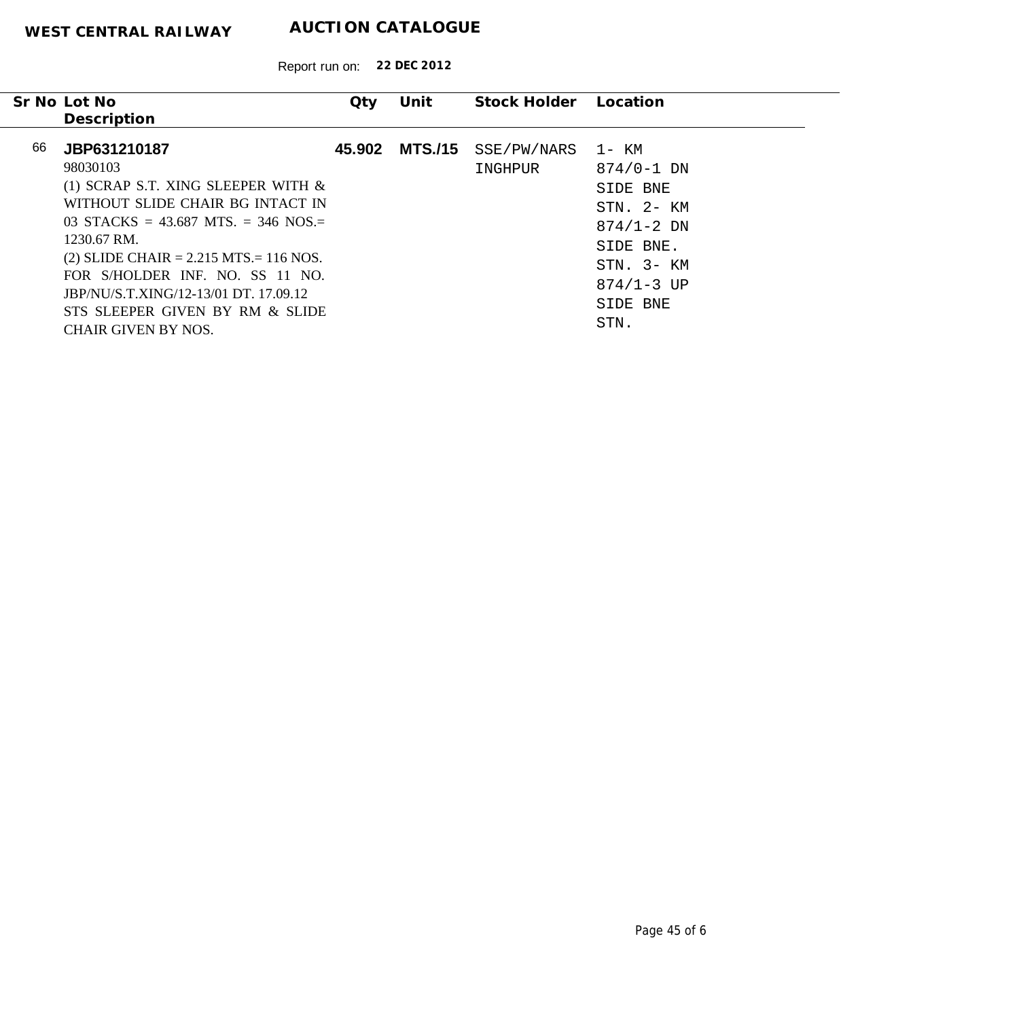|    | Sr No Lot No                                                                                                                                                                                             | Qty    | Unit           | Stock Holder Location  |                                                                                  |
|----|----------------------------------------------------------------------------------------------------------------------------------------------------------------------------------------------------------|--------|----------------|------------------------|----------------------------------------------------------------------------------|
|    | Description                                                                                                                                                                                              |        |                |                        |                                                                                  |
| 66 | JBP631210187<br>98030103<br>(1) SCRAP S.T. XING SLEEPER WITH $\&$<br>WITHOUT SLIDE CHAIR BG INTACT IN<br>03 STACKS = 43.687 MTS = 346 NOS =<br>1230.67 RM.<br>(2) SLIDE CHAIR = $2.215$ MTS = $116$ NOS. | 45.902 | <b>MTS./15</b> | SSE/PW/NARS<br>INGHPUR | 1- KM<br>$874/0 - 1$ DN<br>SIDE BNE<br>STN. 2- KM<br>$874/1 - 2$ DN<br>SIDE BNE. |
|    | FOR S/HOLDER INF. NO. SS 11 NO.<br>JBP/NU/S.T.XING/12-13/01 DT. 17.09.12<br>STS SLEEPER GIVEN BY RM & SLIDE<br>CHAIR GIVEN BY NOS.                                                                       |        |                |                        | $STN$ , $3-KM$<br>$874/1 - 3$ UP<br>SIDE BNE<br>STN.                             |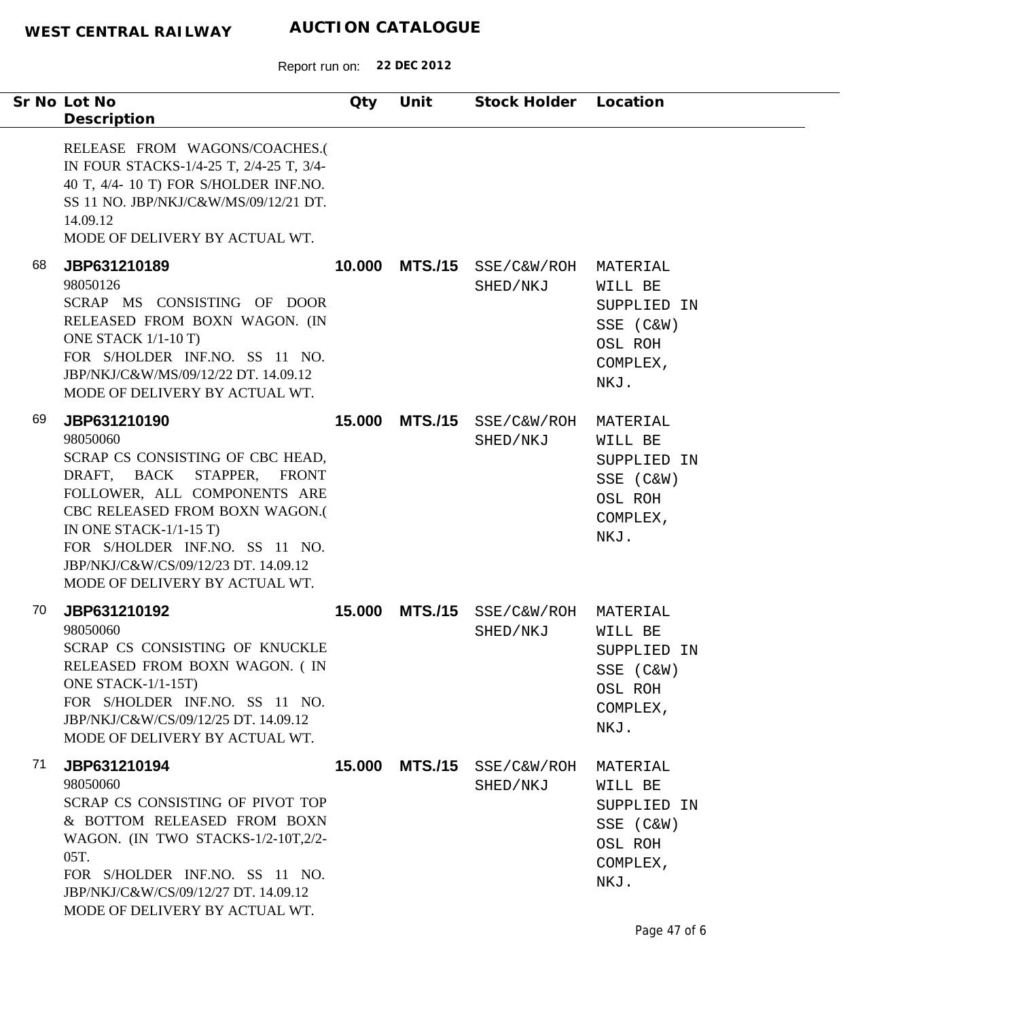Report run on: **22 DEC 2012**

| Sr No Lot No<br>Description                                                                                                                                                                                                                                                                                 | Qty    | Unit | Stock Holder Location                  |                                                                                |
|-------------------------------------------------------------------------------------------------------------------------------------------------------------------------------------------------------------------------------------------------------------------------------------------------------------|--------|------|----------------------------------------|--------------------------------------------------------------------------------|
| RELEASE FROM WAGONS/COACHES.(<br>IN FOUR STACKS-1/4-25 T, 2/4-25 T, 3/4-<br>40 T, 4/4- 10 T) FOR S/HOLDER INF.NO.<br>SS 11 NO. JBP/NKJ/C&W/MS/09/12/21 DT.<br>14.09.12<br>MODE OF DELIVERY BY ACTUAL WT.                                                                                                    |        |      |                                        |                                                                                |
| 68<br>JBP631210189<br>98050126<br>SCRAP MS CONSISTING OF DOOR<br>RELEASED FROM BOXN WAGON. (IN<br>ONE STACK 1/1-10 T)<br>FOR S/HOLDER INF.NO. SS 11 NO.<br>JBP/NKJ/C&W/MS/09/12/22 DT. 14.09.12<br>MODE OF DELIVERY BY ACTUAL WT.                                                                           | 10.000 |      | MTS./15 SSE/C&W/ROH<br>SHED/NKJ        | MATERIAL<br>WILL BE<br>SUPPLIED IN<br>SSE (C&W)<br>OSL ROH<br>COMPLEX,<br>NKJ. |
| 69<br>JBP631210190<br>98050060<br>SCRAP CS CONSISTING OF CBC HEAD,<br>DRAFT, BACK STAPPER, FRONT<br>FOLLOWER, ALL COMPONENTS ARE<br>CBC RELEASED FROM BOXN WAGON.(<br>IN ONE STACK- $1/1-15$ T)<br>FOR S/HOLDER INF.NO. SS 11 NO.<br>JBP/NKJ/C&W/CS/09/12/23 DT. 14.09.12<br>MODE OF DELIVERY BY ACTUAL WT. | 15.000 |      | MTS./15 SSE/C&W/ROH<br>SHED/NKJ        | MATERIAL<br>WILL BE<br>SUPPLIED IN<br>SSE (C&W)<br>OSL ROH<br>COMPLEX,<br>NKJ. |
| 70<br>JBP631210192<br>98050060<br>SCRAP CS CONSISTING OF KNUCKLE<br>RELEASED FROM BOXN WAGON. (IN<br>ONE STACK-1/1-15T)<br>FOR S/HOLDER INF.NO. SS 11 NO.<br>JBP/NKJ/C&W/CS/09/12/25 DT. 14.09.12<br>MODE OF DELIVERY BY ACTUAL WT.                                                                         | 15.000 |      | MTS./15 SSE/C&W/ROH<br>SHED/NKJ        | MATERIAL<br>WILL BE<br>SUPPLIED IN<br>SSE (C&W)<br>OSL ROH<br>COMPLEX,<br>NKJ. |
| 71<br>JBP631210194<br>98050060<br>SCRAP CS CONSISTING OF PIVOT TOP<br>& BOTTOM RELEASED FROM BOXN<br>WAGON. (IN TWO STACKS-1/2-10T,2/2-<br>05T.<br>FOR S/HOLDER INF.NO. SS 11 NO.<br>JBP/NKJ/C&W/CS/09/12/27 DT. 14.09.12<br>MODE OF DELIVERY BY ACTUAL WT.                                                 |        |      | 15.000 MTS./15 SSE/C&W/ROH<br>SHED/NKJ | MATERIAL<br>WILL BE<br>SUPPLIED IN<br>SSE (C&W)<br>OSL ROH<br>COMPLEX,<br>NKJ. |

 $\overline{\phantom{a}}$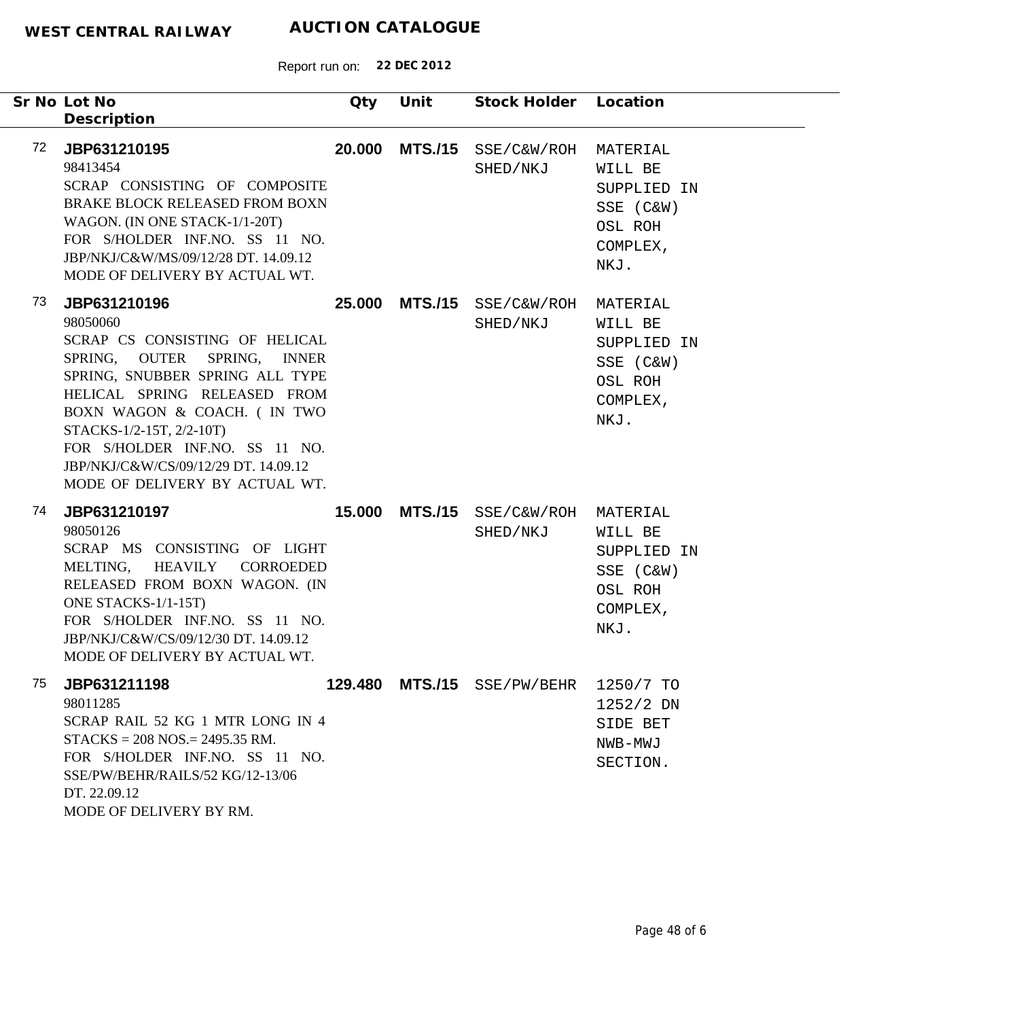|    | Sr No Lot No<br>Description                                                                                                                                                                                                                                                                                                            | Qty    | Unit           | Stock Holder Location            |                                                                                |
|----|----------------------------------------------------------------------------------------------------------------------------------------------------------------------------------------------------------------------------------------------------------------------------------------------------------------------------------------|--------|----------------|----------------------------------|--------------------------------------------------------------------------------|
| 72 | JBP631210195<br>98413454<br>SCRAP CONSISTING OF COMPOSITE<br><b>BRAKE BLOCK RELEASED FROM BOXN</b><br>WAGON. (IN ONE STACK-1/1-20T)<br>FOR S/HOLDER INF.NO. SS 11 NO.<br>JBP/NKJ/C&W/MS/09/12/28 DT. 14.09.12<br>MODE OF DELIVERY BY ACTUAL WT.                                                                                        | 20.000 | <b>MTS./15</b> | SSE/C&W/ROH<br>SHED/NKJ          | MATERIAL<br>WILL BE<br>SUPPLIED IN<br>SSE (C&W)<br>OSL ROH<br>COMPLEX,<br>NKJ. |
| 73 | JBP631210196<br>98050060<br>SCRAP CS CONSISTING OF HELICAL<br>SPRING, OUTER<br>SPRING, INNER<br>SPRING, SNUBBER SPRING ALL TYPE<br>HELICAL SPRING RELEASED FROM<br>BOXN WAGON & COACH. (IN TWO<br>STACKS-1/2-15T, 2/2-10T)<br>FOR S/HOLDER INF.NO. SS 11 NO.<br>JBP/NKJ/C&W/CS/09/12/29 DT. 14.09.12<br>MODE OF DELIVERY BY ACTUAL WT. | 25.000 |                | MTS./15 SSE/C&W/ROH<br>SHED/NKJ  | MATERIAL<br>WILL BE<br>SUPPLIED IN<br>SSE (C&W)<br>OSL ROH<br>COMPLEX,<br>NKJ. |
| 74 | JBP631210197<br>98050126<br>SCRAP MS CONSISTING OF LIGHT<br>HEAVILY CORROEDED<br>MELTING,<br>RELEASED FROM BOXN WAGON. (IN<br>ONE STACKS-1/1-15T)<br>FOR S/HOLDER INF.NO. SS 11 NO.<br>JBP/NKJ/C&W/CS/09/12/30 DT. 14.09.12<br>MODE OF DELIVERY BY ACTUAL WT.                                                                          | 15.000 | <b>MTS./15</b> | SSE/C&W/ROH MATERIAL<br>SHED/NKJ | WILL BE<br>SUPPLIED IN<br>SSE (C&W)<br>OSL ROH<br>COMPLEX,<br>NKJ.             |
| 75 | JBP631211198<br>98011285<br>SCRAP RAIL 52 KG 1 MTR LONG IN 4<br>$STACKS = 208 NOS = 2495.35 RM.$<br>FOR S/HOLDER INF.NO. SS 11 NO.<br>SSE/PW/BEHR/RAILS/52 KG/12-13/06<br>DT. 22.09.12<br>MODE OF DELIVERY BY RM.                                                                                                                      |        |                | 129.480 MTS./15 SSE/PW/BEHR      | 1250/7 TO<br>$1252/2$ DN<br>SIDE BET<br>NWB-MWJ<br>SECTION.                    |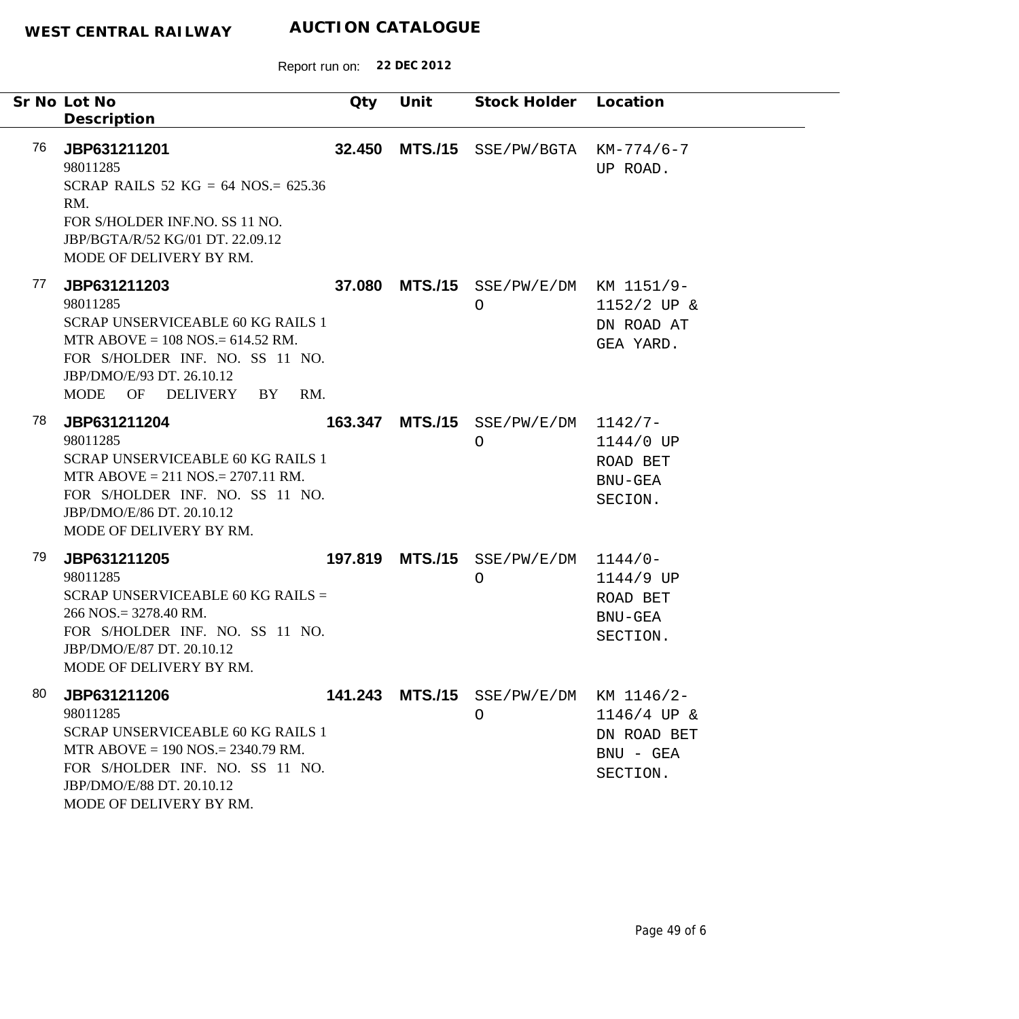|    | Sr No Lot No<br>Description                                                                                                                                                                                | Qty    | Unit | Stock Holder Location                             |                                                           |
|----|------------------------------------------------------------------------------------------------------------------------------------------------------------------------------------------------------------|--------|------|---------------------------------------------------|-----------------------------------------------------------|
| 76 | JBP631211201<br>98011285<br>SCRAP RAILS 52 KG = 64 NOS. = $625.36$<br>RM.<br>FOR S/HOLDER INF.NO. SS 11 NO.<br>JBP/BGTA/R/52 KG/01 DT. 22.09.12<br>MODE OF DELIVERY BY RM.                                 | 32.450 |      | $MTS. / 15$ SSE/PW/BGTA KM-774/6-7                | UP ROAD.                                                  |
| 77 | JBP631211203<br>98011285<br><b>SCRAP UNSERVICEABLE 60 KG RAILS 1</b><br>MTR ABOVE = $108$ NOS = $614.52$ RM.<br>FOR S/HOLDER INF. NO. SS 11 NO.<br>JBP/DMO/E/93 DT. 26.10.12<br>MODE OF DELIVERY BY<br>RM. |        |      | 37.080 MTS./15 SSE/PW/E/DM KM 1151/9-<br>$\circ$  | $1152/2$ UP &<br>DN ROAD AT<br>GEA YARD.                  |
| 78 | JBP631211204<br>98011285<br><b>SCRAP UNSERVICEABLE 60 KG RAILS 1</b><br>MTR ABOVE = $211$ NOS. = $2707.11$ RM.<br>FOR S/HOLDER INF. NO. SS 11 NO.<br>JBP/DMO/E/86 DT. 20.10.12<br>MODE OF DELIVERY BY RM.  |        |      | 163.347 MTS./15 SSE/PW/E/DM 1142/7-<br>$\circ$    | 1144/0 UP<br>ROAD BET<br>BNU-GEA<br>SECION.               |
| 79 | JBP631211205<br>98011285<br>SCRAP UNSERVICEABLE 60 KG RAILS =<br>$266$ NOS. = 3278.40 RM.<br>FOR S/HOLDER INF. NO. SS 11 NO.<br>JBP/DMO/E/87 DT. 20.10.12<br>MODE OF DELIVERY BY RM.                       |        |      | 197.819 MTS./15 SSE/PW/E/DM<br>$\bigcirc$         | $1144/0-$<br>1144/9 UP<br>ROAD BET<br>BNU-GEA<br>SECTION. |
| 80 | JBP631211206<br>98011285<br><b>SCRAP UNSERVICEABLE 60 KG RAILS 1</b><br>MTR ABOVE = $190$ NOS. = $2340.79$ RM.<br>FOR S/HOLDER INF. NO. SS 11 NO.<br>JBP/DMO/E/88 DT. 20.10.12<br>MODE OF DELIVERY BY RM.  |        |      | 141.243 MTS./15 SSE/PW/E/DM KM 1146/2-<br>$\circ$ | $1146/4$ UP &<br>DN ROAD BET<br>BNU - GEA<br>SECTION.     |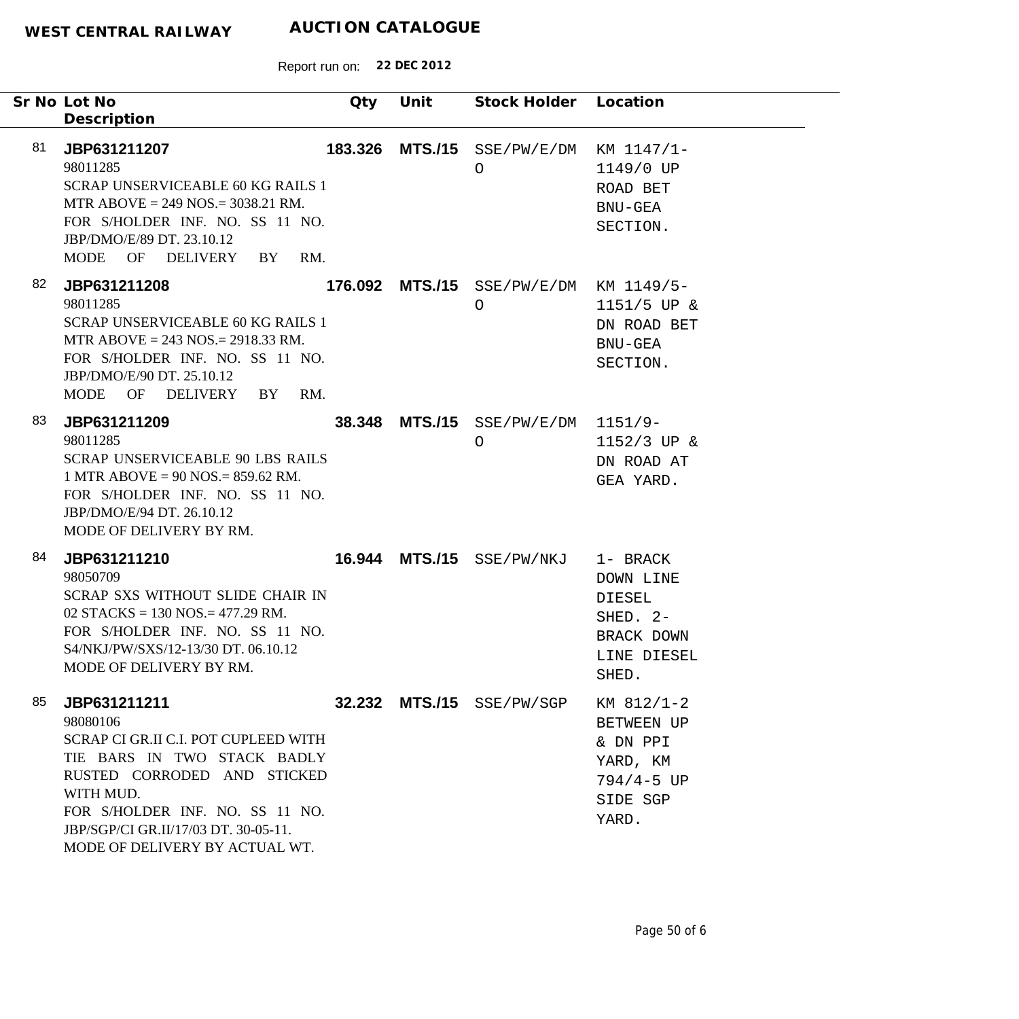|    | Sr No Lot No<br>Description                                                                                                                                                                                                                              | Qty | Unit | Stock Holder Location                             |                                                                                           |
|----|----------------------------------------------------------------------------------------------------------------------------------------------------------------------------------------------------------------------------------------------------------|-----|------|---------------------------------------------------|-------------------------------------------------------------------------------------------|
| 81 | JBP631211207<br>98011285<br><b>SCRAP UNSERVICEABLE 60 KG RAILS 1</b><br>MTR ABOVE = $249$ NOS. = $3038.21$ RM.<br>FOR S/HOLDER INF. NO. SS 11 NO.<br>JBP/DMO/E/89 DT. 23.10.12<br>MODE OF DELIVERY BY<br>RM.                                             |     |      | 183.326 MTS./15 SSE/PW/E/DM KM 1147/1-<br>O       | 1149/0 UP<br>ROAD BET<br>BNU-GEA<br>SECTION.                                              |
| 82 | JBP631211208<br>98011285<br><b>SCRAP UNSERVICEABLE 60 KG RAILS 1</b><br>MTR ABOVE = $243$ NOS. = $2918.33$ RM.<br>FOR S/HOLDER INF. NO. SS 11 NO.<br>JBP/DMO/E/90 DT. 25.10.12<br>MODE OF DELIVERY BY<br>RM.                                             |     |      | 176.092 MTS./15 SSE/PW/E/DM KM 1149/5-<br>$\circ$ | $1151/5$ UP &<br>DN ROAD BET<br>BNU-GEA<br>SECTION.                                       |
| 83 | JBP631211209<br>98011285<br><b>SCRAP UNSERVICEABLE 90 LBS RAILS</b><br>1 MTR ABOVE = $90$ NOS = $859.62$ RM.<br>FOR S/HOLDER INF. NO. SS 11 NO.<br>JBP/DMO/E/94 DT. 26.10.12<br>MODE OF DELIVERY BY RM.                                                  |     |      | 38.348 MTS./15 SSE/PW/E/DM 1151/9-<br>$\circ$     | $1152/3$ UP &<br>DN ROAD AT<br>GEA YARD.                                                  |
| 84 | JBP631211210<br>98050709<br>SCRAP SXS WITHOUT SLIDE CHAIR IN<br>02 STACKS = $130$ NOS. = $477.29$ RM.<br>FOR S/HOLDER INF. NO. SS 11 NO.<br>S4/NKJ/PW/SXS/12-13/30 DT. 06.10.12<br>MODE OF DELIVERY BY RM.                                               |     |      | 16.944 MTS./15 SSE/PW/NKJ                         | 1- BRACK<br>DOWN LINE<br>DIESEL<br>SHED. 2-<br>BRACK DOWN<br>LINE DIESEL<br>SHED.         |
| 85 | JBP631211211<br>98080106<br>SCRAP CI GR.II C.I. POT CUPLEED WITH<br>TIE BARS IN TWO STACK BADLY<br>RUSTED CORRODED AND STICKED<br>WITH MUD.<br>FOR S/HOLDER INF. NO. SS 11 NO.<br>JBP/SGP/CI GR.II/17/03 DT. 30-05-11.<br>MODE OF DELIVERY BY ACTUAL WT. |     |      | 32.232 MTS./15 SSE/PW/SGP                         | $KM$ 812/1-2<br>BETWEEN UP<br>& DN PPI<br>YARD, KM<br>$794/4 - 5 UP$<br>SIDE SGP<br>YARD. |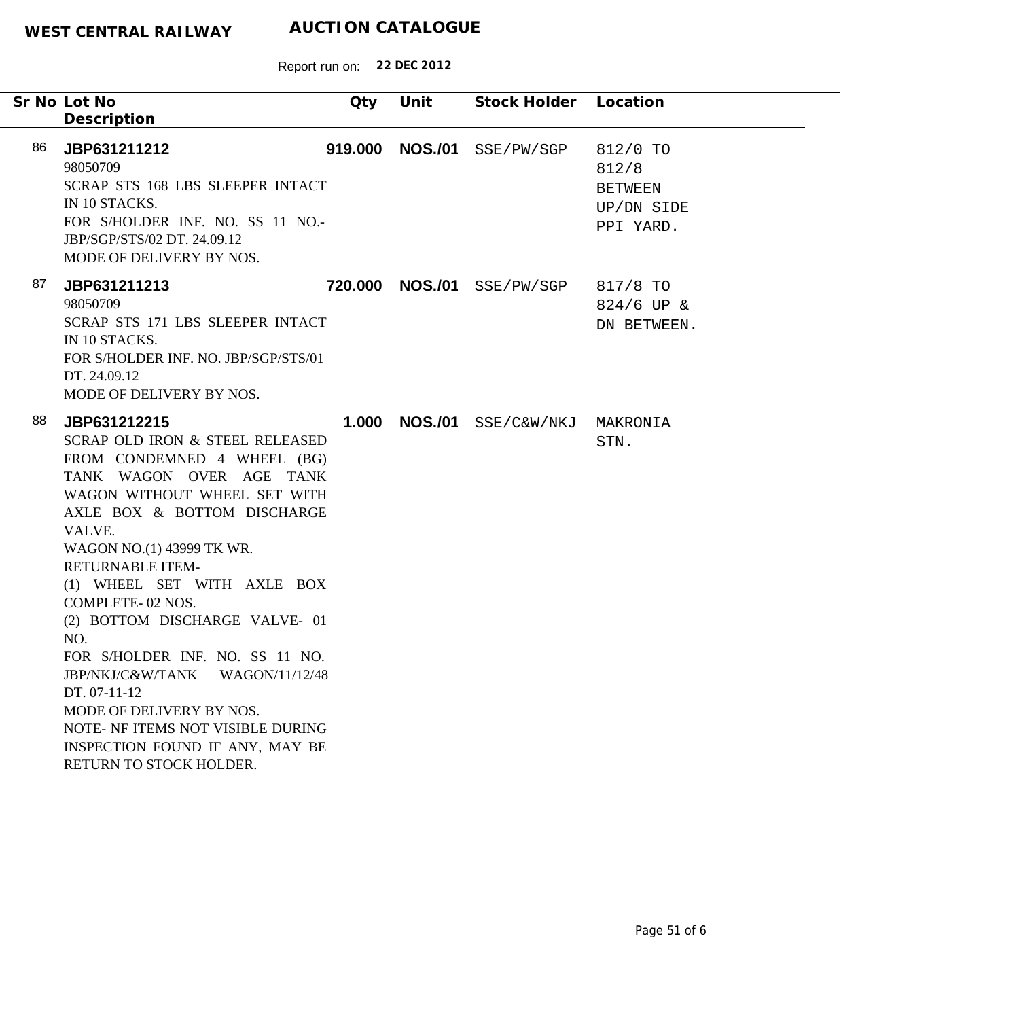|    | Sr No Lot No<br>Description                                                                                                                                                                                                                                                                                                                                                                                                                                                                                                                                     | Qty     | Unit           | Stock Holder Location |                                                                |
|----|-----------------------------------------------------------------------------------------------------------------------------------------------------------------------------------------------------------------------------------------------------------------------------------------------------------------------------------------------------------------------------------------------------------------------------------------------------------------------------------------------------------------------------------------------------------------|---------|----------------|-----------------------|----------------------------------------------------------------|
| 86 | JBP631211212<br>98050709<br>SCRAP STS 168 LBS SLEEPER INTACT<br>IN 10 STACKS.<br>FOR S/HOLDER INF. NO. SS 11 NO.-<br>JBP/SGP/STS/02 DT. 24.09.12<br>MODE OF DELIVERY BY NOS.                                                                                                                                                                                                                                                                                                                                                                                    | 919.000 | <b>NOS./01</b> | SSE/PW/SGP            | 812/0 TO<br>812/8<br><b>BETWEEN</b><br>UP/DN SIDE<br>PPI YARD. |
| 87 | JBP631211213<br>98050709<br>SCRAP STS 171 LBS SLEEPER INTACT<br>IN 10 STACKS.<br>FOR S/HOLDER INF. NO. JBP/SGP/STS/01<br>DT. 24.09.12<br>MODE OF DELIVERY BY NOS.                                                                                                                                                                                                                                                                                                                                                                                               | 720.000 | <b>NOS./01</b> | SSE/PW/SGP            | 817/8 TO<br>$824/6$ UP &<br>DN BETWEEN.                        |
| 88 | JBP631212215<br>SCRAP OLD IRON & STEEL RELEASED<br>FROM CONDEMNED 4 WHEEL (BG)<br>TANK WAGON OVER AGE TANK<br>WAGON WITHOUT WHEEL SET WITH<br>AXLE BOX & BOTTOM DISCHARGE<br>VALVE.<br>WAGON NO.(1) 43999 TK WR.<br><b>RETURNABLE ITEM-</b><br>(1) WHEEL SET WITH AXLE BOX<br>COMPLETE-02 NOS.<br>(2) BOTTOM DISCHARGE VALVE- 01<br>NO.<br>FOR S/HOLDER INF. NO. SS 11 NO.<br>JBP/NKJ/C&W/TANK<br>WAGON/11/12/48<br>DT. 07-11-12<br>MODE OF DELIVERY BY NOS.<br>NOTE- NF ITEMS NOT VISIBLE DURING<br>INSPECTION FOUND IF ANY, MAY BE<br>RETURN TO STOCK HOLDER. | 1.000   | <b>NOS./01</b> | SSE/C&W/NKJ MAKRONIA  | STN.                                                           |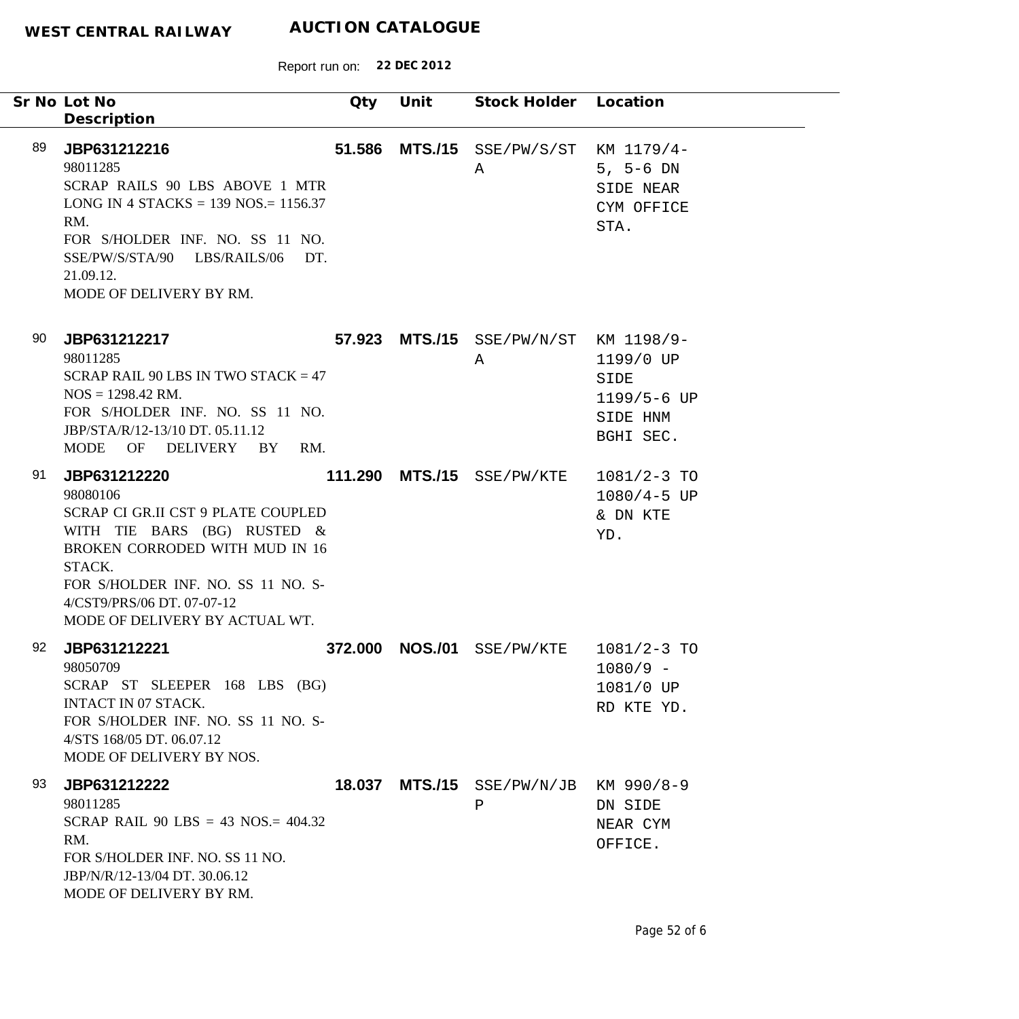|    | Sr No Lot No<br>Description                                                                                                                                                                                                                     | Qty     | Unit           | Stock Holder Location               |                                                                         |
|----|-------------------------------------------------------------------------------------------------------------------------------------------------------------------------------------------------------------------------------------------------|---------|----------------|-------------------------------------|-------------------------------------------------------------------------|
| 89 | JBP631212216<br>98011285<br>SCRAP RAILS 90 LBS ABOVE 1 MTR<br>LONG IN 4 STACKS = $139$ NOS = $1156.37$<br>RM.<br>FOR S/HOLDER INF. NO. SS 11 NO.<br>SSE/PW/S/STA/90 LBS/RAILS/06<br>DT.<br>21.09.12.<br>MODE OF DELIVERY BY RM.                 | 51.586  |                | MTS./15 SSE/PW/S/ST<br>Α            | KM 1179/4-<br>$5, 5-6 DN$<br>SIDE NEAR<br>CYM OFFICE<br>STA.            |
| 90 | JBP631212217<br>98011285<br>SCRAP RAIL 90 LBS IN TWO STACK = $47$<br>$NOS = 1298.42$ RM.<br>FOR S/HOLDER INF. NO. SS 11 NO.<br>JBP/STA/R/12-13/10 DT. 05.11.12<br><b>MODE</b><br>OF DELIVERY BY<br>RM.                                          |         |                | 57.923 MTS./15 SSE/PW/N/ST<br>Α     | KM 1198/9-<br>1199/0 UP<br>SIDE<br>1199/5-6 UP<br>SIDE HNM<br>BGHI SEC. |
| 91 | JBP631212220<br>98080106<br>SCRAP CI GR.II CST 9 PLATE COUPLED<br>WITH TIE BARS (BG) RUSTED &<br>BROKEN CORRODED WITH MUD IN 16<br>STACK.<br>FOR S/HOLDER INF. NO. SS 11 NO. S-<br>4/CST9/PRS/06 DT. 07-07-12<br>MODE OF DELIVERY BY ACTUAL WT. |         |                | 111.290 MTS./15 SSE/PW/KTE          | $1081/2 - 3$ TO<br>$1080/4 - 5$ UP<br>& DN KTE<br>YD.                   |
| 92 | JBP631212221<br>98050709<br>SCRAP ST SLEEPER 168 LBS (BG)<br>INTACT IN 07 STACK.<br>FOR S/HOLDER INF. NO. SS 11 NO. S-<br>4/STS 168/05 DT. 06.07.12<br>MODE OF DELIVERY BY NOS.                                                                 | 372.000 | <b>NOS./01</b> | SSE/PW/KTE                          | $1081/2 - 3$ TO<br>$1080/9 -$<br>1081/0 UP<br>RD KTE YD.                |
| 93 | JBP631212222<br>98011285<br>SCRAP RAIL 90 LBS = 43 NOS. = $404.32$<br>RM.<br>FOR S/HOLDER INF. NO. SS 11 NO.<br>JBP/N/R/12-13/04 DT. 30.06.12<br>MODE OF DELIVERY BY RM.                                                                        | 18.037  |                | MTS./15 SSE/PW/N/JB KM 990/8-9<br>P | DN SIDE<br>NEAR CYM<br>OFFICE.                                          |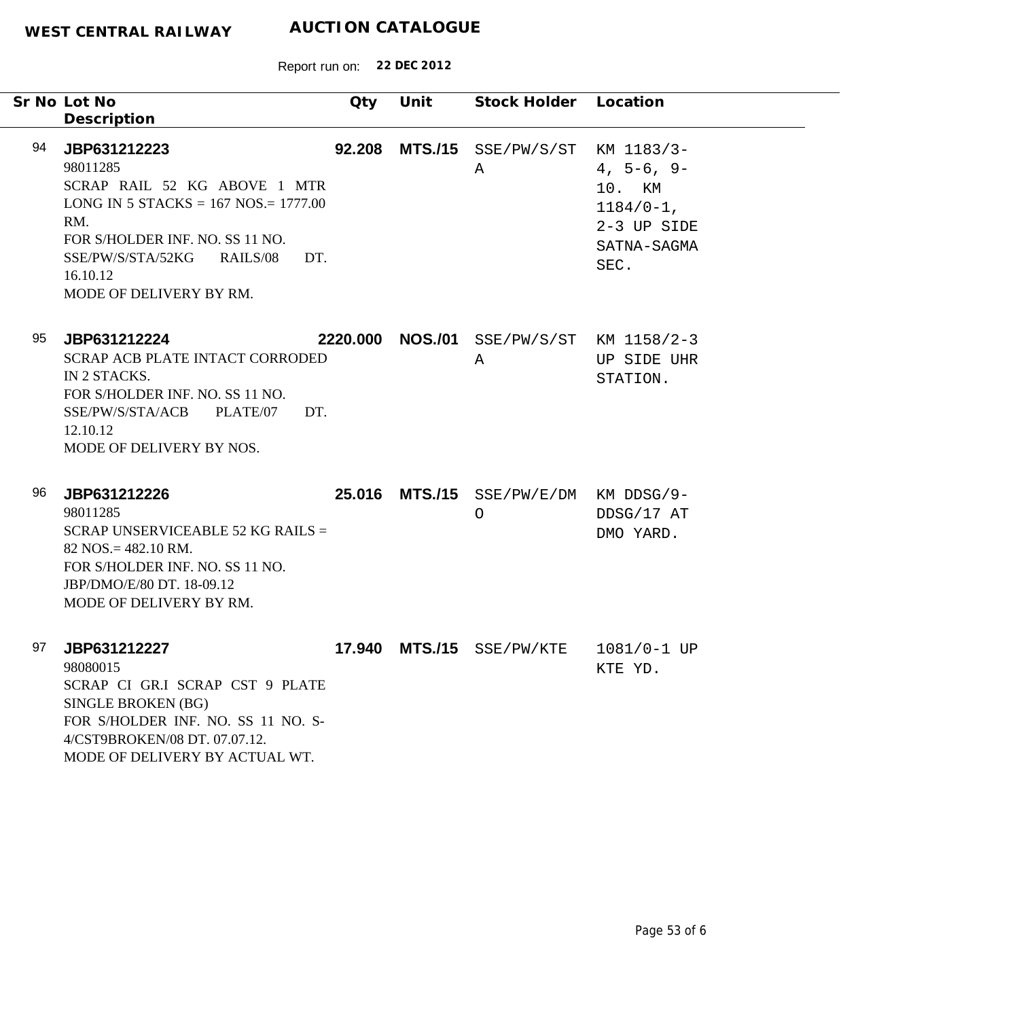| Sr No Lot No<br>Description                                                                                                                         | Qty                                                                                                     | Unit           | Stock Holder Location                |                                                                                            |
|-----------------------------------------------------------------------------------------------------------------------------------------------------|---------------------------------------------------------------------------------------------------------|----------------|--------------------------------------|--------------------------------------------------------------------------------------------|
| 94<br>JBP631212223<br>98011285<br>RM.<br>FOR S/HOLDER INF. NO. SS 11 NO.<br>SSE/PW/S/STA/52KG<br>16.10.12<br>MODE OF DELIVERY BY RM.                | 92.208<br>SCRAP RAIL 52 KG ABOVE 1 MTR<br>LONG IN 5 STACKS = $167$ NOS = $1777.00$<br>RAILS/08<br>DT.   |                | MTS./15 SSE/PW/S/ST<br>A             | KM 1183/3-<br>$4, 5-6, 9-$<br>10. KM<br>$1184/0-1$ ,<br>2-3 UP SIDE<br>SATNA-SAGMA<br>SEC. |
| 95<br>JBP631212224<br>IN 2 STACKS.<br>FOR S/HOLDER INF. NO. SS 11 NO.<br>SSE/PW/S/STA/ACB<br>12.10.12<br>MODE OF DELIVERY BY NOS.                   | 2220.000<br>SCRAP ACB PLATE INTACT CORRODED<br>PLATE/07<br>DT.                                          | <b>NOS./01</b> | A                                    | SSE/PW/S/ST KM 1158/2-3<br>UP SIDE UHR<br>STATION.                                         |
| 96<br>JBP631212226<br>98011285<br>$82$ NOS. = 482.10 RM.<br>FOR S/HOLDER INF. NO. SS 11 NO.<br>JBP/DMO/E/80 DT. 18-09.12<br>MODE OF DELIVERY BY RM. | 25.016<br>SCRAP UNSERVICEABLE 52 KG RAILS =                                                             | <b>MTS./15</b> | SSE/PW/E/DM KM DDSG/9-<br>$\bigcirc$ | DDSG/17 AT<br>DMO YARD.                                                                    |
| 97<br>JBP631212227<br>98080015<br>SINGLE BROKEN (BG)<br>4/CST9BROKEN/08 DT. 07.07.12.                                                               | SCRAP CI GR.I SCRAP CST 9 PLATE<br>FOR S/HOLDER INF. NO. SS 11 NO. S-<br>MODE OF DELIVERY BY ACTUAL WT. |                | 17.940 MTS./15 SSE/PW/KTE            | $1081/0 - 1$ UP<br>KTE YD.                                                                 |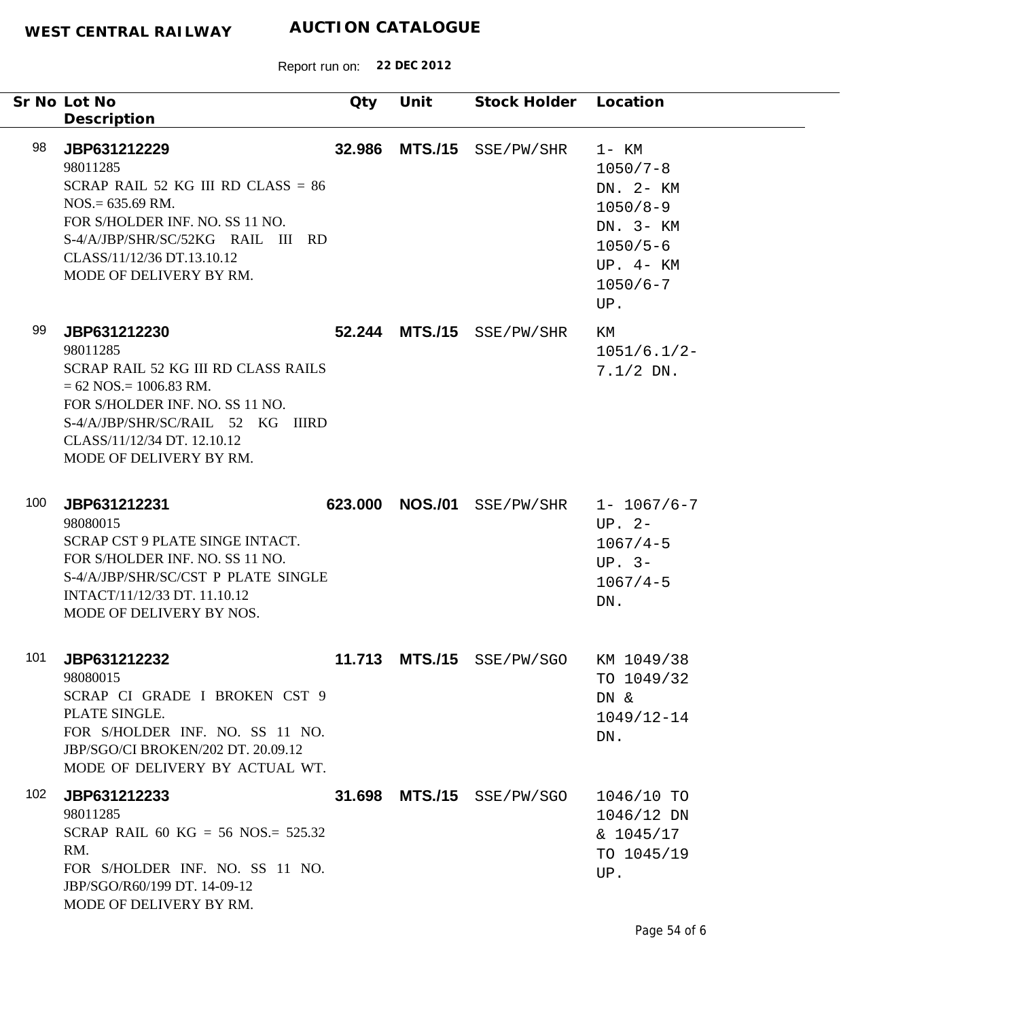|     | Sr No Lot No<br>Description                                                                                                                                                                                                     | Qty     | Unit           | Stock Holder Location     |                                                                                                                         |
|-----|---------------------------------------------------------------------------------------------------------------------------------------------------------------------------------------------------------------------------------|---------|----------------|---------------------------|-------------------------------------------------------------------------------------------------------------------------|
| 98  | JBP631212229<br>98011285<br>SCRAP RAIL 52 KG III RD CLASS = $86$<br>$NOS = 635.69$ RM.<br>FOR S/HOLDER INF. NO. SS 11 NO.<br>S-4/A/JBP/SHR/SC/52KG RAIL III RD<br>CLASS/11/12/36 DT.13.10.12<br>MODE OF DELIVERY BY RM.         | 32.986  | <b>MTS./15</b> | SSE/PW/SHR                | $1-$ KM<br>$1050/7 - 8$<br>DN. 2- KM<br>$1050/8 - 9$<br>DN. 3- KM<br>$1050/5 - 6$<br>$UP. 4- KM$<br>$1050/6 - 7$<br>UP. |
| 99  | JBP631212230<br>98011285<br>SCRAP RAIL 52 KG III RD CLASS RAILS<br>$= 62$ NOS $= 1006.83$ RM.<br>FOR S/HOLDER INF. NO. SS 11 NO.<br>S-4/A/JBP/SHR/SC/RAIL 52 KG IIIRD<br>CLASS/11/12/34 DT. 12.10.12<br>MODE OF DELIVERY BY RM. |         | 52.244 MTS./15 | SSE/PW/SHR                | ΚM<br>$1051/6.1/2-$<br>$7.1/2$ DN.                                                                                      |
| 100 | JBP631212231<br>98080015<br>SCRAP CST 9 PLATE SINGE INTACT.<br>FOR S/HOLDER INF. NO. SS 11 NO.<br>S-4/A/JBP/SHR/SC/CST P PLATE SINGLE<br>INTACT/11/12/33 DT. 11.10.12<br>MODE OF DELIVERY BY NOS.                               | 623.000 | <b>NOS./01</b> | SSE/PW/SHR                | $1 - 1067/6 - 7$<br>$UP. 2-$<br>$1067/4 - 5$<br>$UP. 3-$<br>$1067/4 - 5$<br>DN.                                         |
| 101 | JBP631212232<br>98080015<br>SCRAP CI GRADE I BROKEN CST 9<br>PLATE SINGLE.<br>FOR S/HOLDER INF. NO. SS 11 NO.<br>JBP/SGO/CI BROKEN/202 DT. 20.09.12<br>MODE OF DELIVERY BY ACTUAL WT.                                           | 11.713  |                | MTS./15 SSE/PW/SGO        | KM 1049/38<br>TO 1049/32<br>DN &<br>$1049/12 - 14$<br>DN.                                                               |
| 102 | JBP631212233<br>98011285<br>SCRAP RAIL 60 KG = 56 NOS.= $525.32$<br>RM.<br>FOR S/HOLDER INF. NO. SS 11 NO.<br>JBP/SGO/R60/199 DT. 14-09-12<br>MODE OF DELIVERY BY RM.                                                           |         |                | 31.698 MTS./15 SSE/PW/SGO | 1046/10 TO<br>$1046/12$ DN<br>$\& 1045/17$<br>TO 1045/19<br>UP.                                                         |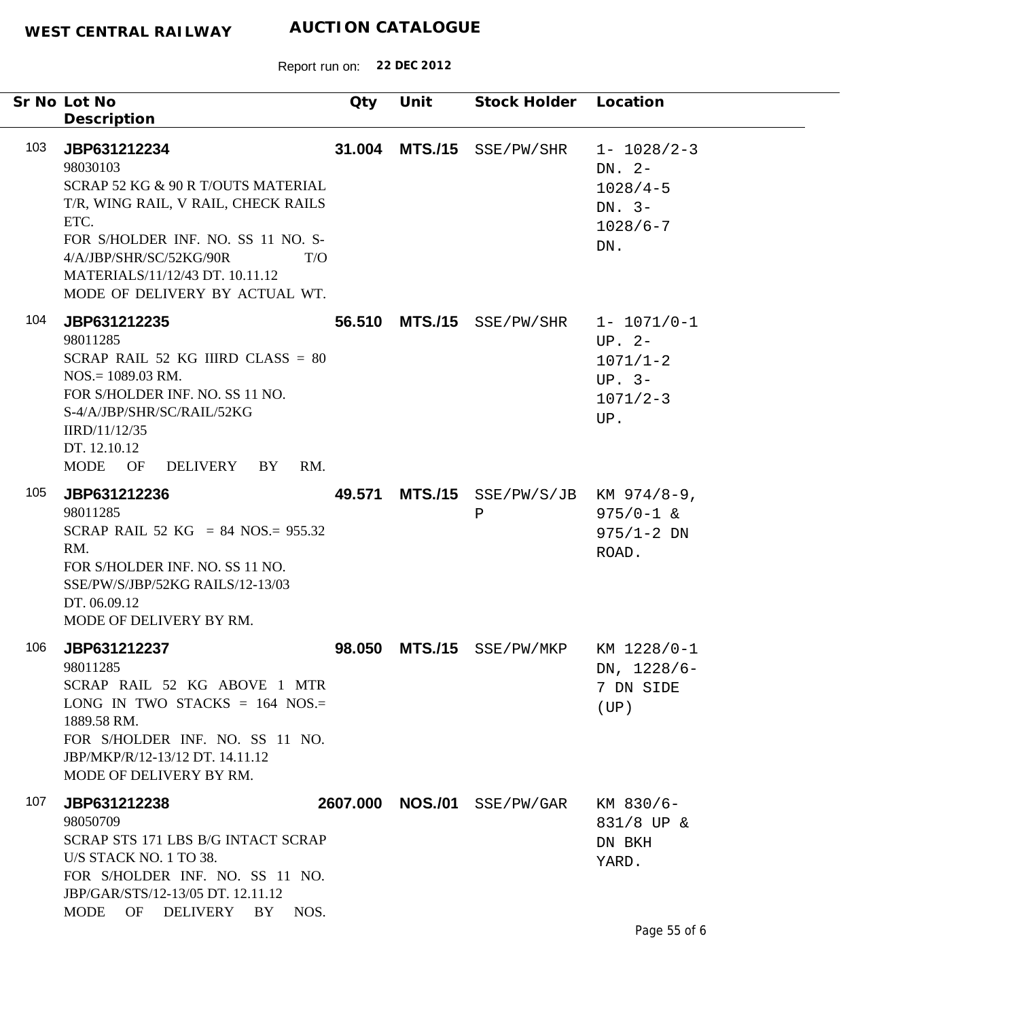|     | Sr No Lot No<br>Description                                                                                                                                                                                                                                | Qty      | Unit           | <b>Stock Holder</b>                   | Location                                                                        |
|-----|------------------------------------------------------------------------------------------------------------------------------------------------------------------------------------------------------------------------------------------------------------|----------|----------------|---------------------------------------|---------------------------------------------------------------------------------|
| 103 | JBP631212234<br>98030103<br>SCRAP 52 KG & 90 R T/OUTS MATERIAL<br>T/R, WING RAIL, V RAIL, CHECK RAILS<br>ETC.<br>FOR S/HOLDER INF. NO. SS 11 NO. S-<br>4/A/JBP/SHR/SC/52KG/90R<br>T/O<br>MATERIALS/11/12/43 DT. 10.11.12<br>MODE OF DELIVERY BY ACTUAL WT. | 31.004   | <b>MTS./15</b> | SSE/PW/SHR                            | $1 - 1028/2 - 3$<br>DN. $2-$<br>$1028/4 - 5$<br>DN. $3-$<br>$1028/6 - 7$<br>DN. |
| 104 | JBP631212235<br>98011285<br>SCRAP RAIL 52 KG IIIRD CLASS = $80$<br>$NOS = 1089.03$ RM.<br>FOR S/HOLDER INF. NO. SS 11 NO.<br>S-4/A/JBP/SHR/SC/RAIL/52KG<br>IIRD/11/12/35<br>DT. 12.10.12<br>MODE<br>OF<br>DELIVERY<br>RM.<br>BY                            | 56.510   |                | MTS./15 SSE/PW/SHR                    | $1 - 1071/0 - 1$<br>UP. $2-$<br>$1071/1 - 2$<br>$UP. 3-$<br>$1071/2 - 3$<br>UP. |
| 105 | JBP631212236<br>98011285<br>SCRAP RAIL 52 KG = 84 NOS.= $955.32$<br>RM.<br>FOR S/HOLDER INF. NO. SS 11 NO.<br>SSE/PW/S/JBP/52KG RAILS/12-13/03<br>DT. 06.09.12<br>MODE OF DELIVERY BY RM.                                                                  | 49.571   |                | $MTS./15$ SSE/PW/S/JB<br>$\, {\bf P}$ | KM $974/8-9$ ,<br>$975/0 - 1$ &<br>$975/1 - 2 DN$<br>ROAD.                      |
| 106 | JBP631212237<br>98011285<br>SCRAP RAIL 52 KG ABOVE 1 MTR<br>LONG IN TWO STACKS = $164$ NOS.=<br>1889.58 RM.<br>FOR S/HOLDER INF. NO. SS 11 NO.<br>JBP/MKP/R/12-13/12 DT. 14.11.12<br>MODE OF DELIVERY BY RM.                                               | 98,050   |                | MTS./15 SSE/PW/MKP                    | KM 1228/0-1<br>DN, 1228/6-<br>7 DN SIDE<br>(UP)                                 |
| 107 | JBP631212238<br>98050709<br>SCRAP STS 171 LBS B/G INTACT SCRAP<br>U/S STACK NO. 1 TO 38.<br>FOR S/HOLDER INF. NO. SS 11 NO.<br>JBP/GAR/STS/12-13/05 DT. 12.11.12<br>OF<br>DELIVERY BY NOS.<br>MODE                                                         | 2607.000 |                | <b>NOS./01</b> Sse/pw/gar             | KM 830/6-<br>831/8 UP &<br>DN BKH<br>YARD.<br>Page 55 of 6                      |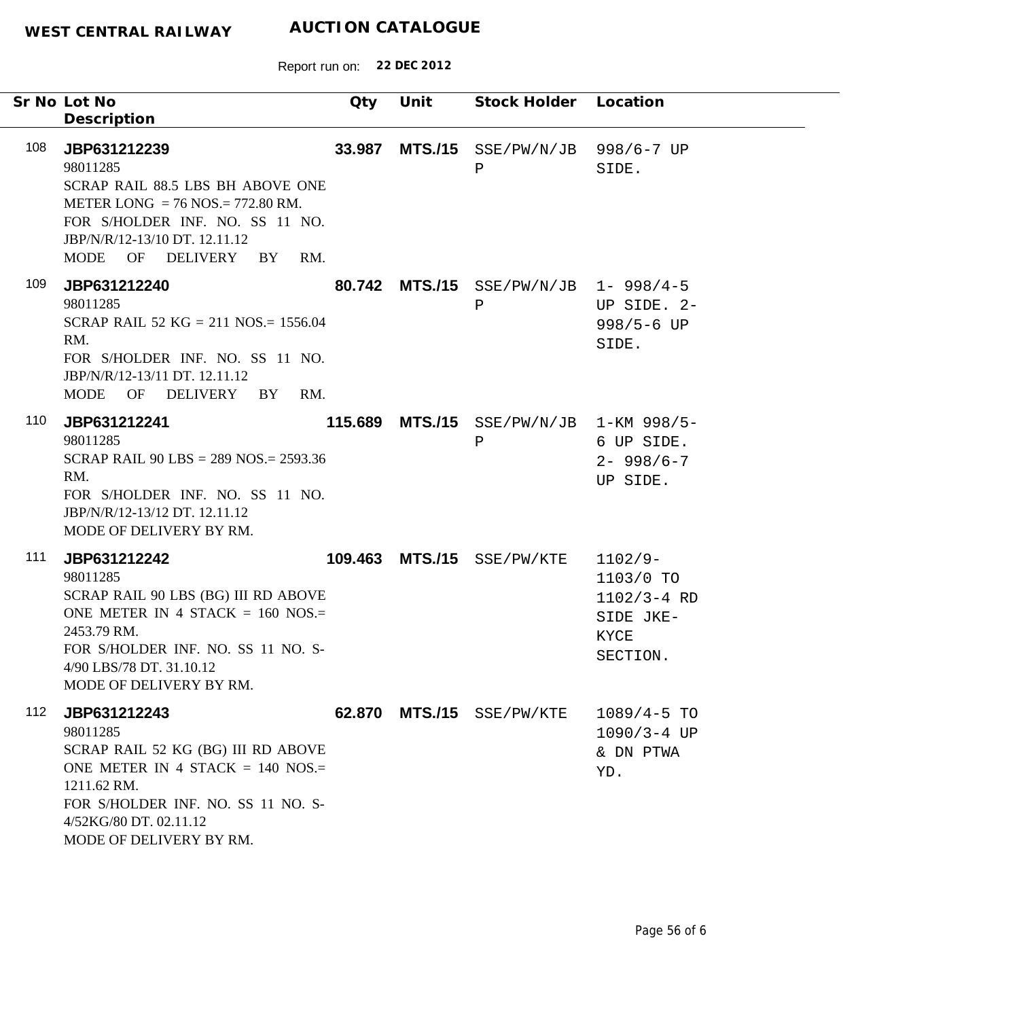|     | Sr No Lot No<br>Description                                                                                                                                                                                       | Qty    | Unit | Stock Holder Location                                     |                                                                            |
|-----|-------------------------------------------------------------------------------------------------------------------------------------------------------------------------------------------------------------------|--------|------|-----------------------------------------------------------|----------------------------------------------------------------------------|
| 108 | JBP631212239<br>98011285<br>SCRAP RAIL 88.5 LBS BH ABOVE ONE<br>METER LONG = $76$ NOS = $772.80$ RM.<br>FOR S/HOLDER INF. NO. SS 11 NO.<br>JBP/N/R/12-13/10 DT. 12.11.12<br>MODE OF DELIVERY BY<br>RM.            | 33.987 |      | MTS./15 SSE/PW/N/JB 998/6-7 UP<br>Ρ                       | SIDE.                                                                      |
| 109 | JBP631212240<br>98011285<br>SCRAP RAIL 52 KG = 211 NOS. = 1556.04<br>RM.<br>FOR S/HOLDER INF. NO. SS 11 NO.<br>JBP/N/R/12-13/11 DT. 12.11.12<br>MODE OF DELIVERY BY<br>RM.                                        |        |      | 80.742 MTS./15 SSE/PW/N/JB 1-998/4-5<br>$\, {\bf P}$      | UP SIDE. 2-<br>$998/5 - 6$ UP<br>SIDE.                                     |
| 110 | JBP631212241<br>98011285<br>SCRAP RAIL 90 LBS = $289$ NOS = $2593.36$<br>RM.<br>FOR S/HOLDER INF. NO. SS 11 NO.<br>JBP/N/R/12-13/12 DT. 12.11.12<br>MODE OF DELIVERY BY RM.                                       |        |      | 115.689 MTS./15 $SSE/PW/N/JB$ 1-KM 998/5-<br>$\, {\bf P}$ | 6 UP SIDE.<br>$2 - 998/6 - 7$<br>UP SIDE.                                  |
| 111 | JBP631212242<br>98011285<br>SCRAP RAIL 90 LBS (BG) III RD ABOVE<br>ONE METER IN 4 STACK = $160$ NOS.=<br>2453.79 RM.<br>FOR S/HOLDER INF. NO. SS 11 NO. S-<br>4/90 LBS/78 DT. 31.10.12<br>MODE OF DELIVERY BY RM. |        |      | 109.463 MTS./15 SSE/PW/KTE                                | $1102/9-$<br>1103/0 TO<br>$1102/3 - 4 RD$<br>SIDE JKE-<br>KYCE<br>SECTION. |
| 112 | JBP631212243<br>98011285<br>SCRAP RAIL 52 KG (BG) III RD ABOVE<br>ONE METER IN 4 STACK = $140$ NOS.=<br>1211.62 RM.<br>FOR S/HOLDER INF. NO. SS 11 NO. S-<br>4/52KG/80 DT. 02.11.12<br>MODE OF DELIVERY BY RM.    |        |      | 62.870 MTS./15 SSE/PW/KTE                                 | $1089/4 - 5$ TO<br>$1090/3 - 4 UP$<br>& DN PTWA<br>YD.                     |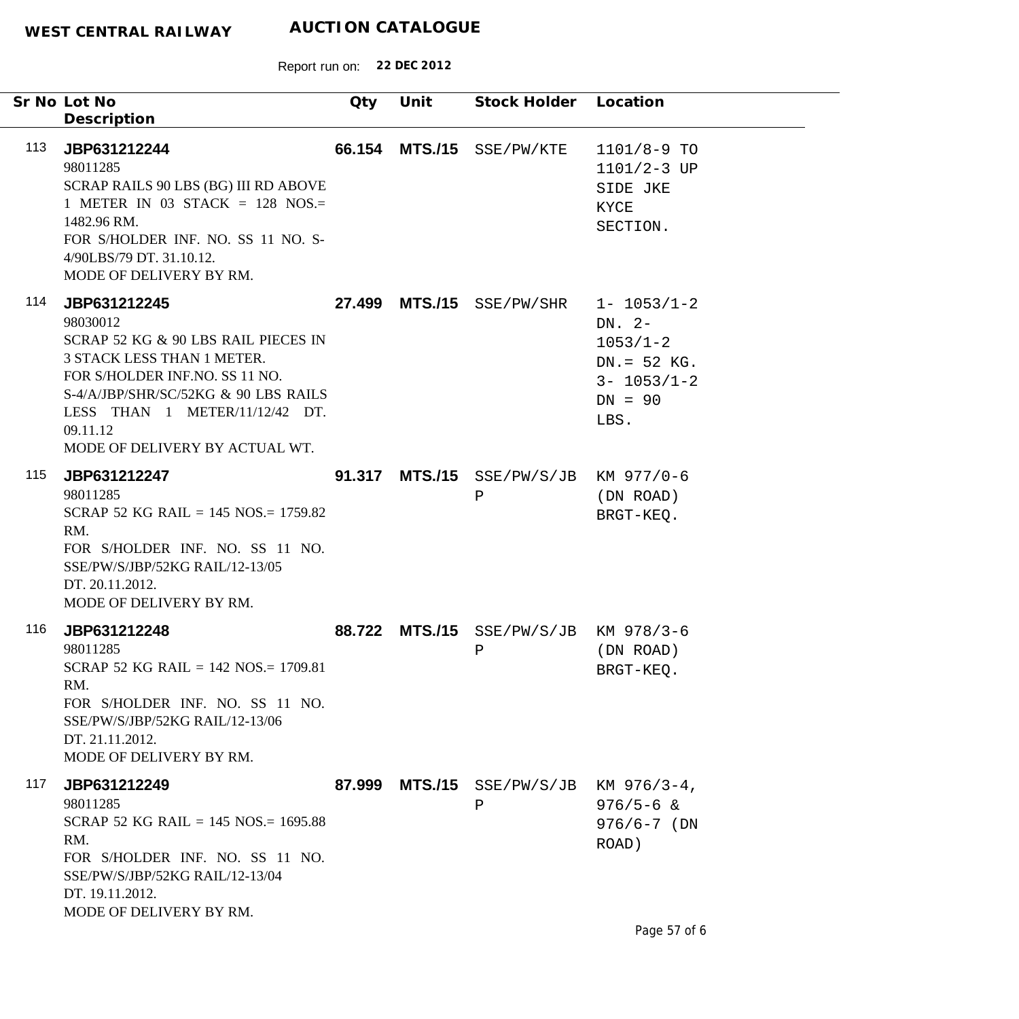|     | Sr No Lot No<br>Description                                                                                                                                                                                                                             | Qty    | Unit | Stock Holder                             | Location                                                                                               |
|-----|---------------------------------------------------------------------------------------------------------------------------------------------------------------------------------------------------------------------------------------------------------|--------|------|------------------------------------------|--------------------------------------------------------------------------------------------------------|
| 113 | JBP631212244<br>98011285<br>SCRAP RAILS 90 LBS (BG) III RD ABOVE<br>1 METER IN 03 STACK = 128 NOS.=<br>1482.96 RM.<br>FOR S/HOLDER INF. NO. SS 11 NO. S-<br>4/90LBS/79 DT. 31.10.12.<br>MODE OF DELIVERY BY RM.                                         |        |      | 66.154 MTS./15 SSE/PW/KTE                | $1101/8 - 9$ TO<br>$1101/2 - 3$ UP<br>SIDE JKE<br>KYCE<br>SECTION.                                     |
| 114 | JBP631212245<br>98030012<br>SCRAP 52 KG & 90 LBS RAIL PIECES IN<br>3 STACK LESS THAN 1 METER.<br>FOR S/HOLDER INF.NO. SS 11 NO.<br>S-4/A/JBP/SHR/SC/52KG & 90 LBS RAILS<br>LESS THAN 1 METER/11/12/42 DT.<br>09.11.12<br>MODE OF DELIVERY BY ACTUAL WT. |        |      | 27.499 MTS./15 SSE/PW/SHR                | $1 - 1053/1 - 2$<br>DN. $2-$<br>$1053/1 - 2$<br>$DN = 52$ KG.<br>$3 - 1053/1 - 2$<br>$DN = 90$<br>LBS. |
| 115 | JBP631212247<br>98011285<br>SCRAP 52 KG RAIL = $145$ NOS = $1759.82$<br>RM.<br>FOR S/HOLDER INF. NO. SS 11 NO.<br>SSE/PW/S/JBP/52KG RAIL/12-13/05<br>DT. 20.11.2012.<br>MODE OF DELIVERY BY RM.                                                         |        |      | 91.317 MTS./15 SSE/PW/S/JB<br>Ρ          | KM 977/0-6<br>(DN ROAD)<br>BRGT-KEQ.                                                                   |
| 116 | JBP631212248<br>98011285<br>SCRAP 52 KG RAIL = $142$ NOS = $1709.81$<br>RM.<br>FOR S/HOLDER INF. NO. SS 11 NO.<br>SSE/PW/S/JBP/52KG RAIL/12-13/06<br>DT. 21.11.2012.<br>MODE OF DELIVERY BY RM.                                                         | 88.722 |      | $MTS./15$ $SSE/PW/S/JB$<br>Ρ             | KM 978/3-6<br>(DN ROAD)<br>BRGT-KEO.                                                                   |
| 117 | JBP631212249<br>98011285<br>SCRAP 52 KG RAIL = $145$ NOS = $1695.88$<br>RM.<br>FOR S/HOLDER INF. NO. SS 11 NO.<br>SSE/PW/S/JBP/52KG RAIL/12-13/04<br>DT. 19.11.2012.<br>MODE OF DELIVERY BY RM.                                                         | 87.999 |      | $MTS. / 15$ SSE/PW/S/JB KM 976/3-4,<br>Ρ | $976/5 - 6$ &<br>$976/6 - 7$ (DN<br>ROAD)                                                              |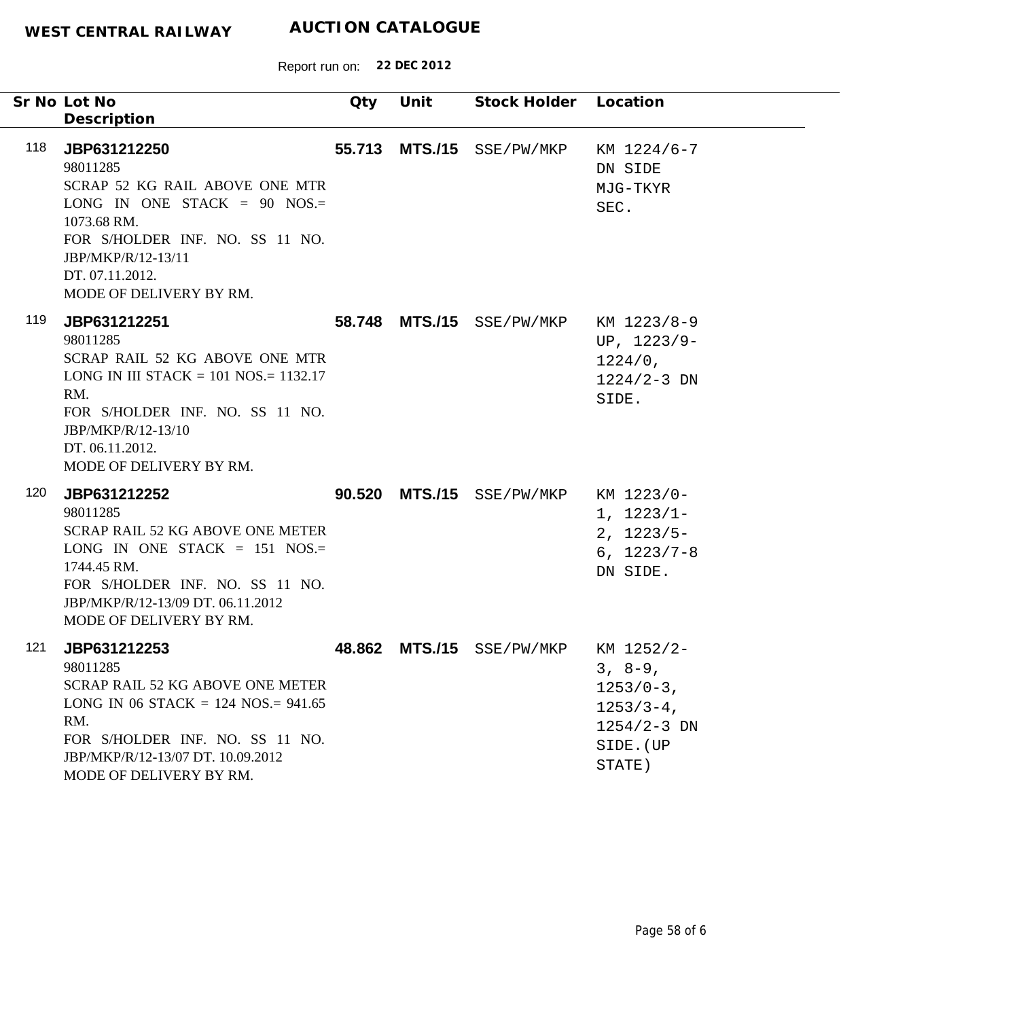|     | Sr No Lot No<br>Description                                                                                                                                                                                           | Qty    | Unit | Stock Holder Location     |                                                                                                     |
|-----|-----------------------------------------------------------------------------------------------------------------------------------------------------------------------------------------------------------------------|--------|------|---------------------------|-----------------------------------------------------------------------------------------------------|
| 118 | JBP631212250<br>98011285<br>SCRAP 52 KG RAIL ABOVE ONE MTR<br>LONG IN ONE STACK = $90$ NOS.=<br>1073.68 RM.<br>FOR S/HOLDER INF. NO. SS 11 NO.<br>JBP/MKP/R/12-13/11<br>DT. 07.11.2012.<br>MODE OF DELIVERY BY RM.    | 55.713 |      | MTS./15 SSE/PW/MKP        | KM 1224/6-7<br>DN SIDE<br>MJG-TKYR<br>SEC.                                                          |
| 119 | JBP631212251<br>98011285<br>SCRAP RAIL 52 KG ABOVE ONE MTR<br>LONG IN III STACK = $101$ NOS = $1132.17$<br>RM.<br>FOR S/HOLDER INF. NO. SS 11 NO.<br>JBP/MKP/R/12-13/10<br>DT. 06.11.2012.<br>MODE OF DELIVERY BY RM. |        |      | 58.748 MTS./15 SSE/PW/MKP | KM 1223/8-9<br>UP, $1223/9-$<br>1224/0,<br>$1224/2 - 3$ DN<br>SIDE.                                 |
| 120 | JBP631212252<br>98011285<br>SCRAP RAIL 52 KG ABOVE ONE METER<br>LONG IN ONE STACK = $151$ NOS.=<br>1744.45 RM.<br>FOR S/HOLDER INF. NO. SS 11 NO.<br>JBP/MKP/R/12-13/09 DT. 06.11.2012<br>MODE OF DELIVERY BY RM.     |        |      | 90.520 MTS./15 SSE/PW/MKP | KM 1223/0-<br>$1, 1223/1-$<br>$2, 1223/5-$<br>$6, 1223/7 - 8$<br>DN SIDE.                           |
| 121 | JBP631212253<br>98011285<br>SCRAP RAIL 52 KG ABOVE ONE METER<br>LONG IN 06 STACK = $124$ NOS = $941.65$<br>RM.<br>FOR S/HOLDER INF. NO. SS 11 NO.<br>JBP/MKP/R/12-13/07 DT. 10.09.2012<br>MODE OF DELIVERY BY RM.     |        |      | 48.862 MTS./15 SSE/PW/MKP | KM 1252/2-<br>$3, 8-9,$<br>$1253/0-3$ ,<br>$1253/3 - 4$ ,<br>$1254/2 - 3$ DN<br>SIDE. (UP<br>STATE) |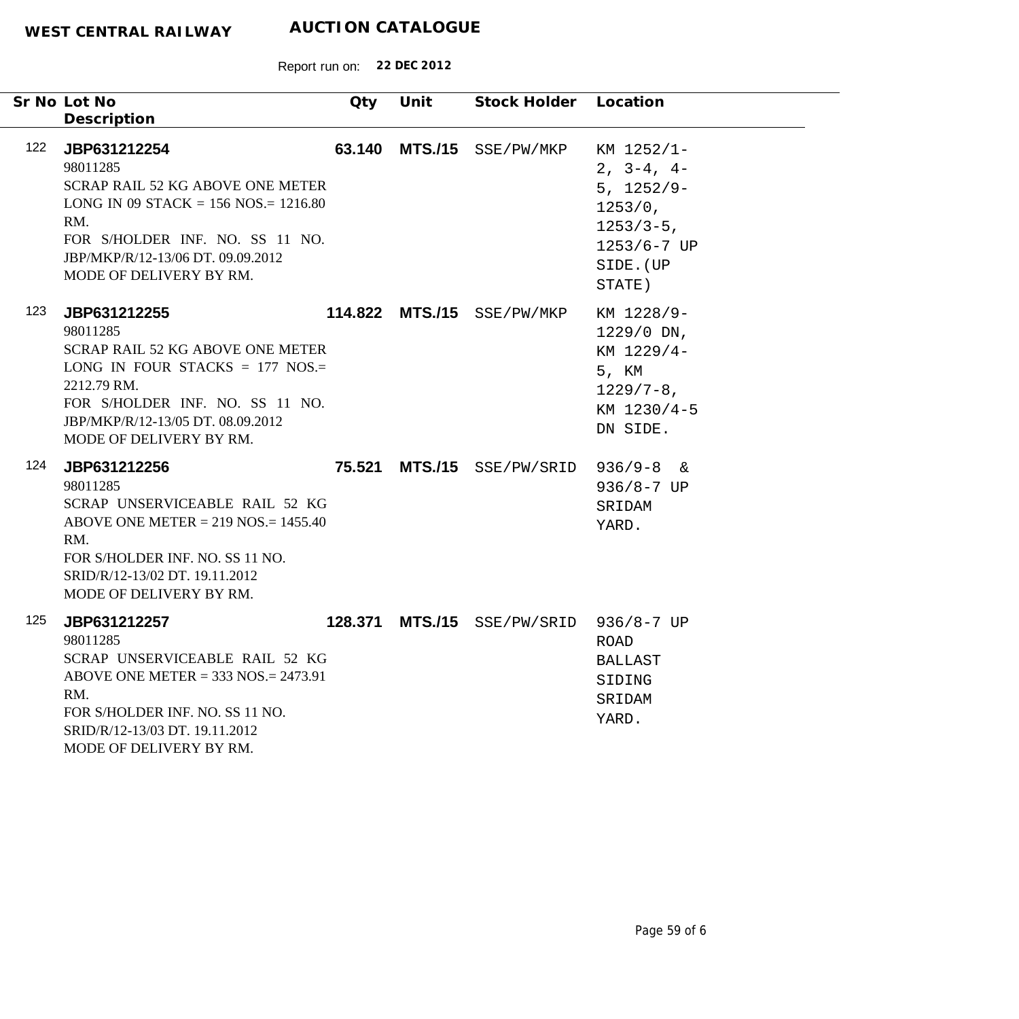|     | Sr No Lot No<br>Description                                                                                                                                                                                                | Qty     | Unit            | Stock Holder Location    |                                                                                                                 |
|-----|----------------------------------------------------------------------------------------------------------------------------------------------------------------------------------------------------------------------------|---------|-----------------|--------------------------|-----------------------------------------------------------------------------------------------------------------|
| 122 | JBP631212254<br>98011285<br>SCRAP RAIL 52 KG ABOVE ONE METER<br>LONG IN 09 STACK = $156$ NOS = $1216.80$<br>RM.<br>FOR S/HOLDER INF. NO. SS 11 NO.<br>JBP/MKP/R/12-13/06 DT. 09.09.2012<br>MODE OF DELIVERY BY RM.         | 63.140  | <b>MTS./15</b>  | SSE/PW/MKP               | KM 1252/1-<br>$2, 3-4, 4-$<br>$5, 1252/9-$<br>1253/0,<br>$1253/3-5$ ,<br>$1253/6 - 7$ UP<br>SIDE. (UP<br>STATE) |
| 123 | JBP631212255<br>98011285<br><b>SCRAP RAIL 52 KG ABOVE ONE METER</b><br>LONG IN FOUR STACKS = $177$ NOS.=<br>2212.79 RM.<br>FOR S/HOLDER INF. NO. SS 11 NO.<br>JBP/MKP/R/12-13/05 DT. 08.09.2012<br>MODE OF DELIVERY BY RM. |         | 114.822 MTS./15 | SSE/PW/MKP               | KM 1228/9-<br>1229/0 DN,<br>KM 1229/4-<br>5, KM<br>$1229/7 - 8$ ,<br>KM 1230/4-5<br>DN SIDE.                    |
| 124 | JBP631212256<br>98011285<br>SCRAP UNSERVICEABLE RAIL 52 KG<br>ABOVE ONE METER = $219$ NOS = $1455.40$<br>RM.<br>FOR S/HOLDER INF. NO. SS 11 NO.<br>SRID/R/12-13/02 DT. 19.11.2012<br>MODE OF DELIVERY BY RM.               |         | 75.521 MTS./15  | SSE/PW/SRID              | $936/9 - 8$ &<br>$936/8 - 7$ UP<br>SRIDAM<br>YARD.                                                              |
| 125 | JBP631212257<br>98011285<br>SCRAP UNSERVICEABLE RAIL 52 KG<br>ABOVE ONE METER = $333$ NOS .= $2473.91$<br>RM.<br>FOR S/HOLDER INF. NO. SS 11 NO.<br>SRID/R/12-13/03 DT. 19.11.2012<br>MODE OF DELIVERY BY RM.              | 128.371 | <b>MTS./15</b>  | $SSE/PW/SRID$ 936/8-7 UP | ROAD<br>BALLAST<br>SIDING<br>SRIDAM<br>YARD.                                                                    |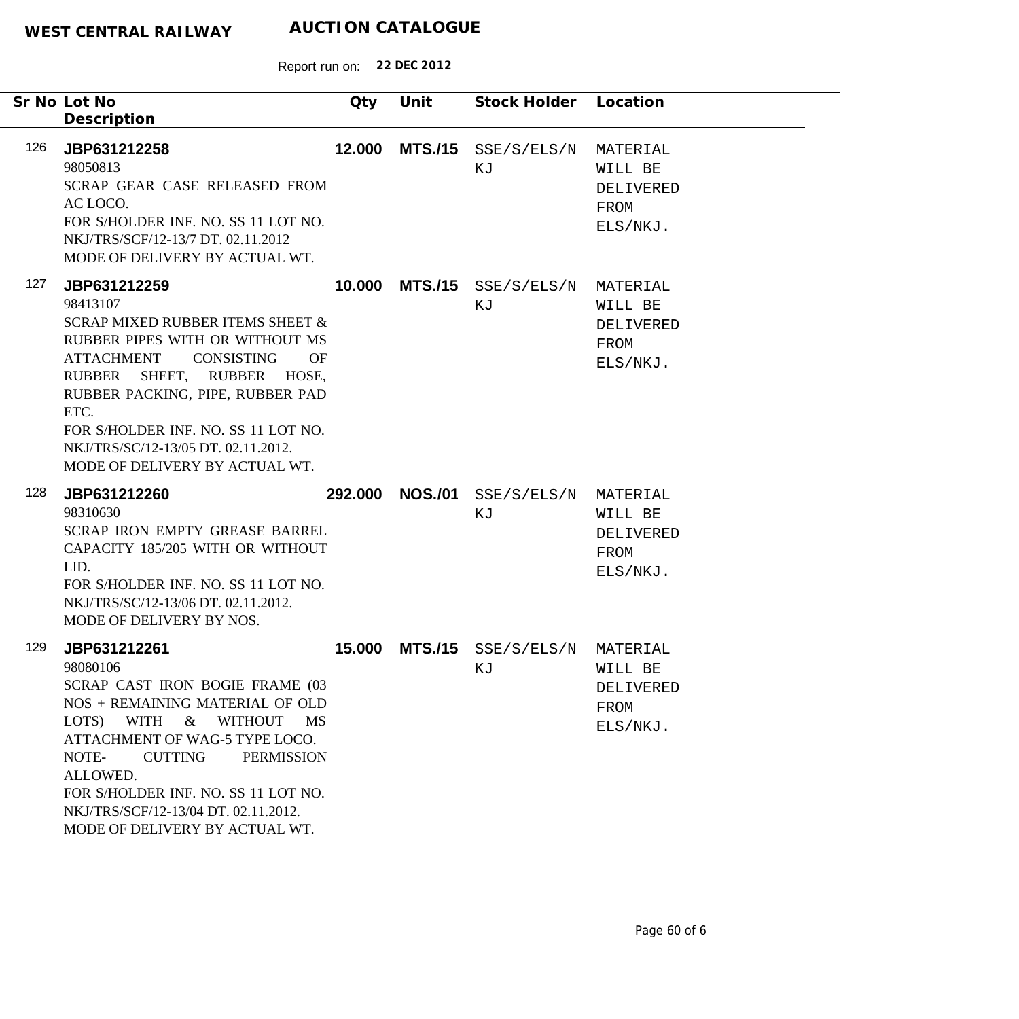|     | Sr No Lot No<br>Description                                                                                                                                                                                                                                                                                                                                 | Qty    | Unit            | Stock Holder Location                                 |                                                      |
|-----|-------------------------------------------------------------------------------------------------------------------------------------------------------------------------------------------------------------------------------------------------------------------------------------------------------------------------------------------------------------|--------|-----------------|-------------------------------------------------------|------------------------------------------------------|
| 126 | JBP631212258<br>98050813<br>SCRAP GEAR CASE RELEASED FROM<br>AC LOCO.<br>FOR S/HOLDER INF. NO. SS 11 LOT NO.<br>NKJ/TRS/SCF/12-13/7 DT. 02.11.2012<br>MODE OF DELIVERY BY ACTUAL WT.                                                                                                                                                                        | 12.000 | <b>MTS./15</b>  | SSE/S/ELS/N<br>ΚJ                                     | MATERIAL<br>WILL BE<br>DELIVERED<br>FROM<br>ELS/NKJ. |
| 127 | JBP631212259<br>98413107<br><b>SCRAP MIXED RUBBER ITEMS SHEET &amp;</b><br>RUBBER PIPES WITH OR WITHOUT MS<br><b>CONSISTING</b><br><b>ATTACHMENT</b><br><b>OF</b><br>RUBBER SHEET, RUBBER HOSE,<br>RUBBER PACKING, PIPE, RUBBER PAD<br>ETC.<br>FOR S/HOLDER INF. NO. SS 11 LOT NO.<br>NKJ/TRS/SC/12-13/05 DT. 02.11.2012.<br>MODE OF DELIVERY BY ACTUAL WT. | 10.000 |                 | $MTS./15$ $SSE/S/ELS/N$<br>ΚJ                         | MATERIAL<br>WILL BE<br>DELIVERED<br>FROM<br>ELS/NKJ. |
| 128 | JBP631212260<br>98310630<br>SCRAP IRON EMPTY GREASE BARREL<br>CAPACITY 185/205 WITH OR WITHOUT<br>LID.<br>FOR S/HOLDER INF. NO. SS 11 LOT NO.<br>NKJ/TRS/SC/12-13/06 DT. 02.11.2012.<br>MODE OF DELIVERY BY NOS.                                                                                                                                            |        | 292.000 NOS./01 | $\texttt{SSE}/\texttt{S}/\texttt{ELS}/\text{N}$<br>ΚJ | MATERIAL<br>WILL BE<br>DELIVERED<br>FROM<br>ELS/NKJ. |
| 129 | JBP631212261<br>98080106<br>SCRAP CAST IRON BOGIE FRAME (03<br>NOS + REMAINING MATERIAL OF OLD<br>WITHOUT MS<br>LOTS)<br>WITH<br>$\&$<br>ATTACHMENT OF WAG-5 TYPE LOCO.<br><b>CUTTING</b><br><b>PERMISSION</b><br>NOTE-<br>ALLOWED.<br>FOR S/HOLDER INF. NO. SS 11 LOT NO.<br>NKJ/TRS/SCF/12-13/04 DT. 02.11.2012.<br>MODE OF DELIVERY BY ACTUAL WT.        | 15,000 |                 | $MTS./15$ $SSE/S/ELS/N$<br>ΚJ                         | MATERIAL<br>WILL BE<br>DELIVERED<br>FROM<br>ELS/NKJ. |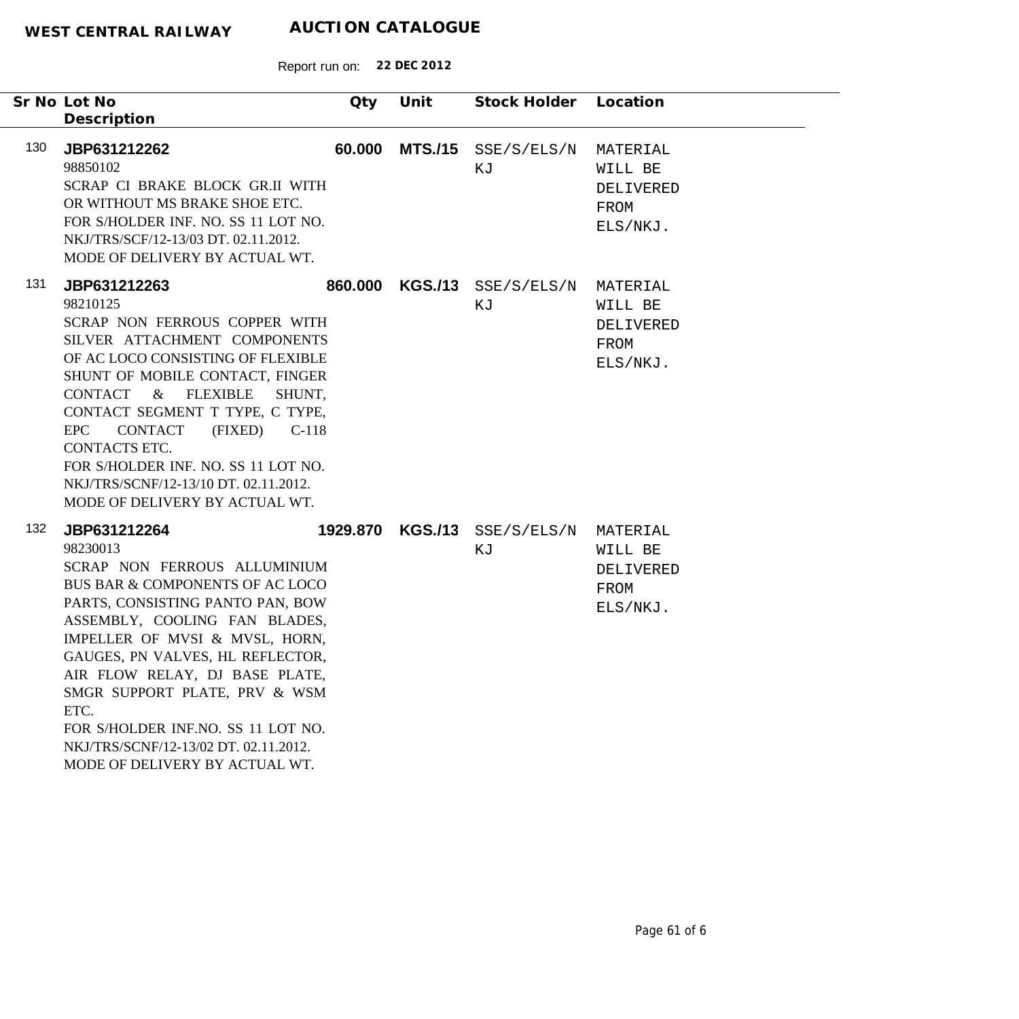|     | Sr No Lot No                                                                                                                                                                                                                                                                                                                                                                                                                       | Qty     | Unit | Stock Holder Location              |                                                      |
|-----|------------------------------------------------------------------------------------------------------------------------------------------------------------------------------------------------------------------------------------------------------------------------------------------------------------------------------------------------------------------------------------------------------------------------------------|---------|------|------------------------------------|------------------------------------------------------|
| 130 | Description<br>JBP631212262<br>98850102<br>SCRAP CI BRAKE BLOCK GR.II WITH<br>OR WITHOUT MS BRAKE SHOE ETC.<br>FOR S/HOLDER INF. NO. SS 11 LOT NO.<br>NKJ/TRS/SCF/12-13/03 DT. 02.11.2012.<br>MODE OF DELIVERY BY ACTUAL WT.                                                                                                                                                                                                       | 60.000  |      | $MTS./15$ SSE/S/ELS/N<br>ΚJ        | MATERIAL<br>WILL BE<br>DELIVERED<br>FROM<br>ELS/NKJ. |
| 131 | JBP631212263<br>98210125<br>SCRAP NON FERROUS COPPER WITH<br>SILVER ATTACHMENT COMPONENTS<br>OF AC LOCO CONSISTING OF FLEXIBLE<br>SHUNT OF MOBILE CONTACT, FINGER<br>CONTACT & FLEXIBLE<br>SHUNT,<br>CONTACT SEGMENT T TYPE, C TYPE,<br>EPC<br><b>CONTACT</b><br>(FIXED)<br>$C-118$<br><b>CONTACTS ETC.</b><br>FOR S/HOLDER INF. NO. SS 11 LOT NO.<br>NKJ/TRS/SCNF/12-13/10 DT. 02.11.2012.<br>MODE OF DELIVERY BY ACTUAL WT.      | 860.000 |      | $KGS./13$ SSE/S/ELS/N<br>ΚJ        | MATERIAL<br>WILL BE<br>DELIVERED<br>FROM<br>ELS/NKJ. |
| 132 | JBP631212264<br>98230013<br>SCRAP NON FERROUS ALLUMINIUM<br>BUS BAR & COMPONENTS OF AC LOCO<br>PARTS, CONSISTING PANTO PAN, BOW<br>ASSEMBLY, COOLING FAN BLADES,<br>IMPELLER OF MVSI & MVSL, HORN,<br>GAUGES, PN VALVES, HL REFLECTOR,<br>AIR FLOW RELAY, DJ BASE PLATE,<br>SMGR SUPPORT PLATE, PRV & WSM<br>ETC.<br>FOR S/HOLDER INF.NO. SS 11 LOT NO.<br>NKJ/TRS/SCNF/12-13/02 DT. 02.11.2012.<br>MODE OF DELIVERY BY ACTUAL WT. |         |      | 1929.870 KGS./13 SSE/S/ELS/N<br>ΚJ | MATERIAL<br>WILL BE<br>DELIVERED<br>FROM<br>ELS/NKJ. |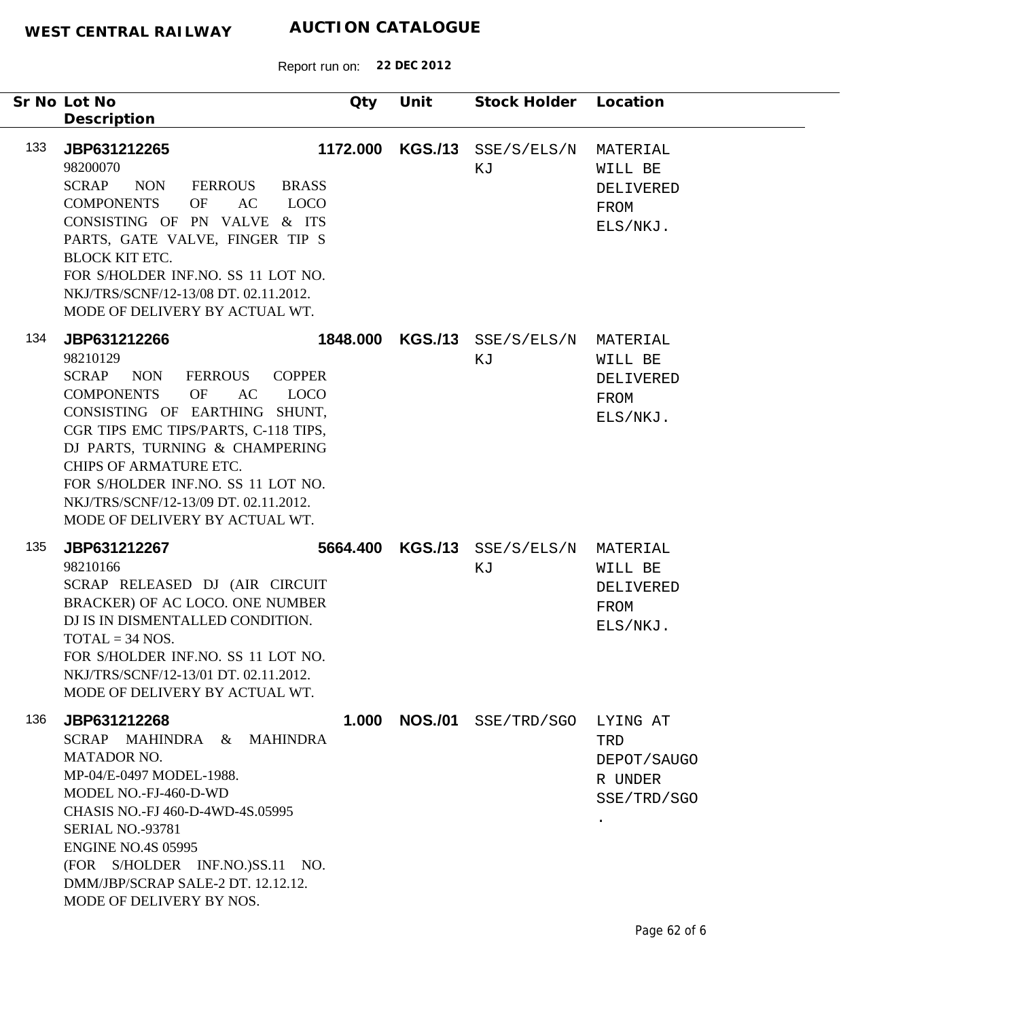| Sr No Lot No<br>Description                                                                                                                                                                                                                                                                                                                                                                     | Qty      | Unit             | Stock Holder                   | Location                                                              |
|-------------------------------------------------------------------------------------------------------------------------------------------------------------------------------------------------------------------------------------------------------------------------------------------------------------------------------------------------------------------------------------------------|----------|------------------|--------------------------------|-----------------------------------------------------------------------|
| 133<br>JBP631212265<br>98200070<br><b>SCRAP</b><br><b>NON</b><br><b>FERROUS</b><br><b>BRASS</b><br><b>LOCO</b><br><b>COMPONENTS</b><br>OF<br>AC<br>CONSISTING OF PN VALVE & ITS<br>PARTS, GATE VALVE, FINGER TIP S<br><b>BLOCK KIT ETC.</b><br>FOR S/HOLDER INF.NO. SS 11 LOT NO.<br>NKJ/TRS/SCNF/12-13/08 DT. 02.11.2012.<br>MODE OF DELIVERY BY ACTUAL WT.                                    | 1172.000 |                  | $KGS.$ /13 $SSE/S/ELS/N$<br>ΚJ | MATERIAL<br>WILL BE<br>DELIVERED<br>FROM<br>ELS/NKJ.                  |
| 134<br>JBP631212266<br>98210129<br><b>SCRAP</b><br><b>NON</b><br>FERROUS<br><b>COPPER</b><br><b>COMPONENTS</b><br>OF<br>AC<br><b>LOCO</b><br>CONSISTING OF EARTHING SHUNT,<br>CGR TIPS EMC TIPS/PARTS, C-118 TIPS,<br>DJ PARTS, TURNING & CHAMPERING<br>CHIPS OF ARMATURE ETC.<br>FOR S/HOLDER INF.NO. SS 11 LOT NO.<br>NKJ/TRS/SCNF/12-13/09 DT. 02.11.2012.<br>MODE OF DELIVERY BY ACTUAL WT. |          | 1848.000 KGS./13 | SSE/S/ELS/N<br>ΚJ              | MATERIAL<br>WILL BE<br>DELIVERED<br>FROM<br>ELS/NKJ.                  |
| 135<br>JBP631212267<br>98210166<br>SCRAP RELEASED DJ (AIR CIRCUIT<br>BRACKER) OF AC LOCO. ONE NUMBER<br>DJ IS IN DISMENTALLED CONDITION.<br>$TOTAL = 34 NOS.$<br>FOR S/HOLDER INF.NO. SS 11 LOT NO.<br>NKJ/TRS/SCNF/12-13/01 DT. 02.11.2012.<br>MODE OF DELIVERY BY ACTUAL WT.                                                                                                                  | 5664.400 |                  | $KGS./13$ SSE/S/ELS/N<br>ΚJ    | MATERIAL<br>WILL BE<br>DELIVERED<br>FROM<br>ELS/NKJ.                  |
| 136<br>JBP631212268<br>SCRAP MAHINDRA & MAHINDRA<br><b>MATADOR NO.</b><br>MP-04/E-0497 MODEL-1988.<br>MODEL NO.-FJ-460-D-WD<br>CHASIS NO.-FJ 460-D-4WD-4S.05995<br><b>SERIAL NO.-93781</b><br><b>ENGINE NO.4S 05995</b><br>(FOR S/HOLDER INF.NO.)SS.11 NO.<br>DMM/JBP/SCRAP SALE-2 DT. 12.12.12.<br>MODE OF DELIVERY BY NOS.                                                                    | 1.000    |                  | <b>NOS./01</b> SSE/TRD/SGO     | LYING AT<br>TRD<br>DEPOT/SAUGO<br>R UNDER<br>SSE/TRD/SGO<br>$\bullet$ |